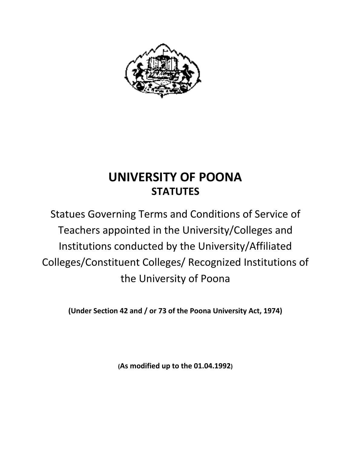

# **UNIVERSITY OF POONA STATUTES**

Statues Governing Terms and Conditions of Service of Teachers appointed in the University/Colleges and Institutions conducted by the University/Affiliated Colleges/Constituent Colleges/ Recognized Institutions of the University of Poona

**(Under Section 42 and / or 73 of the Poona University Act, 1974)**

**(As modified up to the 01.04.1992)**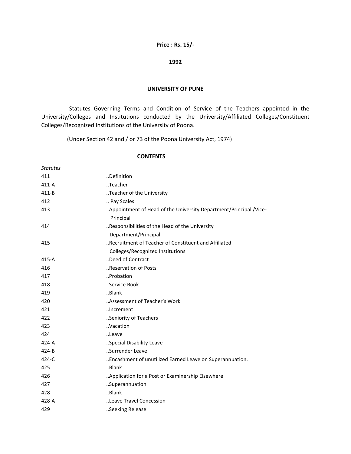### **Price : Rs. 15/-**

#### **1992**

#### **UNIVERSITY OF PUNE**

Statutes Governing Terms and Condition of Service of the Teachers appointed in the University/Colleges and Institutions conducted by the University/Affiliated Colleges/Constituent Colleges/Recognized Institutions of the University of Poona.

(Under Section 42 and / or 73 of the Poona University Act, 1974)

#### **CONTENTS**

| <b>Statutes</b> |                                                                                           |
|-----------------|-------------------------------------------------------------------------------------------|
| 411             | Definition                                                                                |
| $411-A$         | Teacher                                                                                   |
| $411 - B$       | Teacher of the University                                                                 |
| 412             | Pay Scales                                                                                |
| 413             | Appointment of Head of the University Department/Principal /Vice-<br>Principal            |
| 414             | Responsibilities of the Head of the University<br>Department/Principal                    |
| 415             | "Recruitment of Teacher of Constituent and Affiliated<br>Colleges/Recognized Institutions |
| $415-A$         | Deed of Contract                                                                          |
| 416             | Reservation of Posts                                                                      |
| 417             | Probation                                                                                 |
| 418             | Service Book                                                                              |
| 419             | Blank                                                                                     |
| 420             | Assessment of Teacher's Work                                                              |
| 421             | Increment                                                                                 |
| 422             | Seniority of Teachers                                                                     |
| 423             | Vacation                                                                                  |
| 424             | Leave                                                                                     |
| $424 - A$       | Special Disability Leave                                                                  |
| $424 - B$       | Surrender Leave                                                                           |
| 424-C           | Encashment of unutilized Earned Leave on Superannuation.                                  |
| 425             | Blank                                                                                     |
| 426             | Application for a Post or Examinership Elsewhere                                          |
| 427             | Superannuation                                                                            |
| 428             | Blank                                                                                     |
| 428-A           | Leave Travel Concession                                                                   |
| 429             | Seeking Release                                                                           |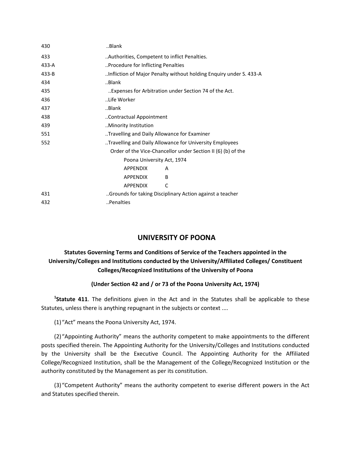| 430       | Blank                                                              |  |  |
|-----------|--------------------------------------------------------------------|--|--|
| 433       | Authorities, Competent to inflict Penalties                        |  |  |
| 433-A     | Procedure for Inflicting Penalties                                 |  |  |
| $433 - B$ | Infliction of Major Penalty without holding Enquiry under S. 433-A |  |  |
| 434       | Blank                                                              |  |  |
| 435       | Expenses for Arbitration under Section 74 of the Act.              |  |  |
| 436       | Life Worker                                                        |  |  |
| 437       | Blank                                                              |  |  |
| 438       | Contractual Appointment                                            |  |  |
| 439       | Minority Institution                                               |  |  |
| 551       | Travelling and Daily Allowance for Examiner                        |  |  |
| 552       | Travelling and Daily Allowance for University Employees            |  |  |
|           | Order of the Vice-Chancellor under Section II (6) (b) of the       |  |  |
|           | Poona University Act, 1974                                         |  |  |
|           | <b>APPENDIX</b><br>A                                               |  |  |
|           | <b>APPENDIX</b><br><sub>B</sub>                                    |  |  |
|           | <b>APPENDIX</b><br>C                                               |  |  |
| 431       | Grounds for taking Disciplinary Action against a teacher           |  |  |
| 432       | Penalties                                                          |  |  |

# **UNIVERSITY OF POONA**

# **Statutes Governing Terms and Conditions of Service of the Teachers appointed in the University/Colleges and Institutions conducted by the University/Affiliated Colleges/ Constituent Colleges/Recognized Institutions of the University of Poona**

# **(Under Section 42 and / or 73 of the Poona University Act, 1974)**

**1 Statute 411**. The definitions given in the Act and in the Statutes shall be applicable to these Statutes, unless there is anything repugnant in the subjects or context ....

(1)"Act" means the Poona University Act, 1974.

(2)"Appointing Authority" means the authority competent to make appointments to the different posts specified therein. The Appointing Authority for the University/Colleges and Institutions conducted by the University shall be the Executive Council. The Appointing Authority for the Affiliated College/Recognized Institution, shall be the Management of the College/Recognized Institution or the authority constituted by the Management as per its constitution.

(3)"Competent Authority" means the authority competent to exerise different powers in the Act and Statutes specified therein.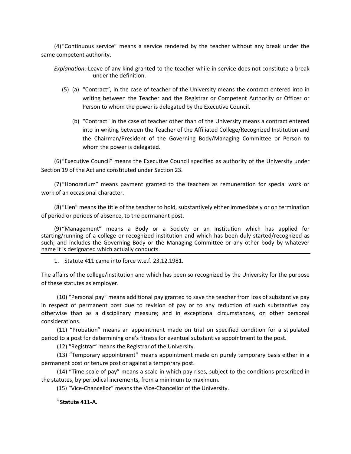(4)"Continuous service" means a service rendered by the teacher without any break under the same competent authority.

*Explanation*:-Leave of any kind granted to the teacher while in service does not constitute a break under the definition.

- (5) (a) "Contract", in the case of teacher of the University means the contract entered into in writing between the Teacher and the Registrar or Competent Authority or Officer or Person to whom the power is delegated by the Executive Council.
	- (b) "Contract" in the case of teacher other than of the University means a contract entered into in writing between the Teacher of the Affiliated College/Recognized Institution and the Chairman/President of the Governing Body/Managing Committee or Person to whom the power is delegated.

(6)"Executive Council" means the Executive Council specified as authority of the University under Section 19 of the Act and constituted under Section 23.

(7)"Honorarium" means payment granted to the teachers as remuneration for special work or work of an occasional character.

(8)"Lien" means the title of the teacher to hold, substantively either immediately or on termination of period or periods of absence, to the permanent post.

(9)"Management" means a Body or a Society or an Institution which has applied for starting/running of a college or recognized institution and which has been duly started/recognized as such; and includes the Governing Body or the Managing Committee or any other body by whatever name it is designated which actually conducts.

1. Statute 411 came into force w.e.f. 23.12.1981.

The affairs of the college/institution and which has been so recognized by the University for the purpose of these statutes as employer.

(10) "Personal pay" means additional pay granted to save the teacher from loss of substantive pay in respect of permanent post due to revision of pay or to any reduction of such substantive pay otherwise than as a disciplinary measure; and in exceptional circumstances, on other personal considerations.

(11) "Probation" means an appointment made on trial on specified condition for a stipulated period to a post for determining one's fitness for eventual substantive appointment to the post.

(12) "Registrar" means the Registrar of the University.

(13) "Temporary appointment" means appointment made on purely temporary basis either in a permanent post or tenure post or against a temporary post.

(14) "Time scale of pay" means a scale in which pay rises, subject to the conditions prescribed in the statutes, by periodical increments, from a minimum to maximum.

(15) "Vice-Chancellor" means the Vice-Chancellor of the University.

**<sup>1</sup>Statute 411-A.**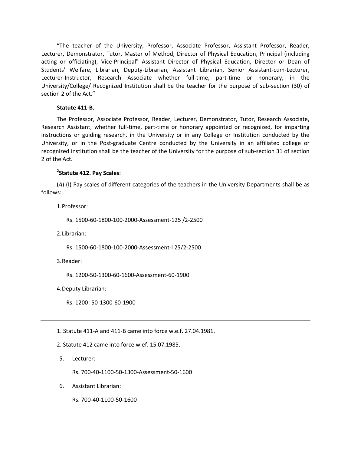"The teacher of the University, Professor, Associate Professor, Assistant Professor, Reader, Lecturer, Demonstrator, Tutor, Master of Method, Director of Physical Education, Principal (including acting or officiating), Vice-Principal" Assistant Director of Physical Education, Director or Dean of Students' Welfare, Librarian, Deputy-Librarian, Assistant Librarian, Senior Assistant-cum-Lecturer, Lecturer-Instructor, Research Associate whether full-time, part-time or honorary, in the University/College/ Recognized Institution shall be the teacher for the purpose of sub-section (30) of section 2 of the Act."

#### **Statute 411-B.**

The Professor, Associate Professor, Reader, Lecturer, Demonstrator, Tutor, Research Associate, Research Assistant, whether full-time, part-time or honorary appointed or recognized, for imparting instructions or guiding research, in the University or in any College or Institution conducted by the University, or in the Post-graduate Centre conducted by the University in an affiliated college or recognized institution shall be the teacher of the University for the purpose of sub-section 31 of section 2 of the Act.

# **2 Statute 412. Pay Scales**:

(*A*) (I) Pay scales of different categories of the teachers in the University Departments shall be as follows:

1.Professor:

Rs. 1500-60-1800-100-2000-Assessment-125 /2-2500

2.Librarian:

Rs. 1500-60-1800-100-2000-Assessment-l 25/2-2500

3.Reader:

Rs. 1200-50-1300-60-1600-Assessment-60-1900

4.Deputy Librarian:

Rs. 1200- 50-1300-60-1900

1. Statute 411-A and 411-B came into force w.e.f. 27.04.1981.

2. Statute 412 came into force w.ef. 15.07.1985.

5. Lecturer:

Rs. 700-40-1100-50-1300-Assessment-50-1600

6. Assistant Librarian:

Rs. 700-40-1100-50-1600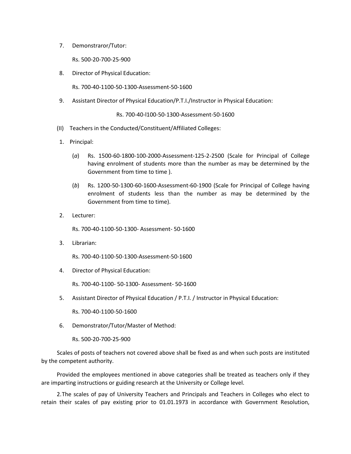7. Demonstraror/Tutor:

Rs. 500-20-700-25-900

8. Director of Physical Education:

Rs. 700-40-1100-50-1300-Assessment-50-1600

9. Assistant Director of Physical Education/P.T.I./Instructor in Physical Education:

Rs. 700-40-l100-50-1300-Assessment-50-1600

- (II) Teachers in the Conducted/Constituent/Affiliated Colleges:
- 1. Principal:
	- (*a*) Rs. 1500-60-1800-100-2000-Assessment-125-2-2500 (Scale for Principal of College having enrolment of students more than the number as may be determined by the Government from time to time ).
	- (*b*) Rs. 1200-50-1300-60-1600-Assessment-60-1900 (Scale for Principal of College having enrolment of students less than the number as may be determined by the Government from time to time).
- 2. Lecturer:

Rs. 700-40-1100-50-1300- Assessment- 50-1600

3. Librarian:

Rs. 700-40-1100-50-1300-Assessment-50-1600

4. Director of Physical Education:

Rs. 700-40-1100- 50-1300- Assessment- 50-1600

5. Assistant Director of Physical Education / P.T.I. / Instructor in Physical Education:

Rs. 700-40-1100-50-1600

6. Demonstrator/Tutor/Master of Method:

Rs. 500-20-700-25-900

Scales of posts of teachers not covered above shall be fixed as and when such posts are instituted by the competent authority.

Provided the employees mentioned in above categories shall be treated as teachers only if they are imparting instructions or guiding research at the University or College level.

2.The scales of pay of University Teachers and Principals and Teachers in Colleges who elect to retain their scales of pay existing prior to 01.01.1973 in accordance with Government Resolution,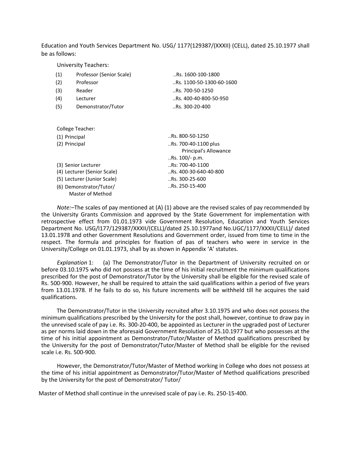Education and Youth Services Department No. USG/ 1177(129387/(XXXII) (CELL), dated 25.10.1977 shall be as follows:

University Teachers:

| (1)                         | Professor (Senior Scale) | Rs. 1600-100-1800         |
|-----------------------------|--------------------------|---------------------------|
| (2)                         | Professor                | Rs. 1100-50-1300-60-1600. |
| (3)                         | Reader                   | $$ Rs. 700-50-1250        |
| (4)                         | Lecturer                 | Rs. 400-40-800-50-950     |
| (5)                         | Demonstrator/Tutor       | Rs. 300-20-400.           |
|                             |                          |                           |
|                             | College Teacher:         |                           |
| (1) Principal               |                          | Rs. 800-50-1250.          |
| (2) Principal               |                          | Rs. 700-40-1100 plus      |
|                             |                          | Principal's Allowance     |
|                             |                          | Rs. 100/- p.m.            |
| (3) Senior Lecturer         |                          | Rs: 700-40-1100.          |
| (4) Lecturer (Senior Scale) |                          | Rs. 400-30-640-40-800     |
| (5) Lecturer (Junior Scale) |                          | Rs. 300-25-600.           |
| (6) Demonstrator/Tutor/     |                          | Rs. 250-15-400.           |
|                             | Master of Method         |                           |

*Note:–*The scales of pay mentioned at (A) (1) above are the revised scales of pay recommended by the University Grants Commission and approved by the State Government for implementation with retrospective effect from 01.01.1973 vide Government Resolution, Education and Youth Services Department No. USG/l177/129387/XXXII/(CELL)/dated 25.10.1977and No.UGC/1177/XXXII/CELL)/ dated 13.01.1978 and other Government Resolutions and Government order, issued from time to time in the respect. The formula and principles for fixation of pas of teachers who were in service in the University/College on 01.01.1973, shall by as shown in Appendix 'A' statutes.

*Explanation* 1: (a) The Demonstrator/Tutor in the Department of University recruited on or before 03.10.1975 who did not possess at the time of his initial recruitment the minimum qualifications prescribed for the post of Demonstrator/Tutor by the University shall be eligible for the revised scale of Rs. 500-900. However, he shall be required to attain the said qualifications within a period of five years from 13.01.1978. If he fails to do so, his future increments will be withheld till he acquires the said qualifications.

The Demonstrator/Tutor in the University recruited after 3.10.1975 and who does not possess the minimum qualifications prescribed by the University for the post shall, however, continue to draw pay in the unrevised scale of pay i.e. Rs. 300-20-400, be appointed as Lecturer in the upgraded post of Lecturer as per norms laid down in the aforesaid Government Resolution of 25.10.1977 but who possesses at the time of his initial appointment as Demonstrator/Tutor/Master of Method qualifications prescribed by the University for the post of Demonstrator/Tutor/Master of Method shall be eligible for the revised scale i.e. Rs. 500-900.

However, the Demonstrator/Tutor/Master of Method working in College who does not possess at the time of his initial appointment as Demonstrator/Tutor/Master of Method qualifications prescribed by the University for the post of Demonstrator/ Tutor/

Master of Method shall continue in the unrevised scale of pay i.e. Rs. 250-15-400.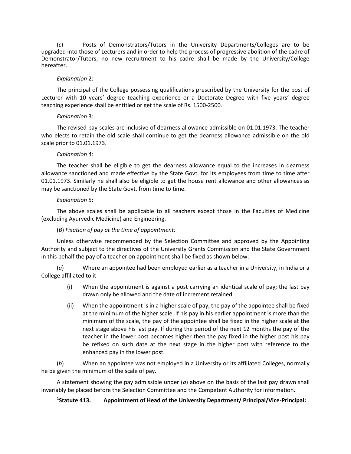(*c*) Posts of Demonstrators/Tutors in the University Departments/Colleges are to be upgraded into those of Lecturers and in order to help the process of progressive abolition of the cadre of Demonstrator/Tutors, no new recruitment to his cadre shall be made by the University/College hereafter.

#### *Explanation* 2:

The principal of the College possessing qualifications prescribed by the University for the post of Lecturer with 10 years' degree teaching experience or a Doctorate Degree with five years' degree teaching experience shall be entitled or get the scale of Rs. 1500-2500.

#### *Explanation* 3:

The revised pay-scales are inclusive of dearness allowance admissible on 01.01.1973. The teacher who elects to retain the old scale shall continue to get the dearness allowance admissible on the old scale prior to 01.01.1973.

#### *Explanation* 4:

The teacher shall be eligible to get the dearness allowance equal to the increases in dearness allowance sanctioned and made effective by the State Govt. for its employees from time to time after 01.01.1973. Similarly he shall also be eligible to get the house rent allowance and other allowances as may be sanctioned by the State Govt. from time to time.

#### *Explanation* 5:

The above scales shall be applicable to all teachers except those in the Faculties of Medicine (excluding Ayurvedic Medicine) and Engineering.

### (*B*) *Fixation of pay at the time of appointment:*

Unless otherwise recommended by the Selection Committee and approved by the Appointing Authority and subject to the directives of the University Grants Commission and the State Government in this behalf the pay of a teacher on appointment shall be fixed as shown below:

(*a*) Where an appointee had been employed earlier as a teacher in a University, in India or a College affiliated to it-

- (i) When the appointment is against a post carrying an identical scale of pay; the last pay drawn only be allowed and the date of increment retained.
- (ii) When the appointment is in a higher scale of pay, the pay of the appointee shall be fixed at the minimum of the higher scale. If his pay in his earlier appointment is more than the minimum of the scale, the pay of the appointee shall be fixed in the higher scale at the next stage above his last pay. If during the period of the next 12 months the pay of the teacher in the lower post becomes higher then the pay fixed in the higher post his pay be refixed on such date at the next stage in the higher post with reference to the enhanced pay in the lower post.

(*b*) When an appointee was not employed in a University or its affiliated Colleges, normally he be given the minimum of the scale of pay.

A statement showing the pay admissible under (*a*) above on the basis of the last pay drawn shall invariably be placed before the Selection Committee and the Competent Authority for information.

#### $<sup>1</sup>$ Statute 413.</sup> **Statute 413. Appointment of Head of the University Department/ Principal/Vice-Principal:**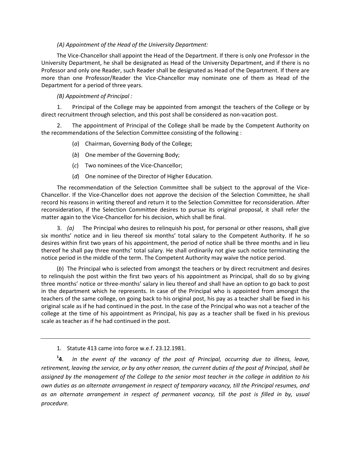### *(A) Appointment of the Head of the University Department:*

The Vice-Chancellor shall appoint the Head of the Department. If there is only one Professor in the University Department, he shall be designated as Head of the University Department, and if there is no Professor and only one Reader, such Reader shall be designated as Head of the Department. If there are more than one Professor/Reader the Vice-Chancellor may nominate one of them as Head of the Department for a period of three years.

### *(B) Appointment of Principal :*

1. Principal of the College may be appointed from amongst the teachers of the College or by direct recruitment through selection, and this post shall be considered as non-vacation post.

2. The appointment of Principal of the College shall be made by the Competent Authority on the recommendations of the Selection Committee consisting of the following :

### (*a*) Chairman, Governing Body of the College;

- (*b*) One member of the Governing Body;
- (*c*) Two nominees of the Vice-Chancellor;
- (*d*) One nominee of the Director of Higher Education.

The recommendation of the Selection Committee shall be subject to the approval of the Vice-Chancellor. If the Vice-Chancellor does not approve the decision of the Selection Committee, he shall record his reasons in writing thereof and return it to the Selection Committee for reconsideration. After reconsideration, if the Selection Committee desires to pursue its original proposal, it shall refer the matter again to the Vice-Chancellor for his decision, which shall be final.

3. *(a)* The Principal who desires to relinquish his post, for personal or other reasons, shall give six months' notice and in lieu thereof six months' total salary to the Competent Authority. If he so desires within first two years of his appointment, the period of notice shall be three months and in lieu thereof he shall pay three months' total salary. He shall ordinarily not give such notice terminating the notice period in the middle of the term. The Competent Authority may waive the notice period.

(*b*) The Principal who is selected from amongst the teachers or by direct recruitment and desires to relinquish the post within the first two years of his appointment as Principal, shall do so by giving three months' notice or three-months' salary in lieu thereof and shall have an option to go back to post in the department which he represents. In case of the Principal who is appointed from amongst the teachers of the same college, on going back to his original post, his pay as a teacher shall be fixed in his original scale as if he had continued in the post. In the case of the Principal who was not a teacher of the college at the time of his appointment as Principal, his pay as a teacher shall be fixed in his previous scale as teacher as if he had continued in the post.

1. Statute 413 came into force w.e.f. 23.12.1981.

 $^{1}$ **4**. **4**. *In the event of the vacancy of the post of Principal, occurring due to illness, leave, retirement, leaving the service, or by any other reason, the current duties of the post of Principal, shall be assigned by the management of the College to the senior most teacher in the college in addition to his own duties as an alternate arrangement in respect of temporary vacancy, till the Principal resumes, and*  as an alternate arrangement in respect of permanent vacancy, till the post is filled in by, usual *procedure.*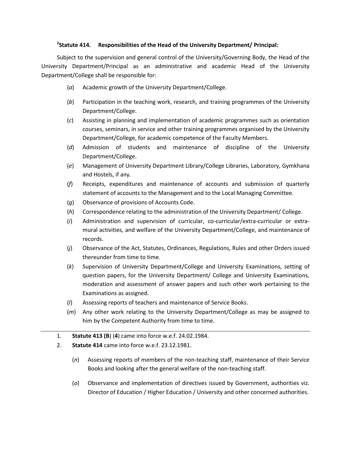# **2 Statute 414. Responsibilities of the Head of the University Department/ Principal:**

Subject to the supervision and general control of the University/Governing Body, the Head of the University Department/Principal as an administrative and academic Head of the University Department/College shall be responsible for:

- (*a*) Academic growth of the University Department/College.
- (*b*) Participation in the teaching work, research, and training programmes of the University Department/College.
- (*c*) Assisting in planning and implementation of academic programmes such as orientation courses, seminars, in service and other training programmes organised by the University Department/College, for academic competence of the Faculty Members.
- (*d*) Admission of students and maintenance of discipline of the University Department/College.
- (*e*) Management of University Department Library/College Libraries, Laboratory, Gymkhana and Hostels, if any.
- (*f*) Receipts, expenditures and maintenance of accounts and submission of quarterly statement of accounts to the Management and to the Local Managing Committee.
- (*g*) Observance of provisions of Accounts Code.
- (*h*) Correspondence relating to the administration of the University Department/ College.
- (*i*) Administration and supervision of curricular, co-curricular/extra-curricular or extramural activities, and welfare of the University Department/College, and maintenance of records.
- (*j*) Observance of the Act, Statutes, Ordinances, Regulations, Rules and other Orders issued thereunder from time to time.
- (*k*) Supervision of University Department/College and University Examinations, setting of question papers, for the University Department/ College and University Examinations, moderation and assessment of answer papers and such other work pertaining to the Examinations as assigned.
- (*l*) Assessing reports of teachers and maintenance of Service Books.
- (*m*) Any other work relating to the University Department/College as may be assigned to him by the Competent Authority from time to time.
- 1. **Statute 413 (B**) (**4**) came into force w.e.f. 24.02.1984.
- 2. **Statute 414** came into force w.e.f. 23.12.1981.
	- (*n*) Assessing reports of members of the non-teaching staff, maintenance of their Service Books and looking after the general welfare of the non-teaching staff.
	- (*o*) Observance and implementation of directives issued by Government, authorities viz. Director of Education / Higher Education / University and other concerned authorities.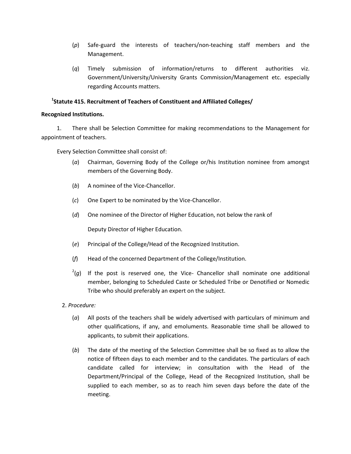- (*p*) Safe-guard the interests of teachers/non-teaching staff members and the Management.
- (*q*) Timely submission of information/returns to different authorities viz. Government/University/University Grants Commission/Management etc. especially regarding Accounts matters.

# **1 Statute 415. Recruitment of Teachers of Constituent and Affiliated Colleges/**

#### **Recognized Institutions.**

1. There shall be Selection Committee for making recommendations to the Management for appointment of teachers.

Every Selection Committee shall consist of:

- (*a*) Chairman, Governing Body of the College or/his Institution nominee from amongst members of the Governing Body.
- (*b*) A nominee of the Vice-Chancellor.
- (*c*) One Expert to be nominated by the Vice-Chancellor.
- (*d*) One nominee of the Director of Higher Education, not below the rank of

Deputy Director of Higher Education.

- (*e*) Principal of the College/Head of the Recognized Institution.
- (*f*) Head of the concerned Department of the College/Institution.
- $^{2}(g)$  If the post is reserved one, the Vice- Chancellor shall nominate one additional member, belonging to Scheduled Caste or Scheduled Tribe or Denotified or Nomedic Tribe who should preferably an expert on the subject.
- 2. *Procedure:*
	- (*a*) All posts of the teachers shall be widely advertised with particulars of minimum and other qualifications, if any, and emoluments. Reasonable time shall be allowed to applicants, to submit their applications.
	- (*b*) The date of the meeting of the Selection Committee shall be so fixed as to allow the notice of fifteen days to each member and to the candidates. The particulars of each candidate called for interview; in consultation with the Head of the Department/Principal of the College, Head of the Recognized Institution, shall be supplied to each member, so as to reach him seven days before the date of the meeting.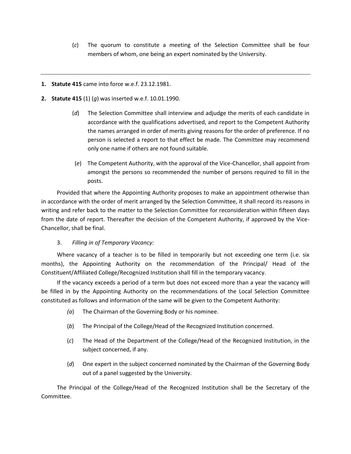- (*c*) The quorum to constitute a meeting of the Selection Committee shall be four members of whom, one being an expert nominated by the University.
- **1. Statute 415** came into force w.e.f. 23.12.1981.
- **2. Statute 415** (1) (*g*) was inserted w.e.f. 10.01.1990.
	- (*d*) The Selection Committee shall interview and adjudge the merits of each candidate in accordance with the qualifications advertised, and report to the Competent Authority the names arranged in order of merits giving reasons for the order of preference. If no person is selected a report to that effect be made. The Committee may recommend only one name if others are not found suitable.
	- (*e*) The Competent Authority, with the approval of the Vice-Chancellor, shall appoint from amongst the persons so recommended the number of persons required to fill in the posts.

Provided that where the Appointing Authority proposes to make an appointment otherwise than in accordance with the order of merit arranged by the Selection Committee, it shall record its reasons in writing and refer back to the matter to the Selection Committee for reconsideration within fifteen days from the date of report. Thereafter the decision of the Competent Authority, if approved by the Vice-Chancellor, shall be final.

# 3. *Filling in of Temporary Vacancy:*

Where vacancy of a teacher is to be filled in temporarily but not exceeding one term (i.e. six months), the Appointing Authority on the recommendation of the Principal/ Head of the Constituent/Affiliated College/Recognized Institution shall fill in the temporary vacancy.

If the vacancy exceeds a period of a term but does not exceed more than a year the vacancy will be filled in by the Appointing Authority on the recommendations of the Local Selection Committee constituted as follows and information of the same will be given to the Competent Authority:

- *(a*) The Chairman of the Governing Body or his nominee.
- (*b*) The Principal of the College/Head of the Recognized Institution concerned.
- (*c*) The Head of the Department of the College/Head of the Recognized Institution, in the subject concerned, if any.
- (*d*) One expert in the subject concerned nominated by the Chairman of the Governing Body out of a panel suggested by the University.

The Principal of the College/Head of the Recognized Institution shall be the Secretary of the Committee.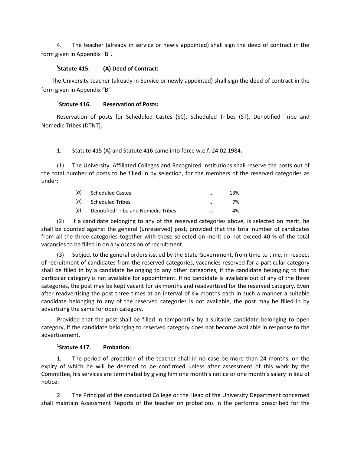4. The teacher (already in service or newly appointed) shall sign the deed of contract in the form given in Appendix "B".

#### Statute 415. **Statute 415. (A) Deed of Contract:**

The University teacher (already in Service or newly appointed) shall sign the deed of contract in the form given in Appendix "B"

#### $<sup>1</sup>$ Statute 416.</sup> **Reservation of Posts:**

Reservation of posts for Scheduled Castes (SC), Scheduled Tribes (ST), Denotified Tribe and Nomedic Tribes (DTNT).

1. Statute 415 (A) and Statute 416 came into force w.e.f. 24.02.1984.

(1) The University, Affiliated Colleges and Recognized Institutions shall reserve the posts out of the total number of posts to be filled in by selection, for the members of the reserved categories as under:

| (a) | <b>Scheduled Castes</b>             | $\cdot$ . | 13% |
|-----|-------------------------------------|-----------|-----|
| (b) | Scheduled Tribes                    | $\cdot$ . | 7%  |
| (c) | Denotified Tribe and Nomedic Tribes | $\cdot$ . | 4%  |

(2) If a candidate belonging to any of the reserved categories above, is selected on merit, he shall be counted against the general (unreserved) post, provided that the total number of candidates from all the three categories together with those selected on merit do not exceed 40 % of the total vacancies to be filled in on any occasion of recruitment.

(3) Subject to the general orders issued by the State Government, from time to time, in respect of recruitment of candidates from the reserved categories, vacancies reserved for a particular category shall be filled in by a candidate belonging to any other categories, if the candidate belonging to that particular category is not available for appointment. If no candidate is available out of any of the three categories, the post may be kept vacant for six months and readvertised for the reserved category. Even after readvertising the post three times at an interval of six months each in such a manner a suitable candidate belonging to any of the reserved categories is not available, the post may be filled in by advertising the same for open category.

Provided that the post shall be filled in temporarily by a suitable candidate belonging to open category, if the candidate belonging to reserved category does not become available in response to the advertisement.

# **1 Statute 417. Probation:**

The period of probation of the teacher shall in no case be more than 24 months, on the expiry of which he will be deemed to be confirmed unless after assessment of this work by the Committee, his services are terminated by giving him one month's notice or one month's salary in lieu of notice.

2. The Principal of the conducted College or the Head of the University Department concerned shall maintain Assessment Reports of the teacher on probations in the performa prescribed for the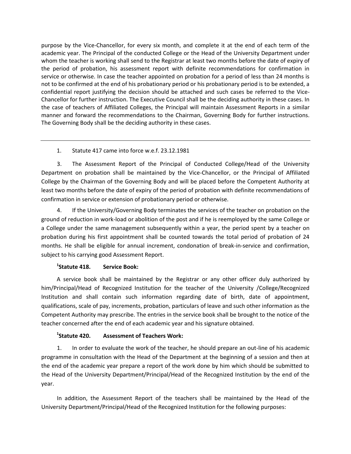purpose by the Vice-Chancellor, for every six month, and complete it at the end of each term of the academic year. The Principal of the conducted College or the Head of the University Department under whom the teacher is working shall send to the Registrar at least two months before the date of expiry of the period of probation, his assessment report with definite recommendations for confirmation in service or otherwise. In case the teacher appointed on probation for a period of less than 24 months is not to be confirmed at the end of his probationary period or his probationary period is to be extended, a confidential report justifying the decision should be attached and such cases be referred to the Vice-Chancellor for further instruction. The Executive Council shall be the deciding authority in these cases. In the case of teachers of Affiliated Colleges, the Principal will maintain Assessment Reports in a similar manner and forward the recommendations to the Chairman, Governing Body for further instructions. The Governing Body shall be the deciding authority in these cases.

# 1. Statute 417 came into force w.e.f. 23.12.1981

3. The Assessment Report of the Principal of Conducted College/Head of the University Department on probation shall be maintained by the Vice-Chancellor, or the Principal of Affiliated College by the Chairman of the Governing Body and will be placed before the Competent Authority at least two months before the date of expiry of the period of probation with definite recommendations of confirmation in service or extension of probationary period or otherwise.

4. If the University/Governing Body terminates the services of the teacher on probation on the ground of reduction in work-load or abolition of the post and if he is reemployed by the same College or a College under the same management subsequently within a year, the period spent by a teacher on probation during his first appointment shall be counted towards the total period of probation of 24 months. He shall be eligible for annual increment, condonation of break-in-service and confirmation, subject to his carrying good Assessment Report.

#### <sup>1</sup>Statute 418. **Service Book:**

A service book shall be maintained by the Registrar or any other officer duly authorized by him/Principal/Head of Recognized Institution for the teacher of the University /College/Recognized Institution and shall contain such information regarding date of birth, date of appointment, qualifications, scale of pay, increments, probation, particulars of leave and such other information as the Competent Authority may prescribe. The entries in the service book shall be brought to the notice of the teacher concerned after the end of each academic year and his signature obtained.

#### <sup>1</sup>Statute 420. **Assessment of Teachers Work:**

1. In order to evaluate the work of the teacher, he should prepare an out-line of his academic programme in consultation with the Head of the Department at the beginning of a session and then at the end of the academic year prepare a report of the work done by him which should be submitted to the Head of the University Department/Principal/Head of the Recognized Institution by the end of the year.

In addition, the Assessment Report of the teachers shall be maintained by the Head of the University Department/Principal/Head of the Recognized Institution for the following purposes: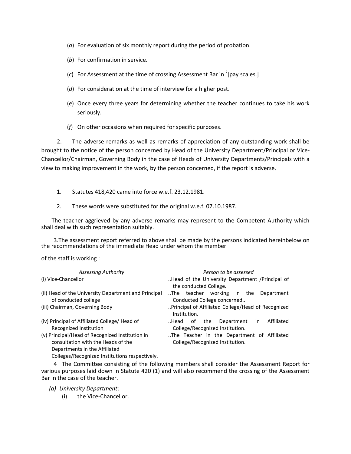- (*a*) For evaluation of six monthly report during the period of probation.
- (*b*) For confirmation in service.
- (*c*) For Assessment at the time of crossing Assessment Bar in 2 [pay scales.]
- (*d*) For consideration at the time of interview for a higher post.
- (*e*) Once every three years for determining whether the teacher continues to take his work seriously.
- (*f*) On other occasions when required for specific purposes.

2. The adverse remarks as well as remarks of appreciation of any outstanding work shall be brought to the notice of the person concerned by Head of the University Department/Principal or Vice-Chancellor/Chairman, Governing Body in the case of Heads of University Departments/Principals with a view to making improvement in the work, by the person concerned, if the report is adverse.

- 1. Statutes 418,420 came into force w.e.f. 23.12.1981.
- 2. These words were substituted for the original w.e.f. 07.10.1987.

The teacher aggrieved by any adverse remarks may represent to the Competent Authority which shall deal with such representation suitably.

3.The assessment report referred to above shall be made by the persons indicated hereinbelow on the recommendations of the immediate Head under whom the member

of the staff is working :

| Person to be assessed                                                                   |  |  |
|-----------------------------------------------------------------------------------------|--|--|
| Head of the University Department /Principal of<br>the conducted College.               |  |  |
| The teacher working<br>in<br>the<br>Department<br>Conducted College concerned           |  |  |
| Principal of Affiliated College/Head of Recognized<br>Institution.                      |  |  |
| Affiliated<br>Department<br>Head<br>the<br>0t<br>in.<br>College/Recognized Institution. |  |  |
| The Teacher in the Department of Affiliated<br>College/Recognized Institution.          |  |  |
|                                                                                         |  |  |

4 The Committee consisting of the following members shall consider the Assessment Report for various purposes laid down in Statute 420 (1) and will also recommend the crossing of the Assessment Bar in the case of the teacher.

*(a) University Department*:

(i) the Vice-Chancellor.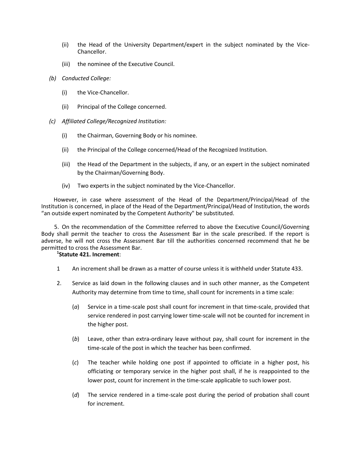- (ii) the Head of the University Department/expert in the subject nominated by the Vice-Chancellor.
- (iii) the nominee of the Executive Council.
- *(b) Conducted College:*
	- (i) the Vice-Chancellor.
	- (ii) Principal of the College concerned.
- *(c) Affiliated College/Recognized Institution:*
	- (i) the Chairman, Governing Body or his nominee.
	- (ii) the Principal of the College concerned/Head of the Recognized Institution.
	- (iii) the Head of the Department in the subjects, if any, or an expert in the subject nominated by the Chairman/Governing Body.
	- (iv) Two experts in the subject nominated by the Vice-Chancellor.

However, in case where assessment of the Head of the Department/Principal/Head of the Institution is concerned, in place of the Head of the Department/Principal/Head of Institution, the words "an outside expert nominated by the Competent Authority" be substituted.

5. On the recommendation of the Committee referred to above the Executive Council/Governing Body shall permit the teacher to cross the Assessment Bar in the scale prescribed. If the report is adverse, he will not cross the Assessment Bar till the authorities concerned recommend that he be permitted to cross the Assessment Bar.

# **1 Statute 421. Increment**:

- 1 An increment shall be drawn as a matter of course unless it is withheld under Statute 433.
- 2. Service as laid down in the following clauses and in such other manner, as the Competent Authority may determine from time to time, shall count for increments in a time scale:
	- (*a*) Service in a time-scale post shall count for increment in that time-scale, provided that service rendered in post carrying lower time-scale will not be counted for increment in the higher post.
	- (*b*) Leave, other than extra-ordinary leave without pay, shall count for increment in the time-scale of the post in which the teacher has been confirmed.
	- (*c*) The teacher while holding one post if appointed to officiate in a higher post, his officiating or temporary service in the higher post shall, if he is reappointed to the lower post, count for increment in the time-scale applicable to such lower post.
	- (*d*) The service rendered in a time-scale post during the period of probation shall count for increment.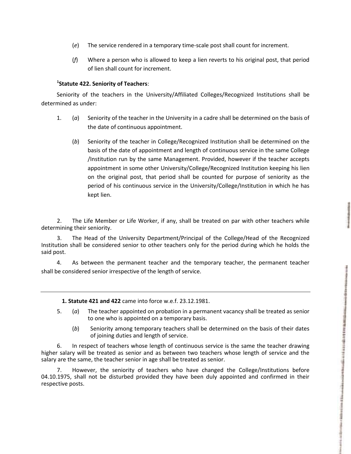(*f*) Where a person who is allowed to keep a lien reverts to his original post, that period

# **1 Statute 422. Seniority of Teachers**:

of lien shall count for increment.

Seniority of the teachers in the University/Affiliated Colleges/Recognized Institutions shall be determined as under:

(*e*) The service rendered in a temporary time-scale post shall count for increment.

- 1. (*a*) Seniority of the teacher in the University in a cadre shall be determined on the basis of the date of continuous appointment.
	- (*b*) Seniority of the teacher in College/Recognized Institution shall be determined on the basis of the date of appointment and length of continuous service in the same College /Institution run by the same Management. Provided, however if the teacher accepts appointment in some other University/College/Recognized Institution keeping his lien on the original post, that period shall be counted for purpose of seniority as the period of his continuous service in the University/College/Institution in which he has kept lien.

2. The Life Member or Life Worker, if any, shall be treated on par with other teachers while determining their seniority.

3. The Head of the University Department/Principal of the College/Head of the Recognized Institution shall be considered senior to other teachers only for the period during which he holds the said post.

4. As between the permanent teacher and the temporary teacher, the permanent teacher shall be considered senior irrespective of the length of service.

**1. Statute 421 and 422** came into force w.e.f. 23.12.1981.

- 5. (*a*) The teacher appointed on probation in a permanent vacancy shall be treated as senior to one who is appointed on a temporary basis.
	- (*b*) Seniority among temporary teachers shall be determined on the basis of their dates of joining duties and length of service.

6. In respect of teachers whose length of continuous service is the same the teacher drawing higher salary will be treated as senior and as between two teachers whose length of service and the salary are the same, the teacher senior in age shall be treated as senior.

7. However, the seniority of teachers who have changed the College/Institutions before 04.10.1975, shall not be disturbed provided they have been duly appointed and confirmed in their respective posts.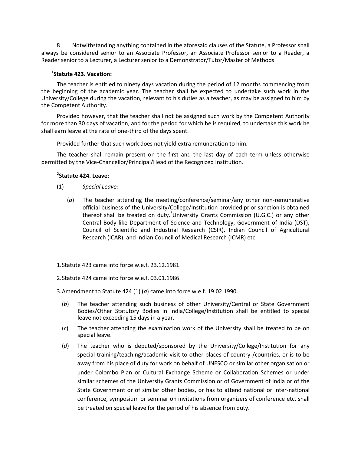Notwithstanding anything contained in the aforesaid clauses of the Statute, a Professor shall always be considered senior to an Associate Professor, an Associate Professor senior to a Reader, a Reader senior to a Lecturer, a Lecturer senior to a Demonstrator/Tutor/Master of Methods.

# **1 Statute 423. Vacation:**

The teacher is entitled to ninety days vacation during the period of 12 months commencing from the beginning of the academic year. The teacher shall be expected to undertake such work in the University/College during the vacation, relevant to his duties as a teacher, as may be assigned to him by the Competent Authority.

Provided however, that the teacher shall not be assigned such work by the Competent Authority for more than 30 days of vacation, and for the period for which he is required, to undertake this work he shall earn leave at the rate of one-third of the days spent.

Provided further that such work does not yield extra remuneration to him.

The teacher shall remain present on the first and the last day of each term unless otherwise permitted by the Vice-Chancellor/Principal/Head of the Recognized Institution.

# **2 Statute 424. Leave:**

- (1) *Special Leave:*
	- (*a*) The teacher attending the meeting/conference/seminar/any other non-remunerative official business of the University/College/Institution provided prior sanction is obtained thereof shall be treated on duty.<sup>3</sup>University Grants Commission (U.G.C.) or any other Central Body like Department of Science and Technology, Government of India (DST), Council of Scientific and Industrial Research (CSIR), Indian Council of Agricultural Research (ICAR), and Indian Council of Medical Research (ICMR) etc.

1.Statute 423 came into force w.e.f. 23.12.1981.

2.Statute 424 came into force w.e.f. 03.01.1986.

3.Amendment to Statute 424 (1) (*a*) came into force w.e.f. 19.02.1990.

- (*b*) The teacher attending such business of other University/Central or State Government Bodies/Other Statutory Bodies in India/College/Institution shall be entitled to special leave not exceeding 15 days in a year.
- (*c*) The teacher attending the examination work of the University shall be treated to be on special leave.
- (*d*) The teacher who is deputed/sponsored by the University/College/Institution for any special training/teaching/academic visit to other places of country /countries, or is to be away from his place of duty for work on behalf of UNESCO or similar other organisation or under Colombo Plan or Cultural Exchange Scheme or Collaboration Schemes or under similar schemes of the University Grants Commission or of Government of India or of the State Government or of similar other bodies, or has to attend national or inter-national conference, symposium or seminar on invitations from organizers of conference etc. shall be treated on special leave for the period of his absence from duty.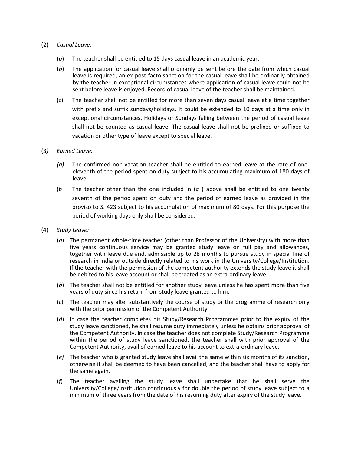#### (2) *Casual Leave:*

- (*a*) The teacher shall be entitled to 15 days casual leave in an academic year.
- (*b*) The application for casual leave shall ordinarily be sent before the date from which casual leave is required, an ex-post-facto sanction for the casual leave shall be ordinarily obtained by the teacher in exceptional circumstances where application of casual leave could not be sent before leave is enjoyed. Record of casual leave of the teacher shall be maintained.
- (*c*) The teacher shall not be entitled for more than seven days casual leave at a time together with prefix and suffix sundays/holidays. It could be extended to 10 days at a time only in exceptional circumstances. Holidays or Sundays falling between the period of casual leave shall not be counted as casual leave. The casual leave shall not be prefixed or suffixed to vacation or other type of leave except to special leave.

#### (3*) Earned Leave:*

- *(a)* The confirmed non-vacation teacher shall be entitled to earned leave at the rate of oneeleventh of the period spent on duty subject to his accumulating maximum of 180 days of leave.
- (*b* The teacher other than the one included in (*a* ) above shall be entitled to one twenty seventh of the period spent on duty and the period of earned leave as provided in the proviso to S. 423 subject to his accumulation of maximum of 80 days. For this purpose the period of working days only shall be considered.
- (4) *Study Leave:*
	- (*a*) The permanent whole-time teacher (other than Professor of the University) with more than five years continuous service may be granted study leave on full pay and allowances, together with leave due and. admissible up to 28 months to pursue study in special line of research in India or outside directly related to his work in the University/College/Institution. If the teacher with the permission of the competent authority extends the study leave it shall be debited to his leave account or shall be treated as an extra-ordinary leave.
	- (*b*) The teacher shall not be entitled for another study leave unless he has spent more than five years of duty since his return from study leave granted to him.
	- (*c*) The teacher may alter substantively the course of study or the programme of research only with the prior permission of the Competent Authority.
	- (*d*) In case the teacher completes his Study/Research Programmes prior to the expiry of the study leave sanctioned, he shall resume duty immediately unless he obtains prior approval of the Competent Authority. In case the teacher does not complete Study/Research Programme within the period of study leave sanctioned, the teacher shall with prior approval of the Competent Authority, avail of earned leave to his account to extra-ordinary leave.
	- (*e)* The teacher who is granted study leave shall avail the same within six months of its sanction, otherwise it shall be deemed to have been cancelled, and the teacher shall have to apply for the same again.
	- (*f*) The teacher availing the study leave shall undertake that he shall serve the University/College/Institution continuously for double the period of study leave subject to a minimum of three years from the date of his resuming duty after expiry of the study leave.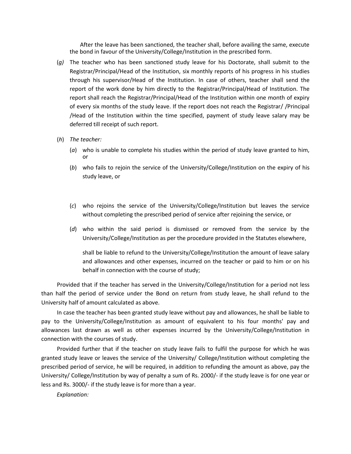After the leave has been sanctioned, the teacher shall, before availing the same, execute the bond in favour of the University/College/Institution in the prescribed form.

- (*g)* The teacher who has been sanctioned study leave for his Doctorate, shall submit to the Registrar/Principal/Head of the Institution, six monthly reports of his progress in his studies through his supervisor/Head of the Institution. In case of others, teacher shall send the report of the work done by him directly to the Registrar/Principal/Head of Institution. The report shall reach the Registrar/Principal/Head of the Institution within one month of expiry of every six months of the study leave. If the report does not reach the Registrar/ /Principal /Head of the Institution within the time specified, payment of study leave salary may be deferred till receipt of such report.
- (*h*) *The teacher:*
	- (*a*) who is unable to complete his studies within the period of study leave granted to him, or
	- (*b*) who fails to rejoin the service of the University/College/Institution on the expiry of his study leave, or
	- (*c*) who rejoins the service of the University/College/Institution but leaves the service without completing the prescribed period of service after rejoining the service, or
	- (*d*) who within the said period is dismissed or removed from the service by the University/College/Institution as per the procedure provided in the Statutes elsewhere,

shall be liable to refund to the University/College/Institution the amount of leave salary and allowances and other expenses, incurred on the teacher or paid to him or on his behalf in connection with the course of study;

Provided that if the teacher has served in the University/College/Institution for a period not less than half the period of service under the Bond on return from study leave, he shall refund to the University half of amount calculated as above.

In case the teacher has been granted study leave without pay and allowances, he shall be liable to pay to the University/College/Institution as amount of equivalent to his four months' pay and allowances last drawn as well as other expenses incurred by the University/College/Institution in connection with the courses of study.

Provided further that if the teacher on study leave fails to fulfil the purpose for which he was granted study leave or leaves the service of the University/ College/Institution without completing the prescribed period of service, he will be required, in addition to refunding the amount as above, pay the University/ College/Institution by way of penalty a sum of Rs. 2000/- if the study leave is for one year or less and Rs. 3000/- if the study leave is for more than a year.

*Explanation:*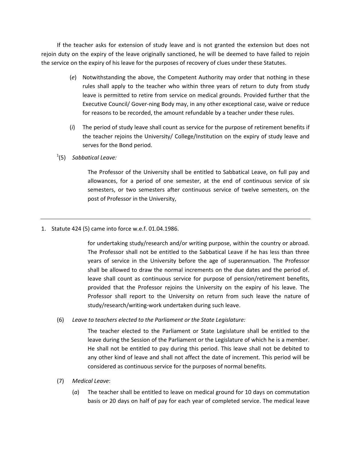If the teacher asks for extension of study leave and is not granted the extension but does not rejoin duty on the expiry of the leave originally sanctioned, he will be deemed to have failed to rejoin the service on the expiry of his leave for the purposes of recovery of clues under these Statutes.

- (*e*) Notwithstanding the above, the Competent Authority may order that nothing in these rules shall apply to the teacher who within three years of return to duty from study leave is permitted to retire from service on medical grounds. Provided further that the Executive Council/ Gover-ning Body may, in any other exceptional case, waive or reduce for reasons to be recorded, the amount refundable by a teacher under these rules.
- (*i*) The period of study leave shall count as service for the purpose of retirement benefits if the teacher rejoins the University/ College/Institution on the expiry of study leave and serves for the Bond period.
- 1 (5) *Sabbatical Leave:*

The Professor of the University shall be entitled to Sabbatical Leave, on full pay and allowances, for a period of one semester, at the end of continuous service of six semesters, or two semesters after continuous service of twelve semesters, on the post of Professor in the University,

1. Statute 424 (5) came into force w.e.f. 01.04.1986.

for undertaking study/research and/or writing purpose, within the country or abroad. The Professor shall not be entitled to the Sabbatical Leave if he has less than three years of service in the University before the age of superannuation. The Professor shall be allowed to draw the normal increments on the due dates and the period of. leave shall count as continuous service for purpose of pension/retirement benefits, provided that the Professor rejoins the University on the expiry of his leave. The Professor shall report to the University on return from such leave the nature of study/research/writing-work undertaken during such leave.

(6) *Leave to teachers elected to the Parliament or the State Legislature:*

The teacher elected to the Parliament or State Legislature shall be entitled to the leave during the Session of the Parliament or the Legislature of which he is a member. He shall not be entitled to pay during this period. This leave shall not be debited to any other kind of leave and shall not affect the date of increment. This period will be considered as continuous service for the purposes of normal benefits.

- (7) *Medical Leave*:
	- (*a*) The teacher shall be entitled to leave on medical ground for 10 days on commutation basis or 20 days on half of pay for each year of completed service. The medical leave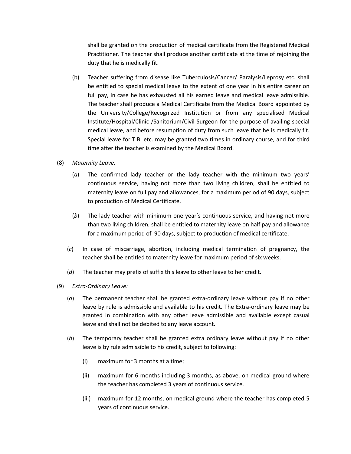shall be granted on the production of medical certificate from the Registered Medical Practitioner. The teacher shall produce another certificate at the time of rejoining the duty that he is medically fit.

- (b) Teacher suffering from disease like Tuberculosis/Cancer/ Paralysis/Leprosy etc. shall be entitled to special medical leave to the extent of one year in his entire career on full pay, in case he has exhausted all his earned leave and medical leave admissible. The teacher shall produce a Medical Certificate from the Medical Board appointed by the University/College/Recognized Institution or from any specialised Medical Institute/Hospital/Clinic /Sanitorium/Civil Surgeon for the purpose of availing special medical leave, and before resumption of duty from such leave that he is medically fit. Special leave for T.B. etc. may be granted two times in ordinary course, and for third time after the teacher is examined by the Medical Board.
- (8) *Maternity Leave:*
	- (*a*) The confirmed lady teacher or the lady teacher with the minimum two years' continuous service, having not more than two living children, shall be entitled to maternity leave on full pay and allowances, for a maximum period of 90 days, subject to production of Medical Certificate.
	- (*b*) The lady teacher with minimum one year's continuous service, and having not more than two living children, shall be entitled to maternity leave on half pay and allowance for a maximum period of 90 days, subject to production of medical certificate.
	- (*c*) In case of miscarriage, abortion, including medical termination of pregnancy, the teacher shall be entitled to maternity leave for maximum period of six weeks.
	- (*d*) The teacher may prefix of suffix this leave to other leave to her credit.
- (9) *Extra-Ordinary Leave:*
	- (*a*) The permanent teacher shall be granted extra-ordinary leave without pay if no other leave by rule is admissible and available to his credit. The Extra-ordinary leave may be granted in combination with any other leave admissible and available except casual leave and shall not be debited to any leave account.
	- (*b*) The temporary teacher shall be granted extra ordinary leave without pay if no other leave is by rule admissible to his credit, subject to following:
		- (i) maximum for 3 months at a time;
		- (ii) maximum for 6 months including 3 months, as above, on medical ground where the teacher has completed 3 years of continuous service.
		- (iii) maximum for 12 months, on medical ground where the teacher has completed 5 years of continuous service.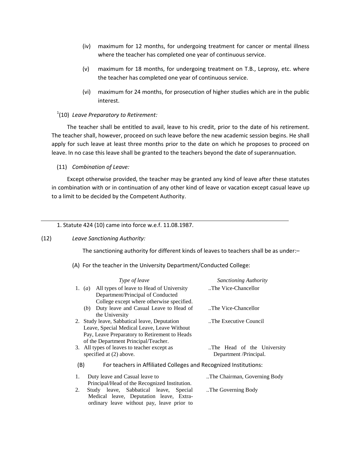- (iv) maximum for 12 months, for undergoing treatment for cancer or mental illness where the teacher has completed one year of continuous service.
- (v) maximum for 18 months, for undergoing treatment on T.B., Leprosy, etc. where the teacher has completed one year of continuous service.
- (vi) maximum for 24 months, for prosecution of higher studies which are in the public interest.

# 1 (10) *Leave Preparatory to Retirement:*

The teacher shall be entitled to avail, leave to his credit, prior to the date of his retirement. The teacher shall, however, proceed on such leave before the new academic session begins. He shall apply for such leave at least three months prior to the date on which he proposes to proceed on leave. In no case this leave shall be granted to the teachers beyond the date of superannuation.

#### (11) *Combination of Leave:*

Except otherwise provided, the teacher may be granted any kind of leave after these statutes in combination with or in continuation of any other kind of leave or vacation except casual leave up to a limit to be decided by the Competent Authority.

#### 1. Statute 424 (10) came into force w.e.f. 11.08.1987.

#### (12) *Leave Sanctioning Authority:*

The sanctioning authority for different kinds of leaves to teachers shall be as under:–

(A) For the teacher in the University Department/Conducted College:

|     | <i>Type of leave</i>                                             | <b>Sanctioning Authority</b> |
|-----|------------------------------------------------------------------|------------------------------|
|     | 1. (a) All types of leave to Head of University                  | The Vice-Chancellor          |
|     | Department/Principal of Conducted                                |                              |
|     | College except where otherwise specified.                        |                              |
|     | (b) Duty leave and Casual Leave to Head of                       | The Vice-Chancellor          |
|     | the University                                                   |                              |
|     | 2. Study leave, Sabbatical leave, Deputation                     | The Executive Council.       |
|     | Leave, Special Medical Leave, Leave Without                      |                              |
|     | Pay, Leave Preparatory to Retirement to Heads                    |                              |
|     | of the Department Principal/Teacher.                             |                              |
|     | 3. All types of leaves to teacher except as                      | The Head of the University   |
|     | specified at (2) above.                                          | Department/Principal.        |
| (B) | For teachers in Affiliated Colleges and Recognized Institutions: |                              |
| 1.  | Duty leave and Casual leave to                                   | The Chairman, Governing Body |
|     | Principal/Head of the Recognized Institution.                    |                              |
| 2.  | Study leave, Sabbatical leave, Special                           | The Governing Body           |
|     | Medical leave, Deputation leave, Extra-                          |                              |
|     | ordinary leave without pay, leave prior to                       |                              |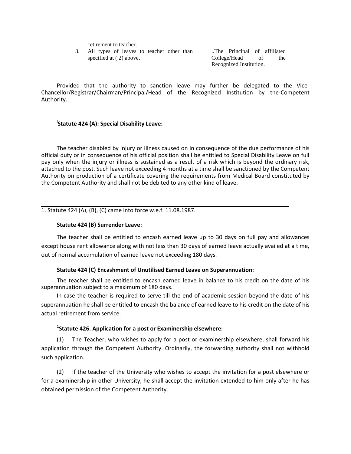retirement to teacher.

3. All types of leaves to teacher other than specified at ( 2) above.

..The Principal of affiliated College/Head of the Recognized Institution.

Provided that the authority to sanction leave may further be delegated to the Vice-Chancellor/Registrar/Chairman/Principal/Head of the Recognized Institution by the-Competent Authority.

# **l Statute 424 (A): Special Disability Leave:**

The teacher disabled by injury or illness caused on in consequence of the due performance of his official duty or in consequence of his official position shall be entitled to Special Disability Leave on full pay only when the injury or illness is sustained as a result of a risk which is beyond the ordinary risk, attached to the post. Such leave not exceeding 4 months at a time shall be sanctioned by the Competent Authority on production of a certificate covering the requirements from Medical Board constituted by the Competent Authority and shall not be debited to any other kind of leave.

1. Statute 424 (A), (B), (C) came into force w.e.f. 11.08.1987.

#### **Statute 424 (B) Surrender Leave:**

The teacher shall be entitled to encash earned leave up to 30 days on full pay and allowances except house rent allowance along with not less than 30 days of earned leave actually availed at a time, out of normal accumulation of earned leave not exceeding 180 days.

### **Statute 424 (C) Encashment of Unutilised Earned Leave on Superannuation:**

The teacher shall be entitled to encash earned leave in balance to his credit on the date of his superannuation subject to a maximum of 180 days.

In case the teacher is required to serve till the end of academic session beyond the date of his superannuation he shall be entitled to encash the balance of earned leave to his credit on the date of his actual retirement from service.

# **1 Statute 426. Application for a post or Examinership elsewhere:**

(1) The Teacher, who wishes to apply for a post or examinership elsewhere, shall forward his application through the Competent Authority. Ordinarily, the forwarding authority shall not withhold such application.

(2) If the teacher of the University who wishes to accept the invitation for a post elsewhere or for a examinership in other University, he shall accept the invitation extended to him only after he has obtained permission of the Competent Authority.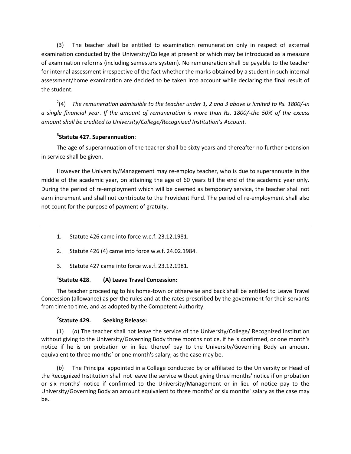(3) The teacher shall be entitled to examination remuneration only in respect of external examination conducted by the University/College at present or which may be introduced as a measure of examination reforms (including semesters system). No remuneration shall be payable to the teacher for internal assessment irrespective of the fact whether the marks obtained by a student in such internal assessment/home examination are decided to be taken into account while declaring the final result of the student.

2 (4) *The remuneration admissible to the teacher under 1, 2 and 3 above is limited to Rs. 1800/-in a single financial year. If the amount of remuneration is more than Rs. 1800/-the 50% of the excess amount shall be credited to University/College/Recognized Institution's Account.*

# **3 Statute 427. Superannuation**:

The age of superannuation of the teacher shall be sixty years and thereafter no further extension in service shall be given.

However the University/Management may re-employ teacher, who is due to superannuate in the middle of the academic year, on attaining the age of 60 years till the end of the academic year only. During the period of re-employment which will be deemed as temporary service, the teacher shall not earn increment and shall not contribute to the Provident Fund. The period of re-employment shall also not count for the purpose of payment of gratuity.

- 1. Statute 426 came into force w.e.f. 23.12.1981.
- 2. Statute 426 (4) came into force w.e.f. 24.02.1984.
- 3. Statute 427 came into force w.e.f. 23.12.1981.

#### <sup>1</sup>Statute 428. **Statute 428**. **(A) Leave Travel Concession:**

The teacher proceeding to his home-town or otherwise and back shall be entitled to Leave Travel Concession (allowance) as per the rules and at the rates prescribed by the government for their servants from time to time, and as adopted by the Competent Authority.

#### <sup>2</sup>Statute 429. **Seeking Release:**

(1) (*a*) The teacher shall not leave the service of the University/College/ Recognized Institution without giving to the University/Governing Body three months notice, if he is confirmed, or one month's notice if he is on probation or in lieu thereof pay to the University/Governing Body an amount equivalent to three months' or one month's salary, as the case may be.

(*b*) The Principal appointed in a College conducted by or affiliated to the University or Head of the Recognized Institution shall not leave the service without giving three months' notice if on probation or six months' notice if confirmed to the University/Management or in lieu of notice pay to the University/Governing Body an amount equivalent to three months' or six months' salary as the case may be.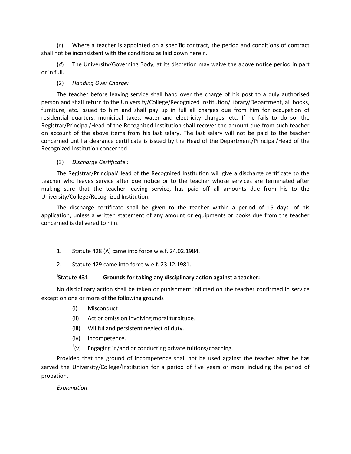(*c*) Where a teacher is appointed on a specific contract, the period and conditions of contract shall not be inconsistent with the conditions as laid down herein.

(*d*) The University/Governing Body, at its discretion may waive the above notice period in part or in full.

### (2) *Handing Over Charge:*

The teacher before leaving service shall hand over the charge of his post to a duly authorised person and shall return to the University/College/Recognized Institution/Library/Department, all books, furniture, etc. issued to him and shall pay up in full all charges due from him for occupation of residential quarters, municipal taxes, water and electricity charges, etc. If he fails to do so, the Registrar/Principal/Head of the Recognized Institution shall recover the amount due from such teacher on account of the above items from his last salary. The last salary will not be paid to the teacher concerned until a clearance certificate is issued by the Head of the Department/Principal/Head of the Recognized Institution concerned

#### (3) *Discharge Certificate :*

The Registrar/Principal/Head of the Recognized Institution will give a discharge certificate to the teacher who leaves service after due notice or to the teacher whose services are terminated after making sure that the teacher leaving service, has paid off all amounts due from his to the University/College/Recognized Institution.

The discharge certificate shall be given to the teacher within a period of 15 days .of his application, unless a written statement of any amount or equipments or books due from the teacher concerned is delivered to him.

- 1. Statute 428 (A) came into force w.e.f. 24.02.1984.
- 2. Statute 429 came into force w.e.f. 23.12.1981.

#### Statute 431 **Statute 431**. **Grounds for taking any disciplinary action against a teacher:**

No disciplinary action shall be taken or punishment inflicted on the teacher confirmed in service except on one or more of the following grounds :

- (i) Misconduct
- (ii) Act or omission involving moral turpitude.
- (iii) Willful and persistent neglect of duty.
- (iv) Incompetence.
- $2(v)$  Engaging in/and or conducting private tuitions/coaching.

Provided that the ground of incompetence shall not be used against the teacher after he has served the University/College/Institution for a period of five years or more including the period of probation.

*Explanation*: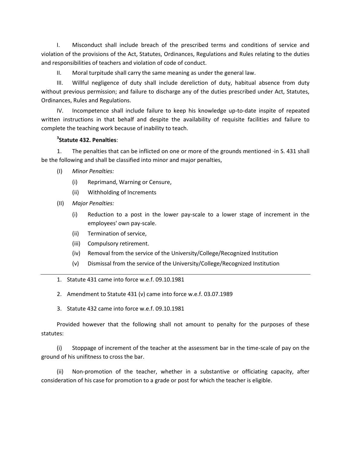I. Misconduct shall include breach of the prescribed terms and conditions of service and violation of the provisions of the Act, Statutes, Ordinances, Regulations and Rules relating to the duties and responsibilities of teachers and violation of code of conduct.

II. Moral turpitude shall carry the same meaning as under the general law.

III. Willful negligence of duty shall include dereliction of duty, habitual absence from duty without previous permission; and failure to discharge any of the duties prescribed under Act, Statutes, Ordinances, Rules and Regulations.

IV. Incompetence shall include failure to keep his knowledge up-to-date inspite of repeated written instructions in that behalf and despite the availability of requisite facilities and failure to complete the teaching work because of inability to teach.

# **3 Statute 432. Penalties**:

1. The penalties that can be inflicted on one or more of the grounds mentioned ·in S. 431 shall be the following and shall be classified into minor and major penalties,

- (I) *Minor Penalties:*
	- (i) Reprimand, Warning or Censure,
	- (ii) Withholding of Increments
- (II) *Major Penalties:*
	- (i) Reduction to a post in the lower pay-scale to a lower stage of increment in the employees' own pay-scale.
	- (ii) Termination of service,
	- (iii) Compulsory retirement.
	- (iv) Removal from the service of the University/College/Recognized Institution
	- (v) Dismissal from the service of the University/College/Recognized Institution
- 1. Statute 431 came into force w.e.f. 09.10.1981
- 2. Amendment to Statute 431 (v) came into force w.e.f. 03.07.1989
- 3. Statute 432 came into force w.e.f. 09.10.1981

Provided however that the following shall not amount to penalty for the purposes of these statutes:

(i) Stoppage of increment of the teacher at the assessment bar in the time-scale of pay on the ground of his unifitness to cross the bar.

(ii) Non-promotion of the teacher, whether in a substantive or officiating capacity, after consideration of his case for promotion to a grade or post for which the teacher is eligible.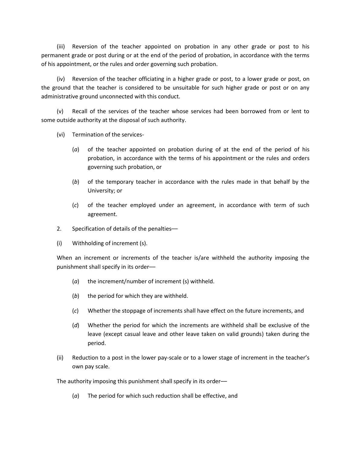(iii) Reversion of the teacher appointed on probation in any other grade or post to his permanent grade or post during or at the end of the period of probation, in accordance with the terms of his appointment, or the rules and order governing such probation.

(iv) Reversion of the teacher officiating in a higher grade or post, to a lower grade or post, on the ground that the teacher is considered to be unsuitable for such higher grade or post or on any administrative ground unconnected with this conduct.

(v) Recall of the services of the teacher whose services had been borrowed from or lent to some outside authority at the disposal of such authority.

(vi) Termination of the services-

- (*a*) of the teacher appointed on probation during of at the end of the period of his probation, in accordance with the terms of his appointment or the rules and orders governing such probation, or
- (*b*) of the temporary teacher in accordance with the rules made in that behalf by the University; or
- (*c*) of the teacher employed under an agreement, in accordance with term of such agreement.
- 2. Specification of details of the penalties––
- (i) Withholding of increment (s).

When an increment or increments of the teacher is/are withheld the authority imposing the punishment shall specify in its order-

- (*a*) the increment/number of increment (s) withheld.
- (*b*) the period for which they are withheld.
- (*c*) Whether the stoppage of increments shall have effect on the future increments, and
- (*d*) Whether the period for which the increments are withheld shall be exclusive of the leave (except casual leave and other leave taken on valid grounds) taken during the period.
- (ii) Reduction to a post in the lower pay-scale or to a lower stage of increment in the teacher's own pay scale.

The authority imposing this punishment shall specify in its order––

(*a*) The period for which such reduction shall be effective, and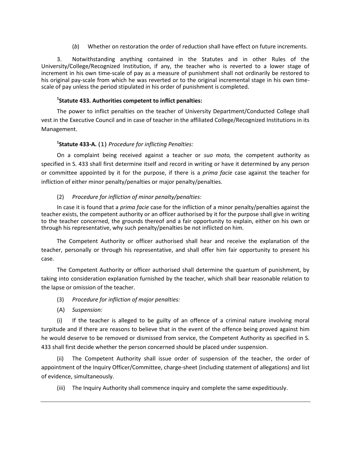(*b*) Whether on restoration the order of reduction shall have effect on future increments.

3. Notwithstanding anything contained in the Statutes and in other Rules of the University/College/Recognized Institution, if any, the teacher who is reverted to a lower stage of increment in his own time-scale of pay as a measure of punishment shall not ordinarily be restored to his original pay-scale from which he was reverted or to the original incremental stage in his own timescale of pay unless the period stipulated in his order of punishment is completed.

# **1 Statute 433. Authorities competent to inflict penalties:**

The power to inflict penalties on the teacher of University Department/Conducted College shall vest in the Executive Council and in case of teacher in the affiliated College/Recognized Institutions in its Management.

# **1 Statute 433-A.** (1) *Procedure for inflicting Penalties:*

On a complaint being received against a teacher or *suo moto,* the competent authority as specified in S. 433 shall first determine itself and record in writing or have it determined by any person or committee appointed by it for the purpose, if there is a *prima facie* case against the teacher for infliction of either minor penalty/penalties or major penalty/penalties.

# (2) *Procedure for infliction of minor penalty/penalties:*

In case it is found that a *prima facie* case for the infliction of a minor penalty/penalties against the teacher exists, the competent authority or an officer authorised by it for the purpose shall give in writing to the teacher concerned, the grounds thereof and a fair opportunity to explain, either on his own or through his representative, why such penalty/penalties be not inflicted on him.

The Competent Authority or officer authorised shall hear and receive the explanation of the teacher, personally or through his representative, and shall offer him fair opportunity to present his case.

The Competent Authority or officer authorised shall determine the quantum of punishment, by taking into consideration explanation furnished by the teacher, which shall bear reasonable relation to the lapse or omission of the teacher.

- (3) *Procedure for infliction of major penalties:*
- (A) *Suspension:*

(i) If the teacher is alleged to be guilty of an offence of a criminal nature involving moral turpitude and if there are reasons to believe that in the event of the offence being proved against him he would deserve to be removed or dismissed from service, the Competent Authority as specified in S. 433 shall first decide whether the person concerned should be placed under suspension.

(ii) The Competent Authority shall issue order of suspension of the teacher, the order of appointment of the Inquiry Officer/Committee, charge-sheet (including statement of allegations) and list of evidence, simultaneously.

(iii) The Inquiry Authority shall commence inquiry and complete the same expeditiously.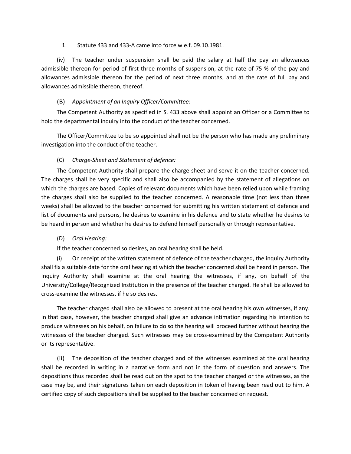### 1. Statute 433 and 433-A came into force w.e.f. 09.10.1981.

(iv) The teacher under suspension shall be paid the salary at half the pay an allowances admissible thereon for period of first three months of suspension, at the rate of 75 % of the pay and allowances admissible thereon for the period of next three months, and at the rate of full pay and allowances admissible thereon, thereof.

# (B) *Appointment of an Inquiry Officer/Committee:*

The Competent Authority as specified in S. 433 above shall appoint an Officer or a Committee to hold the departmental inquiry into the conduct of the teacher concerned.

The Officer/Committee to be so appointed shall not be the person who has made any preliminary investigation into the conduct of the teacher.

# (C) *Charge-Sheet and Statement of defence:*

The Competent Authority shall prepare the charge-sheet and serve it on the teacher concerned. The charges shall be very specific and shall also be accompanied by the statement of allegations on which the charges are based. Copies of relevant documents which have been relied upon while framing the charges shall also be supplied to the teacher concerned. A reasonable time (not less than three weeks) shall be allowed to the teacher concerned for submitting his written statement of defence and list of documents and persons, he desires to examine in his defence and to state whether he desires to be heard in person and whether he desires to defend himself personally or through representative.

### (D) *Oral Hearing:*

If the teacher concerned so desires, an oral hearing shall be held.

(i) On receipt of the written statement of defence of the teacher charged, the inquiry Authority shall fix a suitable date for the oral hearing at which the teacher concerned shall be heard in person. The Inquiry Authority shall examine at the oral hearing the witnesses, if any, on behalf of the University/College/Recognized Institution in the presence of the teacher charged. He shall be allowed to cross-examine the witnesses, if he so desires.

The teacher charged shall also be allowed to present at the oral hearing his own witnesses, if any. In that case, however, the teacher charged shall give an advance intimation regarding his intention to produce witnesses on his behalf, on failure to do so the hearing will proceed further without hearing the witnesses of the teacher charged. Such witnesses may be cross-examined by the Competent Authority or its representative.

(ii) The deposition of the teacher charged and of the witnesses examined at the oral hearing shall be recorded in writing in a narrative form and not in the form of question and answers. The depositions thus recorded shall be read out on the spot to the teacher charged or the witnesses, as the case may be, and their signatures taken on each deposition in token of having been read out to him. A certified copy of such depositions shall be supplied to the teacher concerned on request.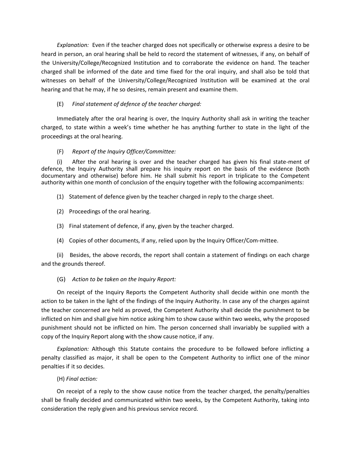*Explanation:* Even if the teacher charged does not specifically or otherwise express a desire to be heard in person, an oral hearing shall be held to record the statement of witnesses, if any, on behalf of the University/College/Recognized Institution and to corraborate the evidence on hand. The teacher charged shall be informed of the date and time fixed for the oral inquiry, and shall also be told that witnesses on behalf of the University/College/Recognized Institution will be examined at the oral hearing and that he may, if he so desires, remain present and examine them.

# (E) *Final statement of defence of the teacher charged:*

Immediately after the oral hearing is over, the Inquiry Authority shall ask in writing the teacher charged, to state within a week's time whether he has anything further to state in the light of the proceedings at the oral hearing.

### (F) *Report of the Inquiry Officer/Committee:*

(i) After the oral hearing is over and the teacher charged has given his final state-ment of defence, the Inquiry Authority shall prepare his inquiry report on the basis of the evidence (both documentary and otherwise) before him. He shall submit his report in triplicate to the Competent authority within one month of conclusion of the enquiry together with the following accompaniments:

- (1) Statement of defence given by the teacher charged in reply to the charge sheet.
- (2) Proceedings of the oral hearing.
- (3) Final statement of defence, if any, given by the teacher charged.
- (4) Copies of other documents, if any, relied upon by the Inquiry Officer/Com-mittee.

(ii) Besides, the above records, the report shall contain a statement of findings on each charge and the grounds thereof.

### (G) *Action to be taken on the Inquiry Report:*

On receipt of the Inquiry Reports the Competent Authority shall decide within one month the action to be taken in the light of the findings of the Inquiry Authority. In case any of the charges against the teacher concerned are held as proved, the Competent Authority shall decide the punishment to be inflicted on him and shall give him notice asking him to show cause within two weeks, why the proposed punishment should not be inflicted on him. The person concerned shall invariably be supplied with a copy of the Inquiry Report along with the show cause notice, if any.

*Explanation:* Although this Statute contains the procedure to be followed before inflicting a penalty classified as major, it shall be open to the Competent Authority to inflict one of the minor penalties if it so decides.

### (H) *Final action:*

On receipt of a reply to the show cause notice from the teacher charged, the penalty/penalties shall be finally decided and communicated within two weeks, by the Competent Authority, taking into consideration the reply given and his previous service record.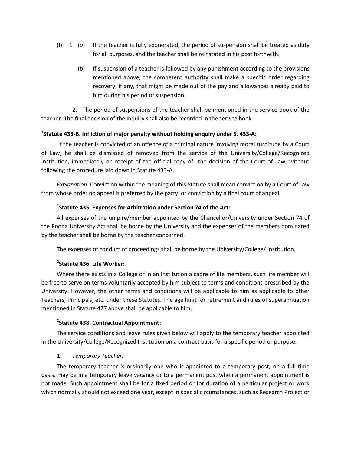- (I) 1 (*a*) If the teacher is fully exonerated, the period of suspension shall be treated as duty for all purposes, and the teacher shall be reinstated in his post forthwith.
	- (*b*) If suspension of a teacher is followed by any punishment according to the provisions mentioned above, the competent authority shall make a specific order regarding recovery, if any, that might be made out of the pay and allowances already paid to him during his period of suspension.

2. The period of suspensions of the teacher shall be mentioned in the service book of the teacher. The final decision of the inquiry shall also be recorded in the service book.

# **1 Statute 433-B. Infliction of major penalty without holding enquiry under S. 433-A:**

If the teacher is convicted of an offence of a criminal nature involving moral turpitude by a Court of Law, he shall be dismissed of removed from the service of the University/College/Recognized Institution, immediately on receipt of the official copy of the decision of the Court of Law, without following the procedure laid down in Statute 433-A.

*Explanation:* Conviction within the meaning of this Statute shall mean conviction by a Court of Law from whose order no appeal is preferred by the party, or conviction by a final court of appeal.

# **1 Statute 435. Expenses for Arbitration under Section 74 of the Act:**

All expenses of the umpire/member appointed by the Chancellor/University under Section 74 of the Poona University Act shall be borne by the University and the expenses of the members nominated by the teacher shall be borne by the teacher concerned.

The expenses of conduct of proceedings shall be borne by the University/College/ Institution.

# **2 Statute 436. Life Worker:**

Where there exists in a College or in an Institution a cadre of life members, such life member will be free to serve on terms voluntarily accepted by him subject to terms and conditions prescribed by the University. However, the other terms and conditions will be applicable to him as applicable to other Teachers, Principals, etc. under these Statutes. The age limit for retirement and rules of superannuation mentioned in Statute 427 above shall be applicable to him.

# **2 Statute 438. Contractual Appointment:**

The service conditions and leave rules given below will apply to the temporary teacher appointed in the University/College/Recognized Institution on a contract basis for a specific period or purpose.

# 1. *Temporary Teacher:*

The temporary teacher is ordinarily one who is appointed to a temporary post, on a full-time basis, may be in a temporary leave vacancy or to a permanent post when a permanent appointment is not made. Such appointment shall be for a fixed period or for duration of a particular project or work which normally should not exceed one year, except in special circumstances, such as Research Project or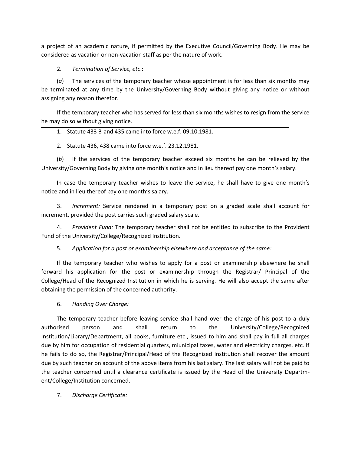a project of an academic nature, if permitted by the Executive Council/Governing Body. He may be considered as vacation or non-vacation staff as per the nature of work.

2*. Termination of Service, etc*.:

(*a*) The services of the temporary teacher whose appointment is for less than six months may be terminated at any time by the University/Governing Body without giving any notice or without assigning any reason therefor.

If the temporary teacher who has served for less than six months wishes to resign from the service he may do so without giving notice.

- 1. Statute 433 B-and 435 came into force w.e.f. 09.10.1981.
- 2. Statute 436, 438 came into force w.e.f. 23.12.1981.

(*b*) If the services of the temporary teacher exceed six months he can be relieved by the University/Governing Body by giving one month's notice and in lieu thereof pay one month's salary.

In case the temporary teacher wishes to leave the service, he shall have to give one month's notice and in lieu thereof pay one month's salary.

3. *Increment:* Service rendered in a temporary post on a graded scale shall account for increment, provided the post carries such graded salary scale.

4. *Provident Fund:* The temporary teacher shall not be entitled to subscribe to the Provident Fund of the University/College/Recognized Institution.

5. *Application for a post or examinership elsewhere and acceptance of the same:*

If the temporary teacher who wishes to apply for a post or examinership elsewhere he shall forward his application for the post or examinership through the Registrar/ Principal of the College/Head of the Recognized Institution in which he is serving. He will also accept the same after obtaining the permission of the concerned authority.

6. *Handing Over Charge:*

The temporary teacher before leaving service shall hand over the charge of his post to a duly authorised person and shall return to the University/College/Recognized Institution/Library/Department, all books, furniture etc., issued to him and shall pay in full all charges due by him for occupation of residential quarters, miunicipal taxes, water and electricity charges, etc. If he fails to do so, the Registrar/Principal/Head of the Recognized Institution shall recover the amount due by such teacher on account of the above items from his last salary. The last salary will not be paid to the teacher concerned until a clearance certificate is issued by the Head of the University Department/College/Institution concerned.

7. *Discharge Certificate:*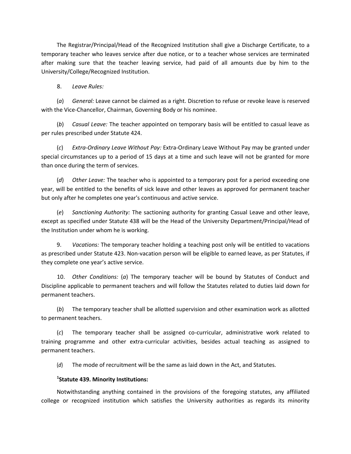The Registrar/Principal/Head of the Recognized Institution shall give a Discharge Certificate, to a temporary teacher who leaves service after due notice, or to a teacher whose services are terminated after making sure that the teacher leaving service, had paid of all amounts due by him to the University/College/Recognized Institution.

8. *Leave Rules:* 

(*a*) *General:* Leave cannot be claimed as a right. Discretion to refuse or revoke leave is reserved with the Vice-Chancellor, Chairman, Governing Body or his nominee.

(*b*) *Casual Leave:* The teacher appointed on temporary basis will be entitled to casual leave as per rules prescribed under Statute 424.

(*c*) *Extra-Ordinary Leave Without Pay:* Extra-Ordinary Leave Without Pay may be granted under special circumstances up to a period of 15 days at a time and such leave will not be granted for more than once during the term of services.

(*d*) *Other Leave:* The teacher who is appointed to a temporary post for a period exceeding one year, will be entitled to the benefits of sick leave and other leaves as approved for permanent teacher but only after he completes one year's continuous and active service.

(*e*) *Sanctioning Authority:* The sactioning authority for granting Casual Leave and other leave, except as specified under Statute 438 will be the Head of the University Department/Principal/Head of the Institution under whom he is working.

9. *Vacations:* The temporary teacher holding a teaching post only will be entitled to vacations as prescribed under Statute 423. Non-vacation person will be eligible to earned leave, as per Statutes, if they complete one year's active service.

10. *Other Conditions:* (*a*) The temporary teacher will be bound by Statutes of Conduct and Discipline applicable to permanent teachers and will follow the Statutes related to duties laid down for permanent teachers.

(*b*) The temporary teacher shall be allotted supervision and other examination work as allotted to permanent teachers.

(*c*) The temporary teacher shall be assigned co-curricular, administrative work related to training programme and other extra-curricular activities, besides actual teaching as assigned to permanent teachers.

(*d*) The mode of recruitment will be the same as laid down in the Act, and Statutes.

# **1 Statute 439. Minority Institutions:**

Notwithstanding anything contained in the provisions of the foregoing statutes, any affiliated college or recognized institution which satisfies the University authorities as regards its minority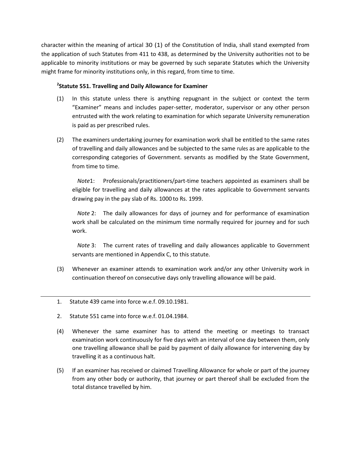character within the meaning of artical 30 (1) of the Constitution of India, shall stand exempted from the application of such Statutes from 411 to 438, as determined by the University authorities not to be applicable to minority institutions or may be governed by such separate Statutes which the University might frame for minority institutions only, in this regard, from time to time.

# **2 Statute 551. Travelling and Daily Allowance for Examiner**

- (1) In this statute unless there is anything repugnant in the subject or context the term "Examiner" means and includes paper-setter, moderator, supervisor or any other person entrusted with the work relating to examination for which separate University remuneration is paid as per prescribed rules.
- (2) The examiners undertaking journey for examination work shall be entitled to the same rates of travelling and daily allowances and be subjected to the same rules as are applicable to the corresponding categories of Government. servants as modified by the State Government, from time to time.

*Note*1: Professionals/practitioners/part-time teachers appointed as examiners shall be eligible for travelling and daily allowances at the rates applicable to Government servants drawing pay in the pay slab of Rs. 1000 to Rs. 1999.

*Note* 2: The daily allowances for days of journey and for performance of examination work shall be calculated on the minimum time normally required for journey and for such work.

*Note* 3: The current rates of travelling and daily allowances applicable to Government servants are mentioned in Appendix C, to this statute.

- (3) Whenever an examiner attends to examination work and/or any other University work in continuation thereof on consecutive days only travelling allowance will be paid.
- 1. Statute 439 came into force w.e.f. 09.10.1981.
- 2. Statute 551 came into force w.e.f. 01.04.1984.
- (4) Whenever the same examiner has to attend the meeting or meetings to transact examination work continuously for five days with an interval of one day between them, only one travelling allowance shall be paid by payment of daily allowance for intervening day by travelling it as a continuous halt.
- (5) If an examiner has received or claimed Travelling Allowance for whole or part of the journey from any other body or authority, that journey or part thereof shall be excluded from the total distance travelled by him.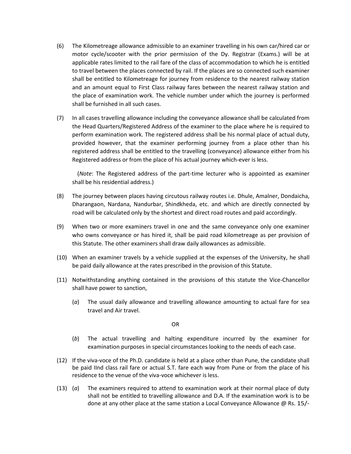- (6) The Kilometreage allowance admissible to an examiner travelling in his own car/hired car or motor cycle/scooter with the prior permission of the Dy. Registrar (Exams.) will be at applicable rates limited to the rail fare of the class of accommodation to which he is entitled to travel between the places connected by rail. If the places are so connected such examiner shall be entitled to Kilometreage for journey from residence to the nearest railway station and an amount equal to First Class railway fares between the nearest railway station and the place of examination work. The vehicle number under which the journey is performed shall be furnished in all such cases.
- (7) In all cases travelling allowance including the conveyance allowance shall be calculated from the Head Quarters/Registered Address of the examiner to the place where he is required to perform examination work. The registered address shall be his normal place of actual duty, provided however, that the examiner performing journey from a place other than his registered address shall be entitled to the travelling (conveyance) allowance either from his Registered address or from the place of his actual journey which-ever is less.

(*Note*: The Registered address of the part-time lecturer who is appointed as examiner shall be his residential address.)

- (8) The journey between places having circutous railway routes i.e. Dhule, Amalner, Dondaicha, Dharangaon, Nardana, Nandurbar, Shindkheda, etc. and which are directly connected by road will be calculated only by the shortest and direct road routes and paid accordingly.
- (9) When two or more examiners travel in one and the same conveyance only one examiner who owns conveyance or has hired it, shall be paid road kilometreage as per provision of this Statute. The other examiners shall draw daily allowances as admissible.
- (10) When an examiner travels by a vehicle supplied at the expenses of the University, he shall be paid daily allowance at the rates prescribed in the provision of this Statute.
- (11) Notwithstanding anything contained in the provisions of this statute the Vice-Chancellor shall have power to sanction,
	- (*a*) The usual daily allowance and travelling allowance amounting to actual fare for sea travel and Air travel.

OR

- (*b*) The actual travelling and halting expenditure incurred by the examiner for examination purposes in special circumstances looking to the needs of each case.
- (12) If the viva-voce of the Ph.D. candidate is held at a place other than Pune, the candidate shall be paid IInd class rail fare or actual S.T. fare each way from Pune or from the place of his residence to the venue of the viva-voce whichever isless.
- (13) (*a*) The examiners required to attend to examination work at their normal place of duty shall not be entitled to travelling allowance and D.A. If the examination work is to be done at any other place at the same station a Local Conveyance Allowance @ Rs. 15/-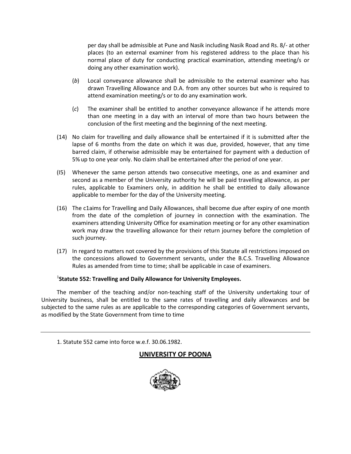per day shall be admissible at Pune and Nasik including Nasik Road and Rs. 8/- at other places (to an external examiner from his registered address to the place than his normal place of duty for conducting practical examination, attending meeting/s or doing any other examination work).

- (*b*) Local conveyance allowance shall be admissible to the external examiner who has drawn Travelling Allowance and D.A. from any other sources but who is required to attend examination meeting/s or to do any examination work.
- (*c*) The examiner shall be entitled to another conveyance allowance if he attends more than one meeting in a day with an interval of more than two hours between the conclusion of the first meeting and the beginning of the next meeting.
- (14) No claim for travelling and daily allowance shall be entertained if it is submitted after the lapse of 6 months from the date on which it was due, provided, however, that any time barred claim, if otherwise admissible may be entertained for payment with a deduction of 5% up to one year only. No claim shall be entertained after the period of one year.
- (I5) Whenever the same person attends two consecutive meetings, one as and examiner and second as a member of the University authority he will be paid travelling allowance, as per rules, applicable to Examiners only, in addition he shall be entitled to daily allowance applicable to member for the day of the University meeting.
- (16) The c1aims for Travelling and Daily Allowances, shall become due after expiry of one month from the date of the completion of journey in connection with the examination. The examiners attending University Office for examination meeting or for any other examination work may draw the travelling allowance for their return journey before the completion of such journey.
- (17) In regard to matters not covered by the provisions of this Statute all restrictions imposed on the concessions allowed to Government servants, under the B.C.S. Travelling Allowance Rules as amended from time to time; shall be applicable in case of examiners.

## 1 **Statute 552: Travelling and Daily Allowance for University Employees.**

The member of the teaching and/or non-teaching staff of the University undertaking tour of University business, shall be entitled to the same rates of travelling and daily allowances and be subjected to the same rules as are applicable to the corresponding categories of Government servants, as modified by the State Government from time to time

1. Statute 552 came into force w.e.f. 30.06.1982.

# **UNIVERSITY OF POONA**

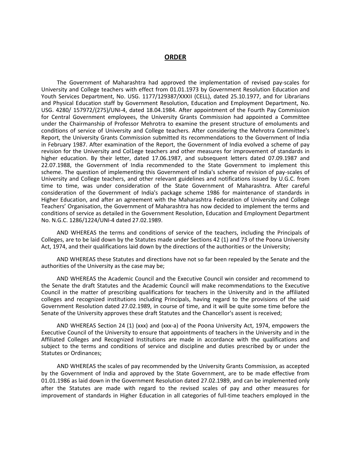#### **ORDER**

The Government of Maharashtra had approved the implementation of revised pay-scales for University and College teachers with effect from 01.01.1973 by Government Resolution Education and Youth Services Department, No. USG. 1177/129387/XXXII (CELL), dated 25.10.1977, and for Librarians and Physical Education staff by Government Resolution, Education and Employment Department, No. USG. 4280/ 157972/(275)/UNI-4, dated 18.04.1984. After appointment of the Fourth Pay Commission for Central Government employees, the University Grants Commission had appointed a Committee under the Chairmanship of Professor Mehrotra to examine the present structure of emoluments and conditions of service of University and College teachers. After considering the Mehrotra Committee's Report, the University Grants Commission submitted its recommendations to the Government of India in February 1987. After examination of the Report, the Government of India evolved a scheme of pay revision for the University and Col1ege teachers and other measures for improvement of standards in higher education. By their letter, dated 17.06.1987, and subsequent letters dated 07.09.1987 and 22.07.1988, the Government of India recommended to the State Government to implement this scheme. The question of implementing this Government of India's scheme of revision of pay-scales of University and College teachers, and other relevant guidelines and notifications issued by U.G.C. from time to time, was under consideration of the State Government of Maharashtra. After careful consideration of the Government of India's package scheme 1986 for maintenance of standards in Higher Education, and after an agreement with the Maharashtra Federation of University and College Teachers' Organisation, the Government of Maharashtra has now decided to implement the terms and conditions of service as detailed in the Government Resolution, Education and Employment Department No. N.G.C. 1286/1224/UNI-4 dated 27.02.1989.

AND WHEREAS the terms and conditions of service of the teachers, including the Principals of Colleges, are to be laid down by the Statutes made under Sections 42 (1) and 73 of the Poona University Act, 1974, and their qualifications laid down by the directions of the authorities or the University;

AND WHEREAS these Statutes and directions have not so far been repealed by the Senate and the authorities of the University as the case may be;

AND WHEREAS the Academic Council and the Executive Council win consider and recommend to the Senate the draft Statutes and the Academic Council will make recommendations to the Executive Council in the matter of prescribing qualifications for teachers in the University and in the affiliated colleges and recognized institutions including Principals, having regard to the provisions of the said Government Resolution dated 27.02.1989, in course of time, and it will be quite some time before the Senate of the University approves these draft Statutes and the Chancellor's assent is received;

AND WHEREAS Section 24 (1) (xxx) and (xxx-a) of the Poona University Act, 1974, empowers the Executive Council of the University to ensure that appointments of teachers in the University and in the Affiliated Colleges and Recognized Institutions are made in accordance with the qualifications and subject to the terms and conditions of service and discipline and duties prescribed by or under the Statutes or Ordinances;

AND WHEREAS the scales of pay recommended by the University Grants Commission, as accepted by the Government of India and approved by the State Government, are to be made effective from 01.01.1986 as laid down in the Government Resolution dated 27.02.1989, and can be implemented only after the Statutes are made with regard to the revised scales of pay and other measures for improvement of standards in Higher Education in all categories of full-time teachers employed in the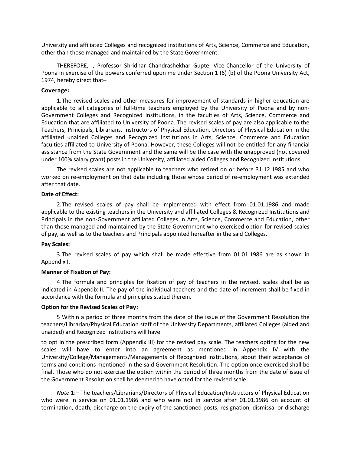University and affiliated Colleges and recognized institutions of Arts, Science, Commerce and Education, other than those managed and maintained by the State Government.

THEREFORE, I, Professor Shridhar Chandrashekhar Gupte, Vice-Chancellor of the University of Poona in exercise of the powers conferred upon me under Section 1 (6) (b) of the Poona University Act, 1974, hereby direct that–

#### **Coverage:**

1.The revised scales and other measures for improvement of standards in higher education are applicable to all categories of full-time teachers employed by the University of Poona and by non-Government Colleges and Recognized Institutions, in the faculties of Arts, Science, Commerce and Education that are affiliated to University of Poona. The revised scales of pay are also applicable to the Teachers, Principals, Librarians, Instructors of Physical Education, Directors of Physical Education in the affiliated unaided Colleges and Recognized Institutions in Arts, Science, Commerce and Education faculties affiliated to University of Poona. However, these Colleges will not be entitled for any financial assistance from the State Government and the same will be the case with the unapproved (not covered under 100% salary grant) posts in the University, affiliated aided Colleges and Recognized Institutions.

The revised scales are not applicable to teachers who retired on or before 31.12.1985 and who worked on re-employment on that date including those whose period of re-employment was extended after that date.

#### **Date of Effect:**

2.The revised scales of pay shall be implemented with effect from 01.01.1986 and made applicable to the existing teachers in the University and affiliated Colleges & Recognized Institutions and Principals in the non-Government affiliated Colleges in Arts, Science, Commerce and Education, other than those managed and maintained by the State Government who exercised option for revised scales of pay, as well as to the teachers and Principals appointed hereafter in the said Colleges.

#### **Pay Scales:**

3.The revised scales of pay which shall be made effective from 01.01.1986 are as shown in Appendix I.

#### **Manner of Fixation of Pay:**

4 The formula and principles for fixation of pay of teachers in the revised. scales shall be as indicated in Appendix II. The pay of the individual teachers and the date of increment shall be fixed in accordance with the formula and principles stated therein.

#### **Option for the Revised Scales of Pay:**

5 Within a period of three months from the date of the issue of the Government Resolution the teachers/Librarian/Physical Education staff of the University Departments, affiliated Colleges (aided and unaided) and Recognized Institutions will have

to opt in the prescribed form (Appendix III) for the revised pay scale. The teachers opting for the new scales will have to enter into an agreement as mentioned in Appendix IV with the University/College/Managements/Managements of Recognized institutions, about their acceptance of terms and conditions mentioned in the said Government Resolution. The option once exercised shall be final. Those who do not exercise the option within the period of three months from the date of issue of the Government Resolution shall be deemed to have opted for the revised scale.

*Note* 1:– The teachers/Librarians/Directors of Physical Education/Instructors of Physical Education who were in service on 01.01.1986 and who were not in service after 01.01.1986 on account of termination, death, discharge on the expiry of the sanctioned posts, resignation, dismissal or discharge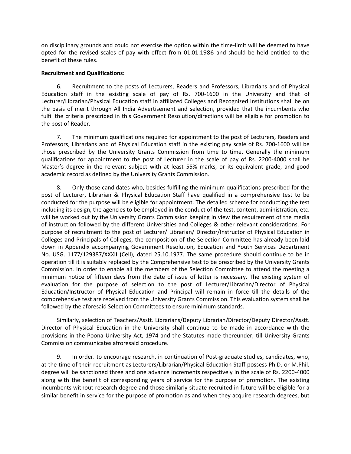on disciplinary grounds and could not exercise the option within the time-limit will be deemed to have opted for the revised scales of pay with effect from 01.01.1986 and should be held entitled to the benefit of these rules.

### **Recruitment and Qualifications:**

6. Recruitment to the posts of Lecturers, Readers and Professors, Librarians and of Physical Education staff in the existing scale of pay of Rs. 700-1600 in the University and that of Lecturer/Librarian/Physical Education staff in affiliated Colleges and Recognized Institutions shall be on the basis of merit through All India Advertisement and selection, provided that the incumbents who fulfil the criteria prescribed in this Government Resolution/directions will be eligible for promotion to the post of Reader.

7. The minimum qualifications required for appointment to the post of Lecturers, Readers and Professors, Librarians and of Physical Education staff in the existing pay scale of Rs. 700-1600 will be those prescribed by the University Grants Commission from time to time. Generally the minimum qualifications for appointment to the post of Lecturer in the scale of pay of Rs. 2200-4000 shall be Master's degree in the relevant subject with at least 55% marks, or its equivalent grade, and good academic record as defined by the University Grants Commission.

8. Only those candidates who, besides fulfilling the minimum qualifications prescribed for the post of Lecturer, Librarian & Physical Education Staff have qualified in a comprehensive test to be conducted for the purpose will be eligible for appointment. The detailed scheme for conducting the test including its design, the agencies to be employed in the conduct of the test, content, administration, etc. will be worked out by the University Grants Commission keeping in view the requirement of the media of instruction followed by the different Universities and Colleges & other relevant considerations. For purpose of recruitment to the post of Lecturer/ Librarian/ Director/Instructor of Physical Education in Colleges and Principals of Colleges, the composition of the Selection Committee has already been laid down in Appendix accompanying Government Resolution, Education and Youth Services Department No. USG. 1177/129387/XXXII (Cell), dated 25.10.1977. The same procedure should continue to be in operation till it is suitably replaced by the Comprehensive test to be prescribed by the University Grants Commission. In order to enable all the members of the Selection Committee to attend the meeting a minimum notice of fifteen days from the date of issue of letter is necessary. The existing system of evaluation for the purpose of selection to the post of Lecturer/Librarian/Director of Physical Education/Instructor of Physical Education and Principal will remain in force till the details of the comprehensive test are received from the University Grants Commission. This evaluation system shall be followed by the aforesaid Selection Committees to ensure minimum standards.

Similarly, selection of Teachers/Asstt. Librarians/Deputy Librarian/Director/Deputy Director/Asstt. Director of Physical Education in the University shall continue to be made in accordance with the provisions in the Poona University Act, 1974 and the Statutes made thereunder, till University Grants Commission communicates afroresaid procedure.

9. In order. to encourage research, in continuation of Post-graduate studies, candidates, who, at the time of their recruitment as Lecturers/Librarian/Physical Education Staff possess Ph.D. or M.Phil. degree will be sanctioned three and one advance increments respectively in the scale of Rs. 2200-4000 along with the benefit of corresponding years of service for the purpose of promotion. The existing incumbents without research degree and those similarly situate recruited in future will be eligible for a similar benefit in service for the purpose of promotion as and when they acquire research degrees, but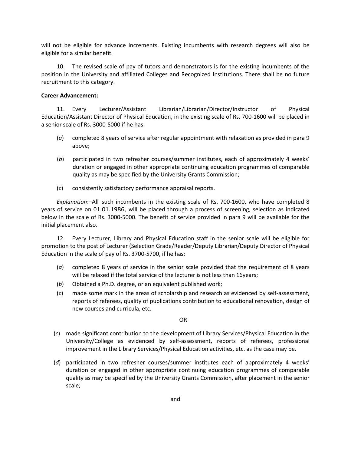will not be eligible for advance increments. Existing incumbents with research degrees will also be eligible for a similar benefit.

10. The revised scale of pay of tutors and demonstrators is for the existing incumbents of the position in the University and affiliated Colleges and Recognized Institutions. There shall be no future recruitment to this category.

### **Career Advancement:**

11. Every Lecturer/Assistant Librarian/Librarian/Director/Instructor of Physical Education/Assistant Director of Physical Education, in the existing scale of Rs. 700-1600 will be placed in a senior scale of Rs. 3000-5000 if he has:

- (*a*) completed 8 years of service after regular appointment with relaxation as provided in para 9 above;
- (*b*) participated in two refresher courses/summer institutes, each of approximately 4 weeks' duration or engaged in other appropriate continuing education programmes of comparable quality as may be specified by the University Grants Commission;
- (*c*) consistently satisfactory performance appraisal reports.

*Explanation*:–All such incumbents in the existing scale of Rs. 700-1600, who have completed 8 years of service on 01.01.1986, will be placed through a process of screening, selection as indicated below in the scale of Rs. 3000-5000. The benefit of service provided in para 9 will be available for the initial placement also.

12. Every Lecturer, Library and Physical Education staff in the senior scale will be eligible for promotion to the post of Lecturer (Selection Grade/Reader/Deputy Librarian/Deputy Director of Physical Education in the scale of pay of Rs. 3700-5700, if he has:

- (*a*) completed 8 years of service in the senior scale provided that the requirement of 8 years will be relaxed if the total service of the lecturer is not less than 16years;
- (*b*) Obtained a Ph.D. degree, or an equivalent published work;
- (*c*) made some mark in the areas of scholarship and research as evidenced by self-assessment, reports of referees, quality of publications contribution to educational renovation, design of new courses and curricula, etc.

#### OR

- (*c*) made significant contribution to the development of Library Services/Physical Education in the University/College as evidenced by self-assessment, reports of referees, professional improvement in the Library Services/Physical Education activities, etc. as the case may be.
- (*d*) participated in two refresher courses/summer institutes each of approximately 4 weeks' duration or engaged in other appropriate continuing education programmes of comparable quality as may be specified by the University Grants Commission, after placement in the senior scale;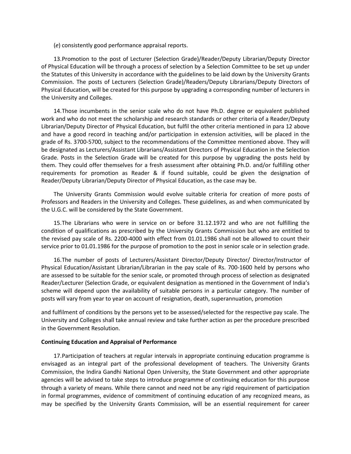(*e*) consistently good performance appraisal reports.

13.Promotion to the post of Lecturer (Selection Grade)/Reader/Deputy Librarian/Deputy Director of Physical Education will be through a process of selection by a Selection Committee to be set up under the Statutes of this University in accordance with the guidelines to be laid down by the University Grants Commission. The posts of Lecturers (Selection Grade)/Readers/Deputy Librarians/Deputy Directors of Physical Education, will be created for this purpose by upgrading a corresponding number of lecturers in the University and Colleges.

14.Those incumbents in the senior scale who do not have Ph.D. degree or equivalent published work and who do not meet the scholarship and research standards or other criteria of a Reader/Deputy Librarian/Deputy Director of Physical Education, but fulfil the other criteria mentioned in para 12 above and have a good record in teaching and/or participation in extension activities, will be placed in the grade of Rs. 3700-5700, subject to the recommendations of the Committee mentioned above. They will be designated as Lecturers/Assistant Librarians/Assistant Directors of Physical Education in the Selection Grade. Posts in the Selection Grade will be created for this purpose by upgrading the posts held by them. They could offer themselves for a fresh assessment after obtaining Ph.D. and/or fulfilling other requirements for promotion as Reader & if found suitable, could be given the designation of Reader/Deputy Librarian/Deputy Director of Physical Education, as the case may be.

The University Grants Commission would evolve suitable criteria for creation of more posts of Professors and Readers in the University and Colleges. These guidelines, as and when communicated by the U.G.C. will be considered by the State Government.

15.The Librarians who were in service on or before 31.12.1972 and who are not fulfilling the condition of qualifications as prescribed by the University Grants Commission but who are entitled to the revised pay scale of Rs. 2200-4000 with effect from 01.01.1986 shall not be allowed to count their service prior to 01.01.1986 for the purpose of promotion to the post in senior scale or in selection grade.

16.The number of posts of Lecturers/Assistant Director/Deputy Director/ Director/Instructor of Physical Education/Assistant Librarian/Librarian in the pay scale of Rs. 700-1600 held by persons who are assessed to be suitable for the senior scale, or promoted through process of selection as designated Reader/Lecturer (Selection Grade, or equivalent designation as mentioned in the Government of India's scheme will depend upon the availability of suitable persons in a particular category. The number of posts will vary from year to year on account of resignation, death, superannuation, promotion

and fulfilment of conditions by the persons yet to be assessed/selected for the respective pay scale. The University and Colleges shall take annual review and take further action as per the procedure prescribed in the Government Resolution.

#### **Continuing Education and Appraisal of Performance**

17.Participation of teachers at regular intervals in appropriate continuing education programme is envisaged as an integral part of the professional development of teachers. The University Grants Commission, the Indira Gandhi National Open University, the State Government and other appropriate agencies will be advised to take steps to introduce programme of continuing education for this purpose through a variety of means. While there cannot and need not be any rigid requirement of participation in formal programmes, evidence of commitment of continuing education of any recognized means, as may be specified by the University Grants Commission, will be an essential requirement for career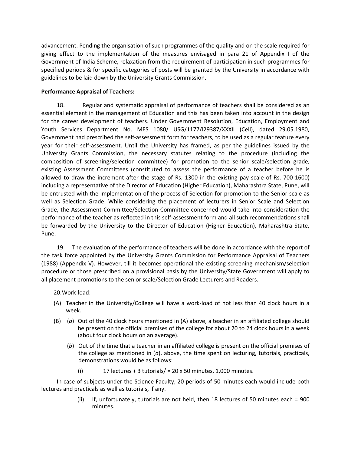advancement. Pending the organisation of such programmes of the quality and on the scale required for giving effect to the implementation of the measures envisaged in para 21 of Appendix I of the Government of India Scheme, relaxation from the requirement of participation in such programmes for specified periods & for specific categories of posts will be granted by the University in accordance with guidelines to be laid down by the University Grants Commission.

### **Performance Appraisal of Teachers:**

18. Regular and systematic appraisal of performance of teachers shall be considered as an essential element in the management of Education and this has been taken into account in the design for the career development of teachers. Under Government Resolution, Education, Employment and Youth Services Department No. MES 1080/ USG/1177/l29387/XXXII (Cell), dated 29.05.1980, Government had prescribed the self-assessment form for teachers, to be used as a regular feature every year for their self-assessment. Until the University has framed, as per the guidelines issued by the University Grants Commission, the necessary statutes relating to the procedure (including the composition of screening/selection committee) for promotion to the senior scale/selection grade, existing Assessment Committees (constituted to assess the performance of a teacher before he is allowed to draw the increment after the stage of Rs. 1300 in the existing pay scale of Rs. 700-1600) including a representative of the Director of Education (Higher Education), Maharashtra State, Pune, will be entrusted with the implementation of the process of Selection for promotion to the Senior scale as well as Selection Grade. While considering the placement of lecturers in Senior Scale and Selection Grade, the Assessment Committee/Selection Committee concerned would take into consideration the performance of the teacher as reflected in this self-assessment form and all such recommendations shall be forwarded by the University to the Director of Education (Higher Education), Maharashtra State, Pune.

19. The evaluation of the performance of teachers will be done in accordance with the report of the task force appointed by the University Grants Commission for Performance Appraisal of Teachers (1988) (Appendix V). However, till it becomes operational the existing screening mechanism/selection procedure or those prescribed on a provisional basis by the University/State Government will apply to all placement promotions to the senior scale/Selection Grade Lecturers and Readers.

## 20.Work-load:

- (A) Teacher in the University/College will have a work-load of not less than 40 clock hours in a week.
- (B) (*a*) Out of the 40 clock hours mentioned in (A) above, a teacher in an affiliated college should be present on the official premises of the college for about 20 to 24 clock hours in a week (about four clock hours on an average).
	- (*b*) Out of the time that a teacher in an affiliated college is present on the official premises of the college as mentioned in (*a*), above, the time spent on lecturing, tutorials, practicals, demonstrations would be as follows:
		- (i) 17 lectures + 3 tutorials/ =  $20 \times 50$  minutes, 1,000 minutes.

In case of subjects under the Science Faculty, 20 periods of 50 minutes each would include both lectures and practicals as well as tutorials, if any.

> (ii) If, unfortunately, tutorials are not held, then 18 lectures of 50 minutes each = 900 minutes.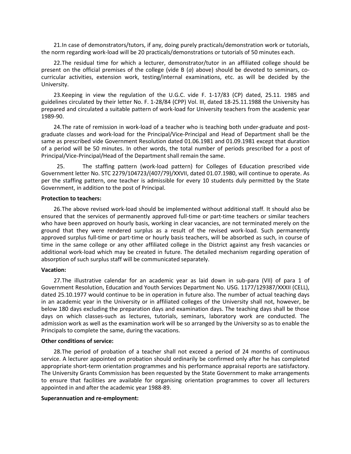21.In case of demonstrators/tutors, if any, doing purely practicals/demonstration work or tutorials, the norm regarding work-load will be 20 practicals/demonstrations or tutorials of 50 minutes each.

22.The residual time for which a lecturer, demonstrator/tutor in an affiliated college should be present on the official premises of the college (vide B (*a*) above) should be devoted to seminars, cocurricular activities, extension work, testing/internal examinations, etc. as will be decided by the University.

23.Keeping in view the regulation of the U.G.C. vide F. 1-17/83 (CP) dated, 25.11. 1985 and guidelines circulated by their letter No. F. 1-28/84 (CPP) Vol. III, dated 18-25.11.1988 the University has prepared and circulated a suitable pattern of work-load for University teachers from the academic year 1989-90.

24.The rate of remission in work-load of a teacher who is teaching both under-graduate and postgraduate classes and work-load for the Principal/Vice-Principal and Head of Department shall be the same as prescribed vide Government Resolution dated 01.06.1981 and 01.09.1981 except that duration of a period will be 50 minutes. In other words, the total number of periods prescribed for a post of Principal/Vice-Principal/Head of the Department shall remain the same.

25. The staffing pattern (work-load pattern) for Colleges of Education prescribed vide Government letter No. STC 2279/104723/(407/79)/XXVII, dated 01.07.1980, will continue to operate. As per the staffing pattern, one teacher is admissible for every 10 students duly permitted by the State Government, in addition to the post of Principal.

#### **Protection to teachers:**

26.The above revised work-load should be implemented without additional staff. It should also be ensured that the services of permanently approved full-time or part-time teachers or similar teachers who have been approved on hourly basis, working in clear vacancies, are not terminated merely on the ground that they were rendered surplus as a result of the revised work-load. Such permanently approved surplus full-time or part-time or hourly basis teachers, will be absorbed as such, in course of time in the same college or any other affiliated college in the District against any fresh vacancies or additional work-load which may be created in future. The detailed mechanism regarding operation of absorption of such surplus staff will be communicated separately.

#### **Vacation:**

27.The illustrative calendar for an academic year as laid down in sub-para (VII) of para 1 of Government Resolution, Education and Youth Services Department No. USG. 1177/129387/XXXII (CELL), dated 25.10.1977 would continue to be in operation in future also. The number of actual teaching days in an academic year in the University or in affiliated colleges of the University shall not, however, be below 180 days excluding the preparation days and examination days. The teaching days shall be those days on which classes-such as lectures, tutorials, seminars, laboratory work are conducted. The admission work as well as the examination work will be so arranged by the University so as to enable the Principals to complete the same, during the vacations.

#### **Other conditions of service:**

28.The period of probation of a teacher shall not exceed a period of 24 months of continuous service. A lecturer appointed on probation should ordinarily be confirmed only after he has completed appropriate short-term orientation programmes and his performance appraisal reports are satisfactory. The University Grants Commission has been requested by the State Government to make arrangements to ensure that facilities are available for organising orientation programmes to cover all lecturers appointed in and after the academic year 1988-89.

#### **Superannuation and re-employment:**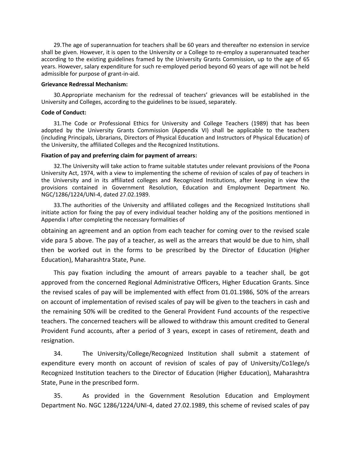29.The age of superannuation for teachers shall be 60 years and thereafter no extension in service shall be given. However, it is open to the University or a College to re-employ a superannuated teacher according to the existing guidelines framed by the University Grants Commission, up to the age of 65 years. However, salary expenditure for such re-employed period beyond 60 years of age will not be held admissible for purpose of grant-in-aid.

#### **Grievance Redressal Mechanism:**

30.Appropriate mechanism for the redressal of teachers' grievances will be established in the University and Colleges, according to the guidelines to be issued, separately.

#### **Code of Conduct:**

31.The Code or Professional Ethics for University and College Teachers (1989) that has been adopted by the University Grants Commission (Appendix VI) shall be applicable to the teachers (including Principals, Librarians, Directors of Physical Education and Instructors of Physical Education) of the University, the affiliated Colleges and the Recognized Institutions.

### **Fixation of pay and preferring claim for payment of arrears:**

32.The University will take action to frame suitable statutes under relevant provisions of the Poona University Act, 1974, with a view to implementing the scheme of revision of scales of pay of teachers in the University and in its affiliated colleges and Recognized Institutions, after keeping in view the provisions contained in Government Resolution, Education and Employment Department No. NGC/1286/1224/UNI-4, dated 27.02.1989.

33.The authorities of the University and affiliated colleges and the Recognized Institutions shall initiate action for fixing the pay of every individual teacher holding any of the positions mentioned in Appendix I after completing the necessary formalities of

obtaining an agreement and an option from each teacher for coming over to the revised scale vide para 5 above. The pay of a teacher, as well as the arrears that would be due to him, shall then be worked out in the forms to be prescribed by the Director of Education (Higher Education), Maharashtra State, Pune.

This pay fixation including the amount of arrears payable to a teacher shall, be got approved from the concerned Regional Administrative Officers, Higher Education Grants. Since the revised scales of pay will be implemented with effect from 01.01.1986, 50% of the arrears on account of implementation of revised scales of pay will be given to the teachers in cash and the remaining 50% will be credited to the General Provident Fund accounts of the respective teachers. The concerned teachers will be allowed to withdraw this amount credited to General Provident Fund accounts, after a period of 3 years, except in cases of retirement, death and resignation.

34. The University/College/Recognized Institution shall submit a statement of expenditure every month on account of revision of scales of pay of University/Co1lege/s Recognized Institution teachers to the Director of Education (Higher Education), Maharashtra State, Pune in the prescribed form.

35. As provided in the Government Resolution Education and Employment Department No. NGC 1286/1224/UNI-4, dated 27.02.1989, this scheme of revised scales of pay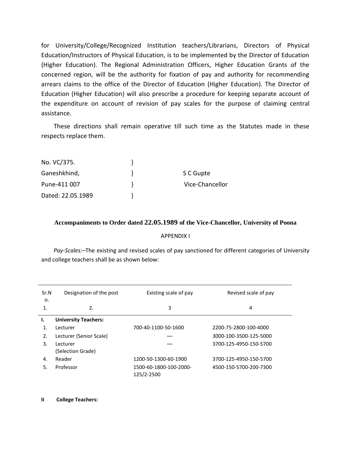for University/College/Recognized Institution teachers/Librarians, Directors of Physical Education/Instructors of Physical Education, is to be implemented by the Director of Education (Higher Education). The Regional Administration Officers, Higher Education Grants of the concerned region, will be the authority for fixation of pay and authority for recommending arrears claims to the office of the Director of Education (Higher Education). The Director of Education (Higher Education) will also prescribe a procedure for keeping separate account of the expenditure on account of revision of pay scales for the purpose of claiming central assistance.

These directions shall remain operative till such time as the Statutes made in these respects replace them.

| No. VC/375.       |                 |
|-------------------|-----------------|
| Ganeshkhind,      | S C Gupte       |
| Pune-411 007      | Vice-Chancellor |
| Dated: 22.05.1989 |                 |

### **Accompaniments to Order dated 22.05.1989 of the Vice-Chancellor, University of Poona**

#### APPENDIX I

*Pay-Scales:–*The existing and revised scales of pay sanctioned for different categories of University and college teachers shall be as shown below:

| Sr.N<br>о. | Designation of the post       | Existing scale of pay                | Revised scale of pay   |
|------------|-------------------------------|--------------------------------------|------------------------|
|            | 2.                            | 3                                    | 4                      |
| Ι.         | <b>University Teachers:</b>   |                                      |                        |
|            | Lecturer                      | 700-40-1100-50-1600                  | 2200-75-2800-100-4000  |
| 2.         | Lecturer (Senior Scale)       |                                      | 3000-100-3500-125-5000 |
| 3.         | Lecturer<br>(Selection Grade) |                                      | 3700-125-4950-150-5700 |
| 4.         | Reader                        | 1200-50-1300-60-1900                 | 3700-125-4950-150-5700 |
| 5.         | Professor                     | 1500-60-1800-100-2000-<br>125/2-2500 | 4500-150-5700-200-7300 |

#### **II College Teachers:**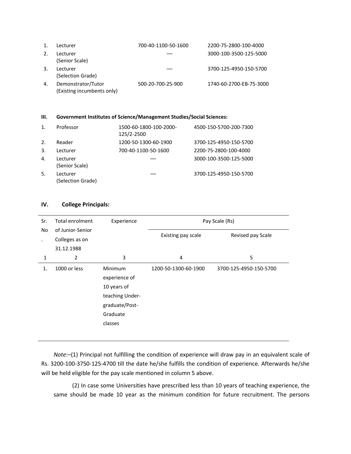| 1. | Lecturer                                         | 700-40-1100-50-1600 | 2200-75-2800-100-4000   |
|----|--------------------------------------------------|---------------------|-------------------------|
|    | Lecturer<br>(Senior Scale)                       |                     | 3000-100-3500-125-5000  |
| 3. | Lecturer<br>(Selection Grade)                    |                     | 3700-125-4950-150-5700  |
| 4. | Demonstrator/Tutor<br>(Existing incumbents only) | 500-20-700-25-900   | 1740-60-2700-EB-75-3000 |

### **III. Government Institutes of Science/Management Studies/Social Sciences:**

| 1. | Professor                     | 1500-60-1800-100-2000-<br>125/2-2500 | 4500-150-5700-200-7300 |
|----|-------------------------------|--------------------------------------|------------------------|
| 2. | Reader                        | 1200-50-1300-60-1900                 | 3700-125-4950-150-5700 |
| 3. | Lecturer                      | 700-40-1100-50-1600                  | 2200-75-2800-100-4000  |
| 4. | Lecturer<br>(Senior Scale)    |                                      | 3000-100-3500-125-5000 |
| 5. | Lecturer<br>(Selection Grade) |                                      | 3700-125-4950-150-5700 |

### **IV. College Principals:**

| Sr.       | <b>Total enrolment</b> | Experience                                                                                                 | Pay Scale (Rs)       |                        |
|-----------|------------------------|------------------------------------------------------------------------------------------------------------|----------------------|------------------------|
| <b>No</b> | of Junior-Senior       |                                                                                                            |                      | Revised pay Scale      |
|           | Colleges as on         |                                                                                                            | Existing pay scale   |                        |
|           | 31.12.1988             |                                                                                                            |                      |                        |
| 1         | $\overline{2}$         | 3                                                                                                          | 4                    | 5                      |
| 1.        | 1000 or less           | <b>Minimum</b><br>experience of<br>10 years of<br>teaching Under-<br>graduate/Post-<br>Graduate<br>classes | 1200-50-1300-60-1900 | 3700-125-4950-150-5700 |

*Note*:–(1) Principal not fulfilling the condition of experience will draw pay in an equivalent scale of Rs. 3200-100-3750-125-4700 till the date he/she fulfills the condition of experience. Afterwards he/she will be held eligible for the pay scale mentioned in column 5 above.

(2) In case some Universities have prescribed less than 10 years of teaching experience, the same should be made 10 year as the minimum condition for future recruitment. The persons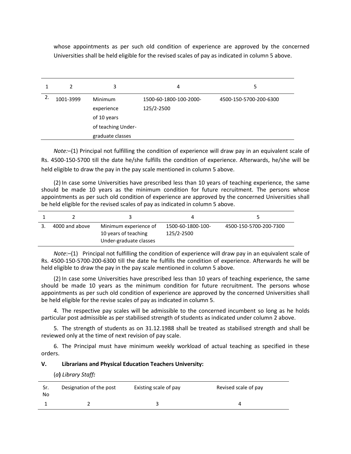whose appointments as per such old condition of experience are approved by the concerned Universities shall be held eligible for the revised scales of pay as indicated in column 5 above.

|    | 2         | 3                                                                              | 4                                    | 5.                     |
|----|-----------|--------------------------------------------------------------------------------|--------------------------------------|------------------------|
| 2. | 1001-3999 | Minimum<br>experience<br>of 10 years<br>of teaching Under-<br>graduate classes | 1500-60-1800-100-2000-<br>125/2-2500 | 4500-150-5700-200-6300 |

*Note:–*(1) Principal not fulfilling the condition of experience will draw pay in an equivalent scale of Rs. 4500-150-5700 till the date he/she fulfills the condition of experience. Afterwards, he/she will be held eligible to draw the pay in the pay scale mentioned in column 5 above.

(2) In case some Universities have prescribed less than 10 years of teaching experience, the same should be made 10 years as the minimum condition for future recruitment. The persons whose appointments as per such old condition of experience are approved by the concerned Universities shall be held eligible for the revised scales of pay as indicated in column 5 above.

| 4000 and above | Minimum experience of<br>10 years of teaching<br>Under-graduate classes | 1500-60-1800-100-<br>125/2-2500 | 4500-150-5700-200-7300 |
|----------------|-------------------------------------------------------------------------|---------------------------------|------------------------|

*Note*:–(1) Principal not fulfilling the condition of experience will draw pay in an equivalent scale of Rs. 4500-150-5700-200-6300 till the date he fulfills the condition of experience. Afterwards he will be held eligible to draw the pay in the pay scale mentioned in column 5 above.

(2) In case some Universities have prescribed less than 10 years of teaching experience, the same should be made 10 years as the minimum condition for future recruitment. The persons whose appointments as per such old condition of experience are approved by the concerned Universities shall be held eligible for the revise scales of pay as indicated in column 5.

4. The respective pay scales will be admissible to the concerned incumbent so long as he holds particular post admissible as per stabilised strength of students as indicated under column 2 above.

5. The strength of students as on 31.12.1988 shall be treated as stabilised strength and shall be reviewed only at the time of next revision of pay scale.

6. The Principal must have minimum weekly workload of actual teaching as specified in these orders.

#### **V. Librarians and Physical Education Teachers University:**

(*a***)** *Library Staff:*

| Sr.<br>No | Designation of the post | Existing scale of pay | Revised scale of pay |
|-----------|-------------------------|-----------------------|----------------------|
|           |                         |                       | 4                    |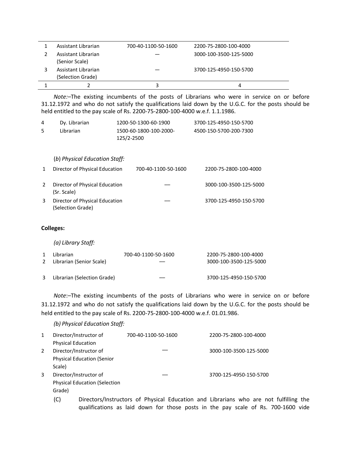| Assistant Librarian                   | 700-40-1100-50-1600 | 2200-75-2800-100-4000  |
|---------------------------------------|---------------------|------------------------|
| Assistant Librarian                   |                     | 3000-100-3500-125-5000 |
| (Senior Scale)<br>Assistant Librarian |                     | 3700-125-4950-150-5700 |
| (Selection Grade)                     |                     |                        |
|                                       |                     |                        |

*Note:–*The existing incumbents of the posts of Librarians who were in service on or before 31.12.1972 and who do not satisfy the qualifications laid down by the U.G.C. for the posts should be held entitled to the pay scale of Rs. 2200-75-2800-100-4000 w.e.f. 1.1.1986.

| 4 | Dy. Librarian | 1200-50-1300-60-1900                 | 3700-125-4950-150-5700 |
|---|---------------|--------------------------------------|------------------------|
|   | Librarian     | 1500-60-1800-100-2000-<br>125/2-2500 | 4500-150-5700-200-7300 |

| (b) Physical Education Staff: |  |
|-------------------------------|--|
|-------------------------------|--|

| Director of Physical Education                      | 700-40-1100-50-1600 | 2200-75-2800-100-4000  |
|-----------------------------------------------------|---------------------|------------------------|
| Director of Physical Education<br>(Sr. Scale)       |                     | 3000-100-3500-125-5000 |
| Director of Physical Education<br>(Selection Grade) |                     | 3700-125-4950-150-5700 |

### **Colleges:**

*(a) Library Staff:*

| $\mathbf{1}$ | Librarian<br>2 Librarian (Senior Scale) | 700-40-1100-50-1600 | 2200-75-2800-100-4000<br>3000-100-3500-125-5000 |
|--------------|-----------------------------------------|---------------------|-------------------------------------------------|
|              | 3 Librarian (Selection Grade)           |                     | 3700-125-4950-150-5700                          |

*Note*:–The existing incumbents of the posts of Librarians who were in service on or before 31.12.1972 and who do not satisfy the qualifications laid down by the U.G.C. for the posts should be held entitled to the pay scale of Rs. 2200-75-2800-100-4000 w.e.f. 01.01.986.

*(b) Physical Education Staff:*

| 1 | Director/Instructor of               | 700-40-1100-50-1600 | 2200-75-2800-100-4000  |
|---|--------------------------------------|---------------------|------------------------|
|   | <b>Physical Education</b>            |                     |                        |
| 2 | Director/Instructor of               |                     | 3000-100-3500-125-5000 |
|   | <b>Physical Education (Senior</b>    |                     |                        |
|   | Scale)                               |                     |                        |
| 3 | Director/Instructor of               |                     | 3700-125-4950-150-5700 |
|   | <b>Physical Education (Selection</b> |                     |                        |
|   | Grade)                               |                     |                        |

(C) Directors/Instructors of Physical Education and Librarians who are not fulfilling the qualifications as laid down for those posts in the pay scale of Rs. 700-1600 vide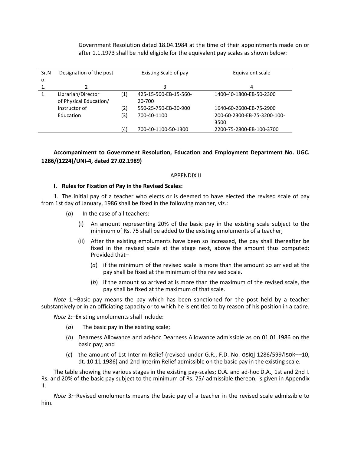Government Resolution dated 18.04.1984 at the time of their appointments made on or after 1.1.1973 shall be held eligible for the equivalent pay scales as shown below:

| Sr.N | Designation of the post |     | Existing Scale of pay | Equivalent scale            |
|------|-------------------------|-----|-----------------------|-----------------------------|
| 0.   |                         |     |                       |                             |
|      |                         |     | 3                     | 4                           |
|      | Librarian/Director      | (1) | 425-15-500-EB-15-560- | 1400-40-1800-EB-50-2300     |
|      | of Physical Education/  |     | 20-700                |                             |
|      | Instructor of           | (2) | 550-25-750-EB-30-900  | 1640-60-2600-EB-75-2900     |
|      | Education               | (3) | 700-40-1100           | 200-60-2300-EB-75-3200-100- |
|      |                         |     |                       | 3500                        |
|      |                         | (4) | 700-40-1100-50-1300   | 2200-75-2800-EB-100-3700    |

**Accompaniment to Government Resolution, Education and Employment Department No. UGC. 1286/(1224)/UNI-4, dated 27.02.1989)**

#### APPENDIX II

#### **I. Rules for Fixation of Pay in the Revised Scales:**

1. The initial pay of a teacher who elects or is deemed to have elected the revised scale of pay from 1st day of January, 1986 shall be fixed in the following manner, viz.:

- (*a*) In the case of all teachers:
	- (i) An amount representing 20% of the basic pay in the existing scale subject to the minimum of Rs. 75 shall be added to the existing emoluments of a teacher;
	- (ii) After the existing emoluments have been so increased, the pay shall thereafter be fixed in the revised scale at the stage next, above the amount thus computed: Provided that–
		- (*a*) if the minimum of the revised scale is more than the amount so arrived at the pay shall be fixed at the minimum of the revised scale.
		- (*b*) if the amount so arrived at is more than the maximum of the revised scale, the pay shall be fixed at the maximum of that scale.

*Note* 1*:*–Basic pay means the pay which has been sanctioned for the post held by a teacher substantively or in an officiating capacity or to which he is entitled to by reason of his position in a cadre.

*Note* 2*:*–Existing emoluments shall include:

- (*a*) The basic pay in the existing scale;
- (*b*) Dearness Allowance and ad-hoc Dearness Allowance admissible as on 01.01.1986 on the basic pay; and
- (*c*) the amount of 1st Interim Relief (revised under G.R., F.D. No. osiqj 1286/599/lsok––10, dt. 10.11.1986) and 2nd Interim Relief admissible on the basic pay in the existing scale.

The table showing the various stages in the existing pay-scales; D.A. and ad-hoc D.A., 1st and 2nd I. Rs. and 20% of the basic pay subject to the minimum of Rs. 75/-admissible thereon, is given in Appendix II.

*Note* 3*:*–Revised emoluments means the basic pay of a teacher in the revised scale admissible to him.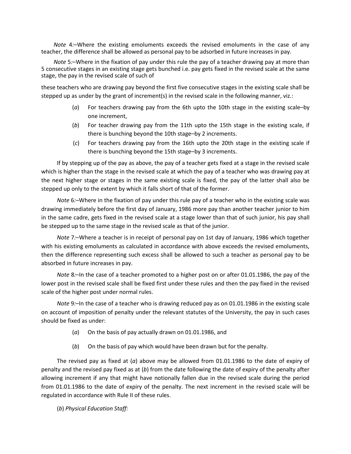*Note* 4*:*–Where the existing emoluments exceeds the revised emoluments in the case of any teacher, the difference shall be allowed as personal pay to be adsorbed in future increases in pay.

*Note* 5*:*–Where in the fixation of pay under this rule the pay of a teacher drawing pay at more than 5 consecutive stages in an existing stage gets bunched i.e. pay gets fixed in the revised scale at the same stage, the pay in the revised scale of such of

these teachers who are drawing pay beyond the first five consecutive stages in the existing scale shall be stepped up as under by the grant of increment(s) in the revised scale in the following manner, viz.:

- (*a*) For teachers drawing pay from the 6th upto the 10th stage in the existing scale–by one increment,
- (*b*) For teacher drawing pay from the 11th upto the 15th stage in the existing scale, if there is bunching beyond the 10th stage–by 2 increments.
- (*c*) For teachers drawing pay from the 16th upto the 20th stage in the existing scale if there is bunching beyond the 15th stage–by 3 increments.

If by stepping up of the pay as above, the pay of a teacher gets fixed at a stage in the revised scale which is higher than the stage in the revised scale at which the pay of a teacher who was drawing pay at the next higher stage or stages in the same existing scale is fixed, the pay of the latter shall also be stepped up only to the extent by which it falls short of that of the former.

*Note* 6*:–*Where in the fixation of pay under this rule pay of a teacher who in the existing scale was drawing immediately before the first day of January, 1986 more pay than another teacher junior to him in the same cadre, gets fixed in the revised scale at a stage lower than that of such junior, his pay shall be stepped up to the same stage in the revised scale as that of the junior.

*Note* 7*:*–Where a teacher is in receipt of personal pay on 1st day of January, 1986 which together with his existing emoluments as calculated in accordance with above exceeds the revised emoluments, then the difference representing such excess shall be allowed to such a teacher as personal pay to be absorbed in future increases in pay.

*Note* 8*:*–In the case of a teacher promoted to a higher post on or after 01.01.1986, the pay of the lower post in the revised scale shall be fixed first under these rules and then the pay fixed in the revised scale of the higher post under normal rules.

*Note* 9*:*–In the case of a teacher who is drawing reduced pay as on 01.01.1986 in the existing scale on account of imposition of penalty under the relevant statutes of the University, the pay in such cases should be fixed as under:

- (*a*) On the basis of pay actually drawn on 01.01.1986, and
- (*b*) On the basis of pay which would have been drawn but for the penalty.

The revised pay as fixed at (*a*) above may be allowed from 01.01.1986 to the date of expiry of penalty and the revised pay fixed as at (*b*) from the date following the date of expiry of the penalty after allowing increment if any that might have notionally fallen due in the revised scale during the period from 01.01.1986 to the date of expiry of the penalty. The next increment in the revised scale will be regulated in accordance with Rule II of these rules.

(*b*) *Physical Education Staff:*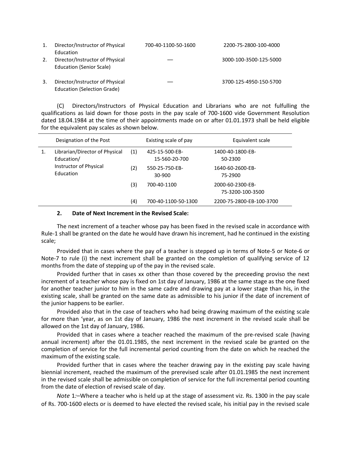| 1. | Director/Instructor of Physical<br>Education                          | 700-40-1100-50-1600 | 2200-75-2800-100-4000  |
|----|-----------------------------------------------------------------------|---------------------|------------------------|
| 2. | Director/Instructor of Physical<br><b>Education (Senior Scale)</b>    |                     | 3000-100-3500-125-5000 |
| 3. | Director/Instructor of Physical<br><b>Education (Selection Grade)</b> |                     | 3700-125-4950-150-5700 |

(C) Directors/Instructors of Physical Education and Librarians who are not fulfulling the qualifications as laid down for those posts in the pay scale of 700-1600 vide Government Resolution dated 18.04.1984 at the time of their appointments made on or after 01.01.1973 shall be held eligible for the equivalent pay scales as shown below.

| Librarian/Director of Physical<br>Education/<br>Instructor of Physical<br>Education | (1)<br>(2) | 425-15-500-EB-<br>15-560-20-700<br>550-25-750-EB-<br>30-900 | 1400-40-1800-EB-<br>50-2300<br>1640-60-2600-EB-<br>75-2900       |
|-------------------------------------------------------------------------------------|------------|-------------------------------------------------------------|------------------------------------------------------------------|
|                                                                                     | (3)<br>(4) | 700-40-1100<br>700-40-1100-50-1300                          | 2000-60-2300-EB-<br>75-3200-100-3500<br>2200-75-2800-EB-100-3700 |

#### **2. Date of Next Increment in the Revised Scale:**

The next increment of a teacher whose pay has been fixed in the revised scale in accordance with Rule-1 shall be granted on the date he would have drawn his increment, had he continued in the existing scale;

Provided that in cases where the pay of a teacher is stepped up in terms of Note-5 or Note-6 or Note-7 to rule (i) the next increment shall be granted on the completion of qualifying service of 12 months from the date of stepping up of the pay in the revised scale.

Provided further that in cases xx other than those covered by the preceeding proviso the next increment of a teacher whose pay is fixed on 1st day of January, 1986 at the same stage as the one fixed for another teacher junior to him in the same cadre and drawing pay at a lower stage than his, in the existing scale, shall be granted on the same date as admissible to his junior if the date of increment of the junior happens to be earlier.

Provided also that in the case of teachers who had being drawing maximum of the existing scale for more than 'year, as on 1st day of January, 1986 the next increment in the revised scale shall be allowed on the 1st day of January, 1986.

Provided that in cases where a teacher reached the maximum of the pre-revised scale (having annual increment) after the 01.01.1985, the next increment in the revised scale be granted on the completion of service for the full incremental period counting from the date on which he reached the maximum of the existing scale.

Provided further that in cases where the teacher drawing pay in the existing pay scale having biennial increment, reached the maximum of the prerevised scale after 01.01.1985 the next increment in the revised scale shall be admissible on completion of service for the full incremental period counting from the date of election of revised scale of day.

*Note* 1*:*–Where a teacher who is held up at the stage of assessment viz. Rs. 1300 in the pay scale of Rs. 700-1600 elects or is deemed to have elected the revised scale, his initial pay in the revised scale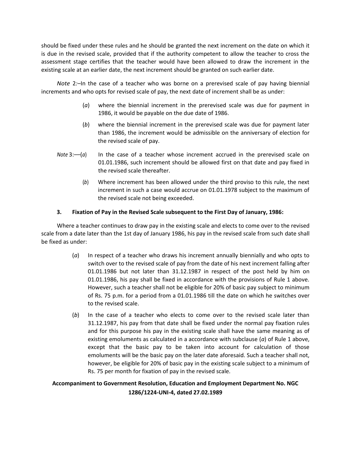should be fixed under these rules and he should be granted the next increment on the date on which it is due in the revised scale, provided that if the authority competent to allow the teacher to cross the assessment stage certifies that the teacher would have been allowed to draw the increment in the existing scale at an earlier date, the next increment should be granted on such earlier date.

*Note* 2*:*–In the case of a teacher who was borne on a prerevised scale of pay having biennial increments and who opts for revised scale of pay, the next date of increment shall be as under:

- (*a*) where the biennial increment in the prerevised scale was due for payment in 1986, it would be payable on the due date of 1986.
- (*b*) where the biennial increment in the prerevised scale was due for payment later than 1986, the increment would be admissible on the anniversary of election for the revised scale of pay.
- *Note* 3:-*(a)* In the case of a teacher whose increment accrued in the prerevised scale on 01.01.1986, such increment should be allowed first on that date and pay fixed in the revised scale thereafter.
	- (*b*) Where increment has been allowed under the third proviso to this rule, the next increment in such a case would accrue on 01.01.1978 subject to the maximum of the revised scale not being exceeded.

### **3. Fixation of Pay in the Revised Scale subsequent to the First Day of January, 1986:**

Where a teacher continues to draw pay in the existing scale and elects to come over to the revised scale from a date later than the 1st day of January 1986, his pay in the revised scale from such date shall be fixed as under:

- (*a*) In respect of a teacher who draws his increment annually biennially and who opts to switch over to the revised scale of pay from the date of his next increment falling after 01.01.1986 but not later than 31.12.1987 in respect of the post held by him on 01.01.1986, his pay shall be fixed in accordance with the provisions of Rule 1 above. However, such a teacher shall not be eligible for 20% of basic pay subject to minimum of Rs. 75 p.m. for a period from a 01.01.1986 till the date on which he switches over to the revised scale.
- (*b*) In the case of a teacher who elects to come over to the revised scale later than 31.12.1987, his pay from that date shall be fixed under the normal pay fixation rules and for this purpose his pay in the existing scale shall have the same meaning as of existing emoluments as calculated in a accordance with subclause (*a*) of Rule 1 above, except that the basic pay to be taken into account for calculation of those emoluments will be the basic pay on the later date aforesaid. Such a teacher shall not, however, be eligible for 20% of basic pay in the existing scale subject to a minimum of Rs. 75 per month for fixation of pay in the revised scale.

# **Accompaniment to Government Resolution, Education and Employment Department No. NGC 1286/1224-UNI-4, dated 27.02.1989**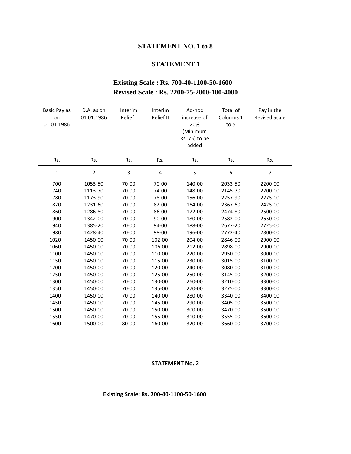### **STATEMENT NO. 1 to 8**

# **STATEMENT 1**

# **Existing Scale : Rs. 700-40-1100-50-1600 Revised Scale : Rs. 2200-75-2800-100-4000**

| Basic Pay as<br>on<br>01.01.1986 | D.A. as on<br>01.01.1986 | Interim<br>Relief I | Interim<br>Relief II | Ad-hoc<br>increase of<br>20%<br>(Minimum<br>Rs. 75) to be<br>added | Total of<br>Columns 1<br>to 5 | Pay in the<br><b>Revised Scale</b> |
|----------------------------------|--------------------------|---------------------|----------------------|--------------------------------------------------------------------|-------------------------------|------------------------------------|
| Rs.                              | Rs.                      | Rs.                 | Rs.                  | Rs.                                                                | Rs.                           | Rs.                                |
| $\mathbf 1$                      | $\overline{2}$           | 3                   | $\overline{4}$       | 5                                                                  | 6                             | $\overline{7}$                     |
| 700                              | 1053-50                  | 70-00               | 70-00                | 140-00                                                             | 2033-50                       | 2200-00                            |
| 740                              | 1113-70                  | 70-00               | 74-00                | 148-00                                                             | 2145-70                       | 2200-00                            |
| 780                              | 1173-90                  | 70-00               | 78-00                | 156-00                                                             | 2257-90                       | 2275-00                            |
| 820                              | 1231-60                  | 70-00               | 82-00                | 164-00                                                             | 2367-60                       | 2425-00                            |
| 860                              | 1286-80                  | 70-00               | 86-00                | 172-00                                                             | 2474-80                       | 2500-00                            |
| 900                              | 1342-00                  | 70-00               | 90-00                | 180-00                                                             | 2582-00                       | 2650-00                            |
| 940                              | 1385-20                  | 70-00               | 94-00                | 188-00                                                             | 2677-20                       | 2725-00                            |
| 980                              | 1428-40                  | 70-00               | 98-00                | 196-00                                                             | 2772-40                       | 2800-00                            |
| 1020                             | 1450-00                  | 70-00               | 102-00               | 204-00                                                             | 2846-00                       | 2900-00                            |
| 1060                             | 1450-00                  | 70-00               | 106-00               | 212-00                                                             | 2898-00                       | 2900-00                            |
| 1100                             | 1450-00                  | 70-00               | 110-00               | 220-00                                                             | 2950-00                       | 3000-00                            |
| 1150                             | 1450-00                  | 70-00               | 115-00               | 230-00                                                             | 3015-00                       | 3100-00                            |
| 1200                             | 1450-00                  | 70-00               | 120-00               | 240-00                                                             | 3080-00                       | 3100-00                            |
| 1250                             | 1450-00                  | 70-00               | 125-00               | 250-00                                                             | 3145-00                       | 3200-00                            |
| 1300                             | 1450-00                  | 70-00               | 130-00               | 260-00                                                             | 3210-00                       | 3300-00                            |
| 1350                             | 1450-00                  | 70-00               | 135-00               | 270-00                                                             | 3275-00                       | 3300-00                            |
| 1400                             | 1450-00                  | 70-00               | 140-00               | 280-00                                                             | 3340-00                       | 3400-00                            |
| 1450                             | 1450-00                  | 70-00               | 145-00               | 290-00                                                             | 3405-00                       | 3500-00                            |
| 1500                             | 1450-00                  | 70-00               | 150-00               | 300-00                                                             | 3470-00                       | 3500-00                            |
| 1550                             | 1470-00                  | 70-00               | 155-00               | 310-00                                                             | 3555-00                       | 3600-00                            |
| 1600                             | 1500-00                  | 80-00               | 160-00               | 320-00                                                             | 3660-00                       | 3700-00                            |

### **STATEMENT No. 2**

# **Existing Scale: Rs. 700-40-1100-50-1600**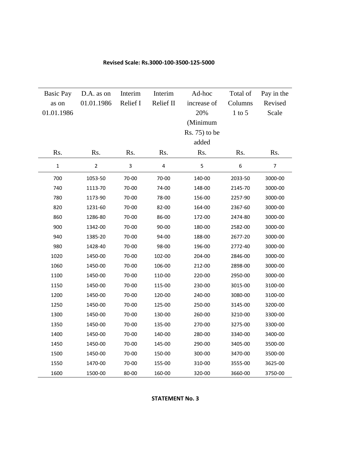| <b>Basic Pay</b> | D.A. as on     | Interim  | Interim   | Ad-hoc        | Total of   | Pay in the     |
|------------------|----------------|----------|-----------|---------------|------------|----------------|
| as on            | 01.01.1986     | Relief I | Relief II | increase of   | Columns    | Revised        |
| 01.01.1986       |                |          |           | 20%           | $1$ to $5$ | Scale          |
|                  |                |          |           | (Minimum      |            |                |
|                  |                |          |           | Rs. 75) to be |            |                |
|                  |                |          |           | added         |            |                |
| Rs.              | Rs.            | Rs.      | Rs.       | Rs.           | Rs.        | Rs.            |
| $\mathbf{1}$     | $\overline{2}$ | 3        | 4         | 5             | 6          | $\overline{7}$ |
| 700              | 1053-50        | 70-00    | 70-00     | 140-00        | 2033-50    | 3000-00        |
| 740              | 1113-70        | 70-00    | 74-00     | 148-00        | 2145-70    | 3000-00        |
| 780              | 1173-90        | 70-00    | 78-00     | 156-00        | 2257-90    | 3000-00        |
| 820              | 1231-60        | 70-00    | 82-00     | 164-00        | 2367-60    | 3000-00        |
| 860              | 1286-80        | 70-00    | 86-00     | 172-00        | 2474-80    | 3000-00        |
| 900              | 1342-00        | 70-00    | 90-00     | 180-00        | 2582-00    | 3000-00        |
| 940              | 1385-20        | 70-00    | 94-00     | 188-00        | 2677-20    | 3000-00        |
| 980              | 1428-40        | 70-00    | 98-00     | 196-00        | 2772-40    | 3000-00        |
| 1020             | 1450-00        | 70-00    | 102-00    | 204-00        | 2846-00    | 3000-00        |
| 1060             | 1450-00        | 70-00    | 106-00    | 212-00        | 2898-00    | 3000-00        |
| 1100             | 1450-00        | 70-00    | 110-00    | 220-00        | 2950-00    | 3000-00        |
| 1150             | 1450-00        | 70-00    | 115-00    | 230-00        | 3015-00    | 3100-00        |
| 1200             | 1450-00        | 70-00    | 120-00    | 240-00        | 3080-00    | 3100-00        |
| 1250             | 1450-00        | 70-00    | 125-00    | 250-00        | 3145-00    | 3200-00        |
| 1300             | 1450-00        | 70-00    | 130-00    | 260-00        | 3210-00    | 3300-00        |
| 1350             | 1450-00        | 70-00    | 135-00    | 270-00        | 3275-00    | 3300-00        |
| 1400             | 1450-00        | 70-00    | 140-00    | 280-00        | 3340-00    | 3400-00        |
| 1450             | 1450-00        | 70-00    | 145-00    | 290-00        | 3405-00    | 3500-00        |
| 1500             | 1450-00        | 70-00    | 150-00    | 300-00        | 3470-00    | 3500-00        |
| 1550             | 1470-00        | 70-00    | 155-00    | 310-00        | 3555-00    | 3625-00        |
| 1600             | 1500-00        | 80-00    | 160-00    | 320-00        | 3660-00    | 3750-00        |

#### **Revised Scale: Rs.3000-100-3500-125-5000**

### **STATEMENT No. 3**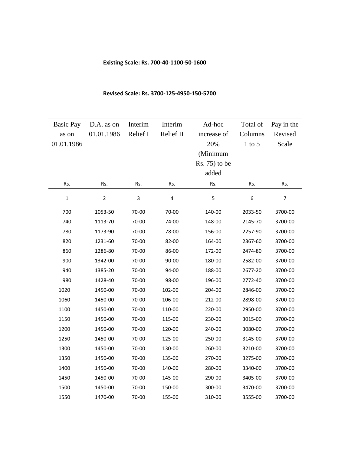#### **Existing Scale: Rs. 700-40-1100-50-1600**

#### Basic Pay as on 01.01.1986 D.A. as on 01.01.1986 Interim Relief I Interim Relief II Ad-hoc increase of 20% (Minimum Rs. 75) to be added Total of Columns 1 to 5 Pay in the Revised Scale Rs. Rs. Rs. Rs. Rs. Rs. Rs. 1 2 3 4 5 6 7 700 1053-50 70-00 70-00 140-00 2033-50 3700-00 740 1113-70 70-00 74-00 148-00 2145-70 3700-00 780 1173-90 70-00 78-00 156-00 2257-90 3700-00 820 1231-60 70-00 82-00 164-00 2367-60 3700-00 860 1286-80 70-00 86-00 172-00 2474-80 3700-00 900 1342-00 70-00 90-00 180-00 2582-00 3700-00 940 1385-20 70-00 94-00 188-00 2677-20 3700-00 980 1428-40 70-00 98-00 196-00 2772-40 3700-00 1020 1450-00 70-00 102-00 204-00 2846-00 3700-00 1060 1450-00 70-00 106-00 212-00 2898-00 3700-00 1100 1450-00 70-00 110-00 220-00 2950-00 3700-00 1150 1450-00 70-00 115-00 230-00 3015-00 3700-00 1200 1450-00 70-00 120-00 240-00 3080-00 3700-00 1250 1450-00 70-00 125-00 250-00 3145-00 3700-00 1300 1450-00 70-00 130-00 260-00 3210-00 3700-00 1350 1450-00 70-00 135-00 270-00 3275-00 3700-00 1400 1450-00 70-00 140-00 280-00 3340-00 3700-00 1450 1450-00 70-00 145-00 290-00 3405-00 3700-00 1500 1450-00 70-00 150-00 300-00 3470-00 3700-00 1550 1470-00 70-00 155-00 310-00 3555-00 3700-00

#### **Revised Scale: Rs. 3700-125-4950-150-5700**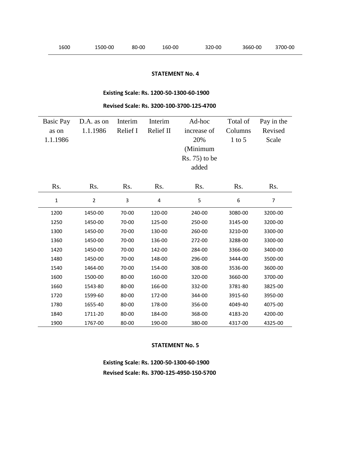### **STATEMENT No. 4**

# **Existing Scale: Rs. 1200-50-1300-60-1900**

#### **Revised Scale: Rs. 3200-100-3700-125-4700**

| <b>Basic Pay</b><br>as on<br>1.1.1986 | D.A. as on<br>1.1.1986 | Interim<br>Relief I | Interim<br>Relief II | Ad-hoc<br>increase of<br>20%<br>(Minimum<br>$Rs. 75$ ) to be<br>added | Total of<br>Columns<br>$1$ to 5 | Pay in the<br>Revised<br>Scale |
|---------------------------------------|------------------------|---------------------|----------------------|-----------------------------------------------------------------------|---------------------------------|--------------------------------|
| Rs.                                   | Rs.                    | Rs.                 | Rs.                  | Rs.                                                                   | Rs.                             | Rs.                            |
| $\mathbf{1}$                          | $\overline{2}$         | 3                   | 4                    | 5                                                                     | 6                               | $\overline{7}$                 |
| 1200                                  | 1450-00                | 70-00               | 120-00               | 240-00                                                                | 3080-00                         | 3200-00                        |
| 1250                                  | 1450-00                | 70-00               | 125-00               | 250-00                                                                | 3145-00                         | 3200-00                        |
| 1300                                  | 1450-00                | 70-00               | 130-00               | 260-00                                                                | 3210-00                         | 3300-00                        |
| 1360                                  | 1450-00                | 70-00               | 136-00               | 272-00                                                                | 3288-00                         | 3300-00                        |
| 1420                                  | 1450-00                | 70-00               | 142-00               | 284-00                                                                | 3366-00                         | 3400-00                        |
| 1480                                  | 1450-00                | 70-00               | 148-00               | 296-00                                                                | 3444-00                         | 3500-00                        |
| 1540                                  | 1464-00                | 70-00               | 154-00               | 308-00                                                                | 3536-00                         | 3600-00                        |
| 1600                                  | 1500-00                | 80-00               | 160-00               | 320-00                                                                | 3660-00                         | 3700-00                        |
| 1660                                  | 1543-80                | 80-00               | 166-00               | 332-00                                                                | 3781-80                         | 3825-00                        |
| 1720                                  | 1599-60                | 80-00               | 172-00               | 344-00                                                                | 3915-60                         | 3950-00                        |
| 1780                                  | 1655-40                | 80-00               | 178-00               | 356-00                                                                | 4049-40                         | 4075-00                        |
| 1840                                  | 1711-20                | 80-00               | 184-00               | 368-00                                                                | 4183-20                         | 4200-00                        |
| 1900                                  | 1767-00                | 80-00               | 190-00               | 380-00                                                                | 4317-00                         | 4325-00                        |

#### **STATEMENT No. 5**

**Existing Scale: Rs. 1200-50-1300-60-1900 Revised Scale: Rs. 3700-125-4950-150-5700**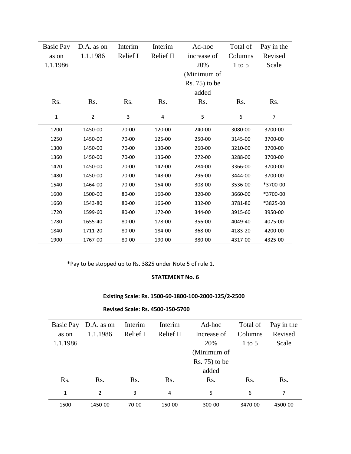| Basic Pay   | D.A. as on     | Interim  | Interim   | Ad-hoc         | Total of   | Pay in the     |
|-------------|----------------|----------|-----------|----------------|------------|----------------|
| as on       | 1.1.1986       | Relief I | Relief II | increase of    | Columns    | Revised        |
| 1.1.1986    |                |          |           | 20%            | $1$ to $5$ | Scale          |
|             |                |          |           | (Minimum of    |            |                |
|             |                |          |           | $Rs. 75$ to be |            |                |
|             |                |          |           | added          |            |                |
| Rs.         | Rs.            | Rs.      | Rs.       | Rs.            | Rs.        | Rs.            |
| $\mathbf 1$ | $\overline{2}$ | 3        | 4         | 5              | 6          | $\overline{7}$ |
| 1200        | 1450-00        | 70-00    | 120-00    | 240-00         | 3080-00    | 3700-00        |
| 1250        | 1450-00        | 70-00    | 125-00    | 250-00         | 3145-00    | 3700-00        |
| 1300        | 1450-00        | 70-00    | 130-00    | 260-00         | 3210-00    | 3700-00        |
| 1360        | 1450-00        | 70-00    | 136-00    | 272-00         | 3288-00    | 3700-00        |
| 1420        | 1450-00        | 70-00    | 142-00    | 284-00         | 3366-00    | 3700-00        |
| 1480        | 1450-00        | 70-00    | 148-00    | 296-00         | 3444-00    | 3700-00        |
| 1540        | 1464-00        | 70-00    | 154-00    | 308-00         | 3536-00    | *3700-00       |
| 1600        | 1500-00        | 80-00    | 160-00    | 320-00         | 3660-00    | *3700-00       |
| 1660        | 1543-80        | 80-00    | 166-00    | 332-00         | 3781-80    | *3825-00       |
| 1720        | 1599-60        | 80-00    | 172-00    | 344-00         | 3915-60    | 3950-00        |
| 1780        | 1655-40        | 80-00    | 178-00    | 356-00         | 4049-40    | 4075-00        |
| 1840        | 1711-20        | 80-00    | 184-00    | 368-00         | 4183-20    | 4200-00        |
| 1900        | 1767-00        | 80-00    | 190-00    | 380-00         | 4317-00    | 4325-00        |

**\***Pay to be stopped up to Rs. 3825 under Note 5 of rule 1.

## **STATEMENT No. 6**

# **Existing Scale: Rs. 1500-60-1800-100-2000-125/2-2500**

### **Revised Scale: Rs. 4500-150-5700**

| Basic Pay        | D.A. as on    | Interim  | Interim          | Ad-hoc         | Total of | Pay in the       |
|------------------|---------------|----------|------------------|----------------|----------|------------------|
| as on            | 1.1.1986      | Relief I | <b>Relief II</b> | Increase of    | Columns  | Revised          |
| 1.1.1986         |               |          |                  | 20%            | 1 to 5   | Scale            |
|                  |               |          |                  | (Minimum of    |          |                  |
|                  |               |          |                  | $Rs. 75$ to be |          |                  |
|                  |               |          |                  | added          |          |                  |
| R <sub>s</sub> . | Rs.           | Rs.      | R <sub>s</sub> . | Rs.            | Rs.      | R <sub>s</sub> . |
| $\mathbf{1}$     | $\mathcal{P}$ | 3        | 4                | 5              | 6        | 7                |
| 1500             | 1450-00       | 70-00    | 150-00           | 300-00         | 3470-00  | 4500-00          |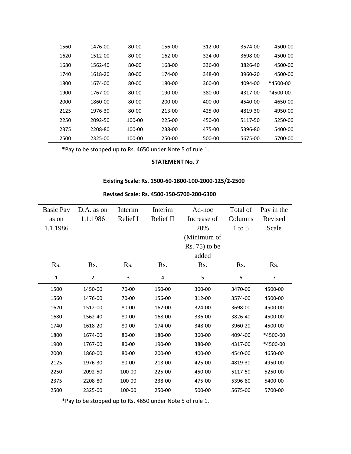| 1560 | 1476-00 | 80-00  | 156-00 | 312-00 | 3574-00 | 4500-00  |
|------|---------|--------|--------|--------|---------|----------|
| 1620 | 1512-00 | 80-00  | 162-00 | 324-00 | 3698-00 | 4500-00  |
| 1680 | 1562-40 | 80-00  | 168-00 | 336-00 | 3826-40 | 4500-00  |
| 1740 | 1618-20 | 80-00  | 174-00 | 348-00 | 3960-20 | 4500-00  |
| 1800 | 1674-00 | 80-00  | 180-00 | 360-00 | 4094-00 | *4500-00 |
| 1900 | 1767-00 | 80-00  | 190-00 | 380-00 | 4317-00 | *4500-00 |
| 2000 | 1860-00 | 80-00  | 200-00 | 400-00 | 4540-00 | 4650-00  |
| 2125 | 1976-30 | 80-00  | 213-00 | 425-00 | 4819-30 | 4950-00  |
| 2250 | 2092-50 | 100-00 | 225-00 | 450-00 | 5117-50 | 5250-00  |
| 2375 | 2208-80 | 100-00 | 238-00 | 475-00 | 5396-80 | 5400-00  |
| 2500 | 2325-00 | 100-00 | 250-00 | 500-00 | 5675-00 | 5700-00  |

**\***Pay to be stopped up to Rs. 4650 under Note 5 of rule 1.

#### **STATEMENT No. 7**

# **Existing Scale: Rs. 1500-60-1800-100-2000-125/2-2500**

| Basic Pay    | D.A. as on     | Interim  | Interim   | Ad-hoc           | Total of | Pay in the     |
|--------------|----------------|----------|-----------|------------------|----------|----------------|
| as on        | 1.1.1986       | Relief I | Relief II | Increase of      | Columns  | Revised        |
| 1.1.1986     |                |          |           | 20%              | $1$ to 5 | Scale          |
|              |                |          |           | (Minimum of      |          |                |
|              |                |          |           | $Rs. 75$ ) to be |          |                |
|              |                |          |           | added            |          |                |
| Rs.          | Rs.            | Rs.      | Rs.       | Rs.              | Rs.      | Rs.            |
| $\mathbf{1}$ | $\overline{2}$ | 3        | 4         | 5                | 6        | $\overline{7}$ |
| 1500         | 1450-00        | 70-00    | 150-00    | 300-00           | 3470-00  | 4500-00        |
| 1560         | 1476-00        | 70-00    | 156-00    | 312-00           | 3574-00  | 4500-00        |
| 1620         | 1512-00        | 80-00    | 162-00    | 324-00           | 3698-00  | 4500-00        |
| 1680         | 1562-40        | 80-00    | 168-00    | 336-00           | 3826-40  | 4500-00        |
| 1740         | 1618-20        | 80-00    | 174-00    | 348-00           | 3960-20  | 4500-00        |
| 1800         | 1674-00        | 80-00    | 180-00    | 360-00           | 4094-00  | *4500-00       |
| 1900         | 1767-00        | 80-00    | 190-00    | 380-00           | 4317-00  | *4500-00       |
| 2000         | 1860-00        | 80-00    | 200-00    | 400-00           | 4540-00  | 4650-00        |
| 2125         | 1976-30        | 80-00    | 213-00    | 425-00           | 4819-30  | 4950-00        |
| 2250         | 2092-50        | 100-00   | 225-00    | 450-00           | 5117-50  | 5250-00        |
| 2375         | 2208-80        | 100-00   | 238-00    | 475-00           | 5396-80  | 5400-00        |
| 2500         | 2325-00        | 100-00   | 250-00    | 500-00           | 5675-00  | 5700-00        |

### **Revised Scale: Rs. 4500-150-5700-200-6300**

\*Pay to be stopped up to Rs. 4650 under Note 5 of rule 1.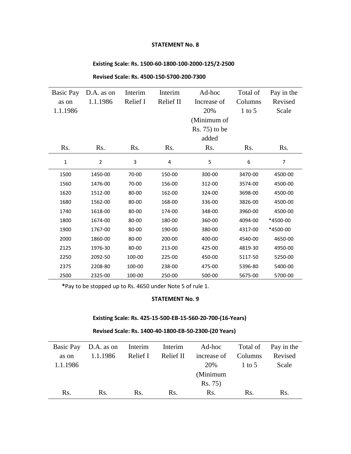### **STATEMENT No. 8**

# **Existing Scale: Rs. 1500-60-1800-100-2000-125/2-2500**

| Basic Pay    | D.A. as on     | Interim  | Interim   | Ad-hoc         | Total of | Pay in the |
|--------------|----------------|----------|-----------|----------------|----------|------------|
| as on        | 1.1.1986       | Relief I | Relief II | Increase of    | Columns  | Revised    |
| 1.1.1986     |                |          |           | 20%            | $1$ to 5 | Scale      |
|              |                |          |           | (Minimum of    |          |            |
|              |                |          |           | $Rs. 75$ to be |          |            |
|              |                |          |           | added          |          |            |
| Rs.          | Rs.            | Rs.      | Rs.       | Rs.            | Rs.      | Rs.        |
| $\mathbf{1}$ | $\overline{2}$ | 3        | 4         | 5              | 6        | 7          |
| 1500         | 1450-00        | 70-00    | 150-00    | 300-00         | 3470-00  | 4500-00    |
| 1560         | 1476-00        | 70-00    | 156-00    | 312-00         | 3574-00  | 4500-00    |
| 1620         | 1512-00        | 80-00    | 162-00    | 324-00         | 3698-00  | 4500-00    |
| 1680         | 1562-00        | 80-00    | 168-00    | 336-00         | 3826-00  | 4500-00    |
| 1740         | 1618-00        | 80-00    | 174-00    | 348-00         | 3960-00  | 4500-00    |
| 1800         | 1674-00        | 80-00    | 180-00    | 360-00         | 4094-00  | *4500-00   |
| 1900         | 1767-00        | 80-00    | 190-00    | 380-00         | 4317-00  | *4500-00   |
| 2000         | 1860-00        | 80-00    | 200-00    | 400-00         | 4540-00  | 4650-00    |
| 2125         | 1976-30        | 80-00    | 213-00    | 425-00         | 4819-30  | 4950-00    |
| 2250         | 2092-50        | 100-00   | 225-00    | 450-00         | 5117-50  | 5250-00    |
| 2375         | 2208-80        | 100-00   | 238-00    | 475-00         | 5396-80  | 5400-00    |
| 2500         | 2325-00        | 100-00   | 250-00    | 500-00         | 5675-00  | 5700-00    |

### **Revised Scale: Rs. 4500-150-5700-200-7300**

**\***Pay to be stopped up to Rs. 4650 under Note 5 of rule 1.

#### **STATEMENT No. 9**

# **Existing Scale: Rs. 425-15-500-EB-15-560-20-700-(16-Years)**

### **Revised Scale: Rs. 1400-40-1800-EB-50-2300-(20 Years)**

|          |          |     |     | Basic Pay D.A. as on Interim Interim Ad-hoc |        | Total of Pay in the |
|----------|----------|-----|-----|---------------------------------------------|--------|---------------------|
| as on    | 1.1.1986 |     |     | Relief I Relief II increase of Columns      |        | Revised             |
| 1.1.1986 |          |     |     | 20%                                         | 1 to 5 | Scale               |
|          |          |     |     | (Minimum                                    |        |                     |
|          |          |     |     | Rs. 75)                                     |        |                     |
| Rs.      | Rs.      | Rs. | Rs. | Rs.                                         | Rs.    | Rs.                 |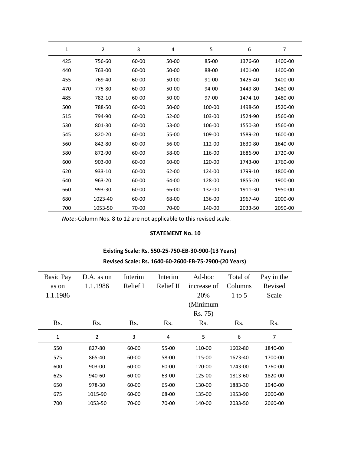| 1   | $\overline{2}$ | 3     | 4         | 5       | 6       | 7       |
|-----|----------------|-------|-----------|---------|---------|---------|
| 425 | 756-60         | 60-00 | 50-00     | $85-00$ | 1376-60 | 1400-00 |
| 440 | 763-00         | 60-00 | 50-00     | 88-00   | 1401-00 | 1400-00 |
| 455 | 769-40         | 60-00 | 50-00     | 91-00   | 1425-40 | 1400-00 |
| 470 | 775-80         | 60-00 | 50-00     | 94-00   | 1449-80 | 1480-00 |
| 485 | 782-10         | 60-00 | $50 - 00$ | $97-00$ | 1474-10 | 1480-00 |
| 500 | 788-50         | 60-00 | 50-00     | 100-00  | 1498-50 | 1520-00 |
| 515 | 794-90         | 60-00 | $52 - 00$ | 103-00  | 1524-90 | 1560-00 |
| 530 | 801-30         | 60-00 | 53-00     | 106-00  | 1550-30 | 1560-00 |
| 545 | 820-20         | 60-00 | 55-00     | 109-00  | 1589-20 | 1600-00 |
| 560 | 842-80         | 60-00 | 56-00     | 112-00  | 1630-80 | 1640-00 |
| 580 | 872-90         | 60-00 | 58-00     | 116-00  | 1686-90 | 1720-00 |
| 600 | 903-00         | 60-00 | 60-00     | 120-00  | 1743-00 | 1760-00 |
| 620 | 933-10         | 60-00 | 62-00     | 124-00  | 1799-10 | 1800-00 |
| 640 | 963-20         | 60-00 | 64-00     | 128-00  | 1855-20 | 1900-00 |
| 660 | 993-30         | 60-00 | 66-00     | 132-00  | 1911-30 | 1950-00 |
| 680 | 1023-40        | 60-00 | 68-00     | 136-00  | 1967-40 | 2000-00 |
| 700 | 1053-50        | 70-00 | 70-00     | 140-00  | 2033-50 | 2050-00 |

*Note*:-Column Nos. 8 to 12 are not applicable to this revised scale.

### **STATEMENT No. 10**

# **Existing Scale: Rs. 550-25-750-EB-30-900-(13 Years)**

### **Revised Scale: Rs. 1640-60-2600-EB-75-2900-(20 Years)**

| <b>Basic Pay</b> | D.A. as on       | Interim  | Interim   | Ad-hoc      | Total of | Pay in the |
|------------------|------------------|----------|-----------|-------------|----------|------------|
| as on            | 1.1.1986         | Relief I | Relief II | increase of | Columns  | Revised    |
| 1.1.1986         |                  |          |           | 20%         | $1$ to 5 | Scale      |
|                  |                  |          |           | (Minimum    |          |            |
|                  |                  |          |           | Rs. 75)     |          |            |
| Rs.              | R <sub>s</sub> . | Rs.      | Rs.       | Rs.         | Rs.      | Rs.        |
| 1                | $\overline{2}$   | 3        | 4         | 5           | 6        | 7          |
| 550              | 827-80           | 60-00    | 55-00     | 110-00      | 1602-80  | 1840-00    |
| 575              | 865-40           | 60-00    | 58-00     | 115-00      | 1673-40  | 1700-00    |
| 600              | 903-00           | 60-00    | 60-00     | 120-00      | 1743-00  | 1760-00    |
| 625              | 940-60           | 60-00    | 63-00     | 125-00      | 1813-60  | 1820-00    |
| 650              | 978-30           | 60-00    | 65-00     | 130-00      | 1883-30  | 1940-00    |
| 675              | 1015-90          | 60-00    | 68-00     | 135-00      | 1953-90  | 2000-00    |
| 700              | 1053-50          | 70-00    | 70-00     | 140-00      | 2033-50  | 2060-00    |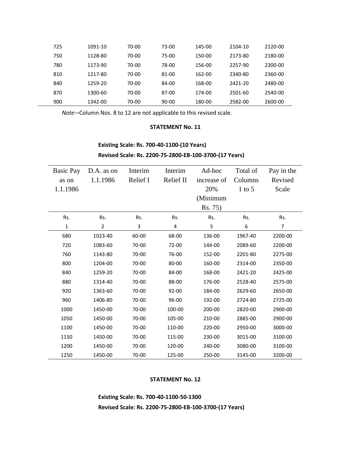| 725 | 1091-10 | 70-00 | 73-00     | 145-00 | 2104-10 | 2120-00 |
|-----|---------|-------|-----------|--------|---------|---------|
| 750 | 1128-80 | 70-00 | 75-00     | 150-00 | 2173-80 | 2180-00 |
| 780 | 1173-90 | 70-00 | 78-00     | 156-00 | 2257-90 | 2300-00 |
| 810 | 1217-80 | 70-00 | 81-00     | 162-00 | 2340-80 | 2360-00 |
| 840 | 1259-20 | 70-00 | 84-00     | 168-00 | 2421-20 | 2480-00 |
| 870 | 1300-60 | 70-00 | 87-00     | 174-00 | 2501-60 | 2540-00 |
| 900 | 1342-00 | 70-00 | $90 - 00$ | 180-00 | 2582-00 | 2600-00 |

*Note*:–Column Nos. 8 to 12 are not applicable to this revised scale.

### **STATEMENT No. 11**

### **Existing Scale: Rs. 700-40-1100-(10 Years)**

**Revised Scale: Rs. 2200-75-2800-EB-100-3700-(17 Years)**

| Basic Pay | D.A. as on     | Interim  | Interim   | Ad-hoc      | Total of | Pay in the     |
|-----------|----------------|----------|-----------|-------------|----------|----------------|
| as on     | 1.1.1986       | Relief I | Relief II | increase of | Columns  | Revised        |
| 1.1.1986  |                |          |           | 20%         | $1$ to 5 | Scale          |
|           |                |          |           | (Minimum    |          |                |
|           |                |          |           | Rs. 75)     |          |                |
| Rs.       | Rs.            | Rs.      | Rs.       | Rs.         | Rs.      | Rs.            |
| 1         | $\overline{2}$ | 3        | 4         | 5           | 6        | $\overline{7}$ |
| 680       | 1023-40        | 60-00    | 68-00     | 136-00      | 1967-40  | 2200-00        |
| 720       | 1083-60        | 70-00    | 72-00     | 144-00      | 2089-60  | 2200-00        |
| 760       | 1143-80        | 70-00    | 76-00     | 152-00      | 2201-80  | 2275-00        |
| 800       | 1204-00        | 70-00    | 80-00     | 160-00      | 2314-00  | 2350-00        |
| 840       | 1259-20        | 70-00    | 84-00     | 168-00      | 2421-20  | 2425-00        |
| 880       | 1314-40        | 70-00    | 88-00     | 176-00      | 2528-40  | 2575-00        |
| 920       | 1363-60        | 70-00    | $92 - 00$ | 184-00      | 2629-60  | 2650-00        |
| 960       | 1406-80        | 70-00    | 96-00     | 192-00      | 2724-80  | 2725-00        |
| 1000      | 1450-00        | 70-00    | 100-00    | 200-00      | 2820-00  | 2900-00        |
| 1050      | 1450-00        | 70-00    | 105-00    | 210-00      | 2885-00  | 2900-00        |
| 1100      | 1450-00        | 70-00    | 110-00    | 220-00      | 2950-00  | 3000-00        |
| 1150      | 1450-00        | 70-00    | 115-00    | 230-00      | 3015-00  | 3100-00        |
| 1200      | 1450-00        | 70-00    | 120-00    | 240-00      | 3080-00  | 3100-00        |
| 1250      | 1450-00        | 70-00    | 125-00    | 250-00      | 3145-00  | 3200-00        |

### **STATEMENT No. 12**

**Existing Scale: Rs. 700-40-1100-50-1300 Revised Scale: Rs. 2200-75-2800-EB-100-3700-(17 Years)**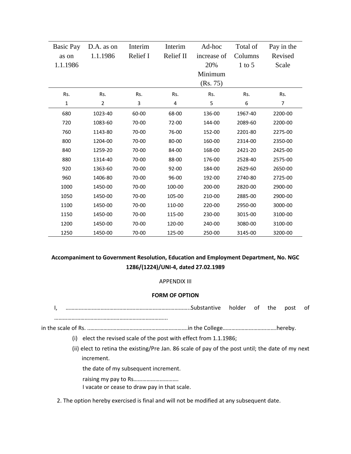| Basic Pay   | D.A. as on     | Interim  | Interim   | Ad-hoc      | Total of | Pay in the     |
|-------------|----------------|----------|-----------|-------------|----------|----------------|
| as on       | 1.1.1986       | Relief I | Relief II | increase of | Columns  | Revised        |
| 1.1.1986    |                |          |           | 20%         | $1$ to 5 | Scale          |
|             |                |          |           | Minimum     |          |                |
|             |                |          |           | (Rs. 75)    |          |                |
| Rs.         | Rs.            | Rs.      | Rs.       | Rs.         | Rs.      | Rs.            |
| $\mathbf 1$ | $\overline{2}$ | 3        | 4         | 5           | 6        | $\overline{7}$ |
| 680         | 1023-40        | 60-00    | 68-00     | 136-00      | 1967-40  | 2200-00        |
| 720         | 1083-60        | 70-00    | 72-00     | 144-00      | 2089-60  | 2200-00        |
| 760         | 1143-80        | 70-00    | 76-00     | 152-00      | 2201-80  | 2275-00        |
| 800         | 1204-00        | 70-00    | 80-00     | 160-00      | 2314-00  | 2350-00        |
| 840         | 1259-20        | 70-00    | 84-00     | 168-00      | 2421-20  | 2425-00        |
| 880         | 1314-40        | 70-00    | 88-00     | 176-00      | 2528-40  | 2575-00        |
| 920         | 1363-60        | 70-00    | $92 - 00$ | 184-00      | 2629-60  | 2650-00        |
| 960         | 1406-80        | 70-00    | 96-00     | 192-00      | 2740-80  | 2725-00        |
| 1000        | 1450-00        | 70-00    | 100-00    | 200-00      | 2820-00  | 2900-00        |
| 1050        | 1450-00        | 70-00    | 105-00    | 210-00      | 2885-00  | 2900-00        |
| 1100        | 1450-00        | 70-00    | 110-00    | 220-00      | 2950-00  | 3000-00        |
| 1150        | 1450-00        | 70-00    | 115-00    | 230-00      | 3015-00  | 3100-00        |
| 1200        | 1450-00        | 70-00    | 120-00    | 240-00      | 3080-00  | 3100-00        |
| 1250        | 1450-00        | 70-00    | 125-00    | 250-00      | 3145-00  | 3200-00        |

# **Accompaniment to Government Resolution, Education and Employment Department, No. NGC 1286/(1224)/UNI-4, dated 27.02.1989**

#### APPENDIX III

#### **FORM OF OPTION**

I, …………………………………………………………………………..Substantive holder of the post of …………………………………………………………………...

in the scale of Rs. ..………………………………………………………….in the College……………………………….hereby.

(i) elect the revised scale of the post with effect from 1.1.1986;

(ii) elect to retina the existing/Pre Jan. 86 scale of pay of the post until; the date of my next increment.

the date of my subsequent increment.

raising my pay to Rs………………………….

I vacate or cease to draw pay in that scale.

2. The option hereby exercised is final and will not be modified at any subsequent date.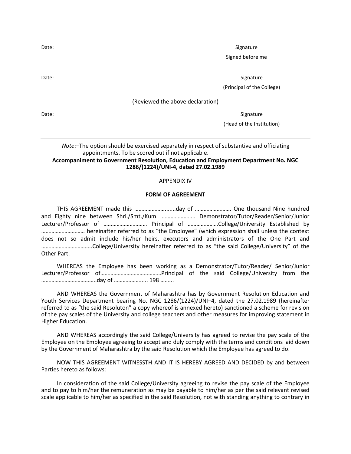Date: Signature

Signed before me

Date: Signature

(Principal of the College)

(Reviewed the above declaration)

Date: Signature

(Head of the Institution)

### *Note*:–The option should be exercised separately in respect of substantive and officiating appointments. To be scored out if not applicable.

### **Accompaniment to Government Resolution, Education and Employment Department No. NGC 1286/(1224)/UNI-4, dated 27.02.1989**

#### APPENDIX IV

#### **FORM OF AGREEMENT**

THIS AGREEMENT made this ………………….......day of ……………………. One thousand Nine hundred and Eighty nine between Shri./Smt./Kum. ………………….. Demonstrator/Tutor/Reader/Senior/Junior Lecturer/Professor of ………………………… Principal of …………………College/University Established by ………………………… hereinafter referred to as "the Employee" (which expression shall unless the context does not so admit include his/her heirs, executors and administrators of the One Part and ……………………………..College/University hereinafter referred to as "the said College/University" of the Other Part.

WHEREAS the Employee has been working as a Demonstrator/Tutor/Reader/ Senior/Junior Lecturer/Professor of……………………………………Principal of the said College/University from the ………………………………..day of ………………..... 198 ……...

AND WHEREAS the Government of Maharashtra has by Government Resolution Education and Youth Services Department bearing No. NGC 1286/(1224)/UNI–4, dated the 27.02.1989 (hereinafter referred to as "the said Resoluton" a copy whereof is annexed hereto) sanctioned a scheme for revision of the pay scales of the University and college teachers and other measures for improving statement in Higher Education.

AND WHEREAS accordingly the said College/University has agreed to revise the pay scale of the Employee on the Employee agreeing to accept and duly comply with the terms and conditions laid down by the Government of Maharashtra by the said Resolution which the Employee has agreed to do.

NOW THIS AGREEMENT WITNESSTH AND IT IS HEREBY AGREED AND DECIDED by and between Parties hereto as follows:

In consideration of the said College/University agreeing to revise the pay scale of the Employee and to pay to him/her the remuneration as may be payable to him/her as per the said relevant revised scale applicable to him/her as specified in the said Resolution, not with standing anything to contrary in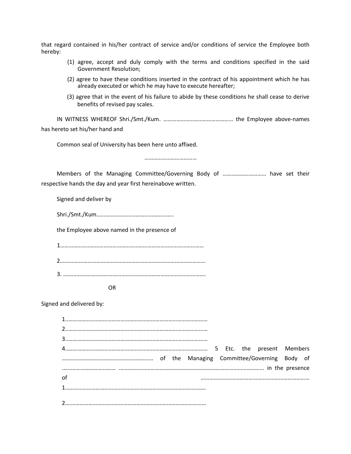that regard contained in his/her contract of service and/or conditions of service the Employee both hereby:

- (1) agree, accept and duly comply with the terms and conditions specified in the said Government Resolution;
- (2) agree to have these conditions inserted in the contract of his appointment which he has already executed or which he may have to execute hereafter;
- (3) agree that in the event of his failure to abide by these conditions he shall cease to derive benefits of revised pay scales.

IN WITNESS WHEREOF Shri./Smt./Kum. ………………………………………... the Employee above-names has hereto set his/her hand and

Common seal of University has been here unto affixed.

………………………………

Members of the Managing Committee/Governing Body of ………………………… have set their respective hands the day and year first hereinabove written.

Signed and deliver by

Shri./Smt./Kum……………………………………………..

the Employee above named in the presence of

OR

Signed and delivered by:

| of |  |
|----|--|
|    |  |
|    |  |
|    |  |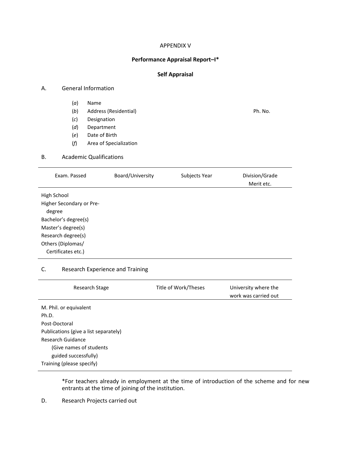### APPENDIX V

#### **Performance Appraisal Report–I\***

### **Self Appraisal**

#### A. General Information

- (*a*) Name
- (*b*) Address (Residential) Ph. No.
- (*c*) Designation
- (*d*) Department
- (*e*) Date of Birth
- (*f*) Area of Specialization

### B. Academic Qualifications

| Subjects Year    | Division/Grade<br>Merit etc. |
|------------------|------------------------------|
|                  |                              |
| Board/University |                              |

### C. Research Experience and Training

|                           | Research Stage                        | Title of Work/Theses | University where the<br>work was carried out |
|---------------------------|---------------------------------------|----------------------|----------------------------------------------|
| M. Phil. or equivalent    |                                       |                      |                                              |
| Ph.D.                     |                                       |                      |                                              |
| Post-Doctoral             |                                       |                      |                                              |
|                           | Publications (give a list separately) |                      |                                              |
| Research Guidance         |                                       |                      |                                              |
|                           | (Give names of students               |                      |                                              |
|                           | guided successfully)                  |                      |                                              |
| Training (please specify) |                                       |                      |                                              |

\*For teachers already in employment at the time of introduction of the scheme and for new entrants at the time of joining of the institution.

D. Research Projects carried out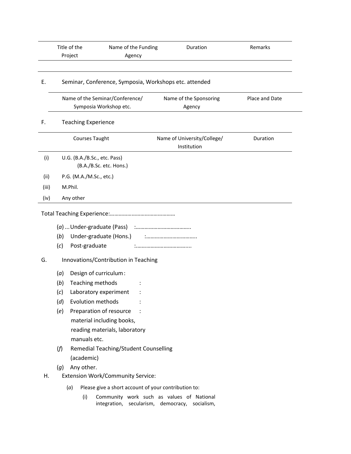|       | Title of the                 | Name of the Funding                                       | Duration                                                                                    | Remarks        |
|-------|------------------------------|-----------------------------------------------------------|---------------------------------------------------------------------------------------------|----------------|
|       | Project                      | Agency                                                    |                                                                                             |                |
| Ε.    |                              |                                                           | Seminar, Conference, Symposia, Workshops etc. attended                                      |                |
|       |                              | Name of the Seminar/Conference/<br>Symposia Workshop etc. | Name of the Sponsoring<br>Agency                                                            | Place and Date |
| F.    | <b>Teaching Experience</b>   |                                                           |                                                                                             |                |
|       | Courses Taught               |                                                           | Name of University/College/<br>Institution                                                  | Duration       |
| (i)   | U.G. (B.A./B.Sc., etc. Pass) | (B.A./B.Sc. etc. Hons.)                                   |                                                                                             |                |
| (ii)  | P.G. (M.A./M.Sc., etc.)      |                                                           |                                                                                             |                |
| (iii) | M.Phil.                      |                                                           |                                                                                             |                |
| (iv)  | Any other                    |                                                           |                                                                                             |                |
|       |                              |                                                           |                                                                                             |                |
|       |                              |                                                           |                                                                                             |                |
|       | (b)                          | Under-graduate (Hons.)                                    |                                                                                             |                |
|       | (c)<br>Post-graduate         |                                                           |                                                                                             |                |
| G.    |                              | Innovations/Contribution in Teaching                      |                                                                                             |                |
|       | (a)                          | Design of curriculum:                                     |                                                                                             |                |
|       | Teaching methods<br>(b)      |                                                           |                                                                                             |                |
|       | (c)                          | Laboratory experiment                                     |                                                                                             |                |
|       | Evolution methods<br>(d)     |                                                           |                                                                                             |                |
|       | (e)                          | Preparation of resource                                   |                                                                                             |                |
|       |                              | material including books,                                 |                                                                                             |                |
|       |                              | reading materials, laboratory                             |                                                                                             |                |
|       | manuals etc.                 |                                                           |                                                                                             |                |
|       | (f)                          | <b>Remedial Teaching/Student Counselling</b>              |                                                                                             |                |
|       | (academic)                   |                                                           |                                                                                             |                |
|       | Any other.<br>(g)            |                                                           |                                                                                             |                |
| Η.    |                              | <b>Extension Work/Community Service:</b>                  |                                                                                             |                |
|       | (a)                          | Please give a short account of your contribution to:      |                                                                                             |                |
|       | (i)                          |                                                           | Community work such as values of National<br>integration, secularism, democracy, socialism, |                |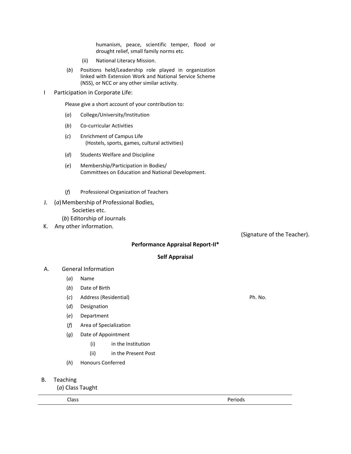humanism, peace, scientific temper, flood or drought relief, small family norms etc.

- (ii) National Literacy Mission.
- (*b*) Positions held/Leadership role played in organization linked with Extension Work and National Service Scheme (NSS), or NCC or any other similar activity.
- I Participation in Corporate Life:

Please give a short account of your contribution to:

- (*a*) College/University/Institution
- (*b*) Co-curricular Activities
- (*c*) Enrichment of Campus Life (Hostels, sports, games, cultural activities)
- (*d*) Students Welfare and Discipline
- (*e*) Membership/Participation in Bodies/ Committees on Education and National Development.
- (*f*) Professional Organization of Teachers
- J. (*a*)Membership of Professional Bodies, Societies etc.
	- (*b*) Editorship of Journals
- K. Any other information.

(Signature of the Teacher).

### **Performance Appraisal Report-II\***

#### **Self Appraisal**

- A. General Information
	- (*a*) Name
	- (*b*) Date of Birth
	- (*c*) Address (Residential) Ph. No.
	- (*d*) Designation
	- (*e*) Department
	- (*f*) Area of Specialization
	- (*g*) Date of Appointment
		- (i) in the Institution
		- (ii) in the Present Post
	- (*h*) Honours Conferred
- B. Teaching

(*a*) Class Taught

Class Periods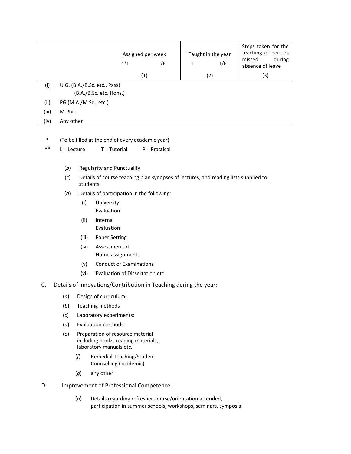|       | $***$                        | Assigned per week<br>T/F | Taught in the year<br>T/F | Steps taken for the<br>teaching of periods<br>during<br>missed<br>absence of leave |
|-------|------------------------------|--------------------------|---------------------------|------------------------------------------------------------------------------------|
|       |                              | (1)                      | (2)                       | (3)                                                                                |
| (i)   | U.G. (B.A./B.Sc. etc., Pass) |                          |                           |                                                                                    |
|       | (B.A./B.Sc. etc. Hons.)      |                          |                           |                                                                                    |
| (ii)  | PG (M.A./M.Sc., etc.)        |                          |                           |                                                                                    |
| (iii) | M.Phil.                      |                          |                           |                                                                                    |
| (iv)  | Any other                    |                          |                           |                                                                                    |
|       |                              |                          |                           |                                                                                    |

- \* (To be filled at the end of every academic year)
- \*\*  $L =$  Lecture  $T =$  Tutorial  $P =$  Practical
	- (*b*) Regularity and Punctuality
	- (*c*) Details of course teaching plan synopses of lectures, and reading lists supplied to students.
	- (*d*) Details of participation in the following:
		- (i) University Evaluation
		- (ii) Internal Evaluation
		- (iii) Paper Setting
		- (iv) Assessment of Home assignments
		- (v) Conduct of Examinations
		- (vi) Evaluation of Dissertation etc.
- C. Details of Innovations/Contribution in Teaching during the year:
	- (*a*) Design of curriculum:
	- (*b*) Teaching methods
	- (*c*) Laboratory experiments:
	- (*d*) Evaluation methods:
	- (*e*) Preparation of resource material including books, reading materials, laboratory manuals etc.
		- (*f*) Remedial Teaching/Student Counselling (academic)
		- (*g*) any other
- D. Improvement of Professional Competence
	- (*a*) Details regarding refresher course/orientation attended, participation in summer schools, workshops, seminars, symposia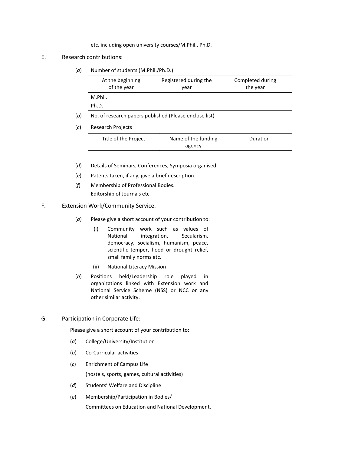etc. including open university courses/M.Phil., Ph.D.

### E. Research contributions:

(*a*) Number of students (M.Phil./Ph.D.)

|     | At the beginning<br>of the year                        | Registered during the<br>year | Completed during<br>the year |  |  |
|-----|--------------------------------------------------------|-------------------------------|------------------------------|--|--|
|     | M.Phil.                                                |                               |                              |  |  |
|     | Ph.D.                                                  |                               |                              |  |  |
| (b) | No. of research papers published (Please enclose list) |                               |                              |  |  |
| (c) | <b>Research Projects</b>                               |                               |                              |  |  |
|     | Title of the Project                                   | Name of the funding<br>agency | Duration                     |  |  |
|     |                                                        |                               |                              |  |  |

- (*d*) Details of Seminars, Conferences, Symposia organised.
- (*e*) Patents taken, if any, give a brief description.
- (*f*) Membership of Professional Bodies. Editorship of Journals etc.

### F. Extension Work/Community Service.

- (*a*) Please give a short account of your contribution to:
	- (i) Community work such as values of National integration, Secularism, democracy, socialism, humanism, peace, scientific temper, flood or drought relief, small family norms etc.
	- (ii) National Literacy Mission
- (*b*) Positions held/Leadership role played in organizations linked with Extension work and National Service Scheme (NSS) or NCC or any other similar activity.
- G. Participation in Corporate Life:

Please give a short account of your contribution to:

- (*a*) College/University/Institution
- (*b*) Co-Curricular activities
- (*c*) Enrichment of Campus Life (hostels, sports, games, cultural activities)
- (*d*) Students' Welfare and Discipline
- (*e*) Membership/Participation in Bodies/

Committees on Education and National Development.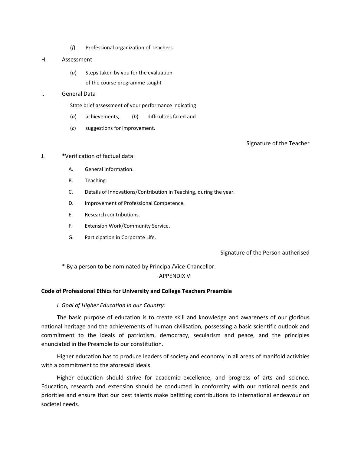(*f*) Professional organization of Teachers.

#### H. Assessment

(*a*) Steps taken by you for the evaluation of the course programme taught

### I. General Data

State brief assessment of your performance indicating

- (*a*) achievements, (*b*) difficulties faced and
- (*c*) suggestions for improvement.

Signature of the Teacher

### J. \*Verification of factual data:

- A. General Information.
- B. Teaching.
- C. Details of Innovations/Contribution in Teaching, during the year.
- D. Improvement of Professional Competence.
- E. Research contributions.
- F. Extension Work/Community Service.
- G. Participation in Corporate Life.

### Signature of the Person autherised

\* By a person to be nominated by Principal/Vice-Chancellor.

### APPENDIX VI

### **Code of Professional Ethics for University and College Teachers Preamble**

### *I. Goal of Higher Education in our Country:*

The basic purpose of education is to create skill and knowledge and awareness of our glorious national heritage and the achievements of human civilisation, possessing a basic scientific outlook and commitment to the ideals of patriotism, democracy, secularism and peace, and the principles enunciated in the Preamble to our constitution.

Higher education has to produce leaders of society and economy in all areas of manifold activities with a commitment to the aforesaid ideals.

Higher education should strive for academic excellence, and progress of arts and science. Education, research and extension should be conducted in conformity with our national needs and priorities and ensure that our best talents make befitting contributions to international endeavour on societel needs.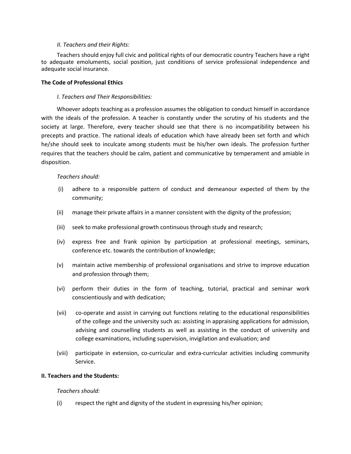#### *II. Teachers and their Rights:*

Teachers should enjoy full civic and political rights of our democratic country Teachers have a right to adequate emoluments, social position, just conditions of service professional independence and adequate social insurance.

### **The Code of Professional Ethics**

### *I. Teachers and Their Responsibilities:*

Whoever adopts teaching as a profession assumes the obligation to conduct himself in accordance with the ideals of the profession. A teacher is constantly under the scrutiny of his students and the society at large. Therefore, every teacher should see that there is no incompatibility between his precepts and practice. The national ideals of education which have already been set forth and which he/she should seek to inculcate among students must be his/her own ideals. The profession further requires that the teachers should be calm, patient and communicative by temperament and amiable in disposition.

### *Teachers should:*

- (i) adhere to a responsible pattern of conduct and demeanour expected of them by the community;
- (ii) manage their private affairs in a manner consistent with the dignity of the profession;
- (iii) seek to make professional growth continuous through study and research;
- (iv) express free and frank opinion by participation at professional meetings, seminars, conference etc. towards the contribution of knowledge;
- (v) maintain active membership of professional organisations and strive to improve education and profession through them;
- (vi) perform their duties in the form of teaching, tutorial, practical and seminar work conscientiously and with dedication;
- (vii) co-operate and assist in carrying out functions relating to the educational responsibilities of the college and the university such as: assisting in appraising applications for admission, advising and counselling students as well as assisting in the conduct of university and college examinations, including supervision, invigilation and evaluation; and
- (viii) participate in extension, co-curricular and extra-curricular activities including community Service.

### **II. Teachers and the Students:**

### *Teachers should:*

(i) respect the right and dignity of the student in expressing his/her opinion;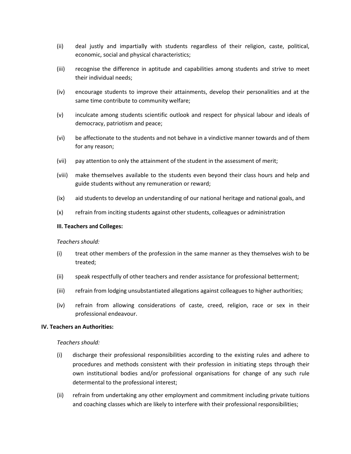- (ii) deal justly and impartially with students regardless of their religion, caste, political, economic, social and physical characteristics;
- (iii) recognise the difference in aptitude and capabilities among students and strive to meet their individual needs;
- (iv) encourage students to improve their attainments, develop their personalities and at the same time contribute to community welfare;
- (v) inculcate among students scientific outlook and respect for physical labour and ideals of democracy, patriotism and peace;
- (vi) be affectionate to the students and not behave in a vindictive manner towards and of them for any reason;
- (vii) pay attention to only the attainment of the student in the assessment of merit;
- (viii) make themselves available to the students even beyond their class hours and help and guide students without any remuneration or reward;
- (ix) aid students to develop an understanding of our national heritage and national goals, and
- (x) refrain from inciting students against other students, colleagues or administration

#### **III. Teachers and Colleges:**

#### *Teachers should:*

- (i) treat other members of the profession in the same manner as they themselves wish to be treated;
- (ii) speak respectfully of other teachers and render assistance for professional betterment;
- (iii) refrain from lodging unsubstantiated allegations against colleagues to higher authorities;
- (iv) refrain from allowing considerations of caste, creed, religion, race or sex in their professional endeavour.

#### **IV. Teachers an Authorities:**

#### *Teachers should:*

- (i) discharge their professional responsibilities according to the existing rules and adhere to procedures and methods consistent with their profession in initiating steps through their own institutional bodies and/or professional organisations for change of any such rule determental to the professional interest;
- (ii) refrain from undertaking any other employment and commitment including private tuitions and coaching classes which are likely to interfere with their professional responsibilities;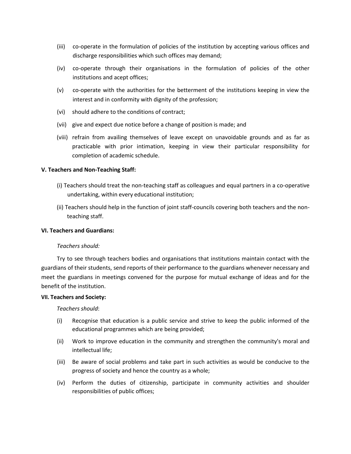- (iii) co-operate in the formulation of policies of the institution by accepting various offices and discharge responsibilities which such offices may demand;
- (iv) co-operate through their organisations in the formulation of policies of the other institutions and acept offices;
- (v) co-operate with the authorities for the betterment of the institutions keeping in view the interest and in conformity with dignity of the profession;
- (vi) should adhere to the conditions of contract;
- (vii) give and expect due notice before a change of position is made; and
- (viii) refrain from availing themselves of leave except on unavoidable grounds and as far as practicable with prior intimation, keeping in view their particular responsibility for completion of academic schedule.

## **V. Teachers and Non-Teaching Staff:**

- (i) Teachers should treat the non-teaching staff as colleagues and equal partners in a co-operative undertaking, within every educational institution;
- (ii) Teachers should help in the function of joint staff-councils covering both teachers and the nonteaching staff.

# **VI. Teachers and Guardians:**

## *Teachers should:*

Try to see through teachers bodies and organisations that institutions maintain contact with the guardians of their students, send reports of their performance to the guardians whenever necessary and meet the guardians in meetings convened for the purpose for mutual exchange of ideas and for the benefit of the institution.

## **VII. Teachers and Society:**

*Teachers should*:

- (i) Recognise that education is a public service and strive to keep the public informed of the educational programmes which are being provided;
- (ii) Work to improve education in the community and strengthen the community's moral and intellectual life;
- (iii) Be aware of social problems and take part in such activities as would be conducive to the progress of society and hence the country as a whole;
- (iv) Perform the duties of citizenship, participate in community activities and shoulder responsibilities of public offices;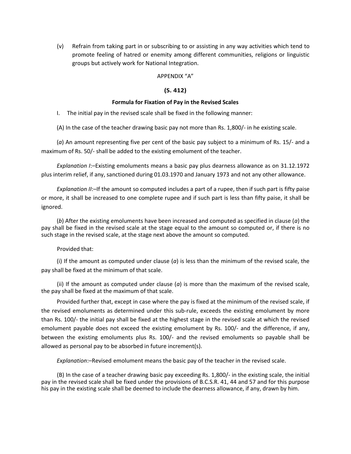(v) Refrain from taking part in or subscribing to or assisting in any way activities which tend to promote feeling of hatred or enemity among different communities, religions or linguistic groups but actively work for National Integration.

## APPENDIX "A"

## **(S. 412)**

#### **Formula for Fixation of Pay in the Revised Scales**

I. The initial pay in the revised scale shall be fixed in the following manner:

(A) In the case of the teacher drawing basic pay not more than Rs. 1,800/- in he existing scale.

(*a*) An amount representing five per cent of the basic pay subject to a minimum of Rs. 15/- and a maximum of Rs. 50/- shall be added to the existing emolument of the teacher.

*Explanation I*:–Existing emoluments means a basic pay plus dearness allowance as on 31.12.1972 plus interim relief, if any, sanctioned during 01.03.1970 and January 1973 and not any other allowance.

*Explanation II*:-If the amount so computed includes a part of a rupee, then if such part is fifty paise or more, it shall be increased to one complete rupee and if such part is less than fifty paise, it shall be ignored.

(*b*) After the existing emoluments have been increased and computed as specified in clause (*a*) the pay shall be fixed in the revised scale at the stage equal to the amount so computed or, if there is no such stage in the revised scale, at the stage next above the amount so computed.

## Provided that:

(i) If the amount as computed under clause (*a*) is less than the minimum of the revised scale, the pay shall be fixed at the minimum of that scale.

(ii) If the amount as computed under clause (*a*) is more than the maximum of the revised scale, the pay shall be fixed at the maximum of that scale.

Provided further that, except in case where the pay is fixed at the minimum of the revised scale, if the revised emoluments as determined under this sub-rule, exceeds the existing emolument by more than Rs. 100/- the initial pay shall be fixed at the highest stage in the revised scale at which the revised emolument payable does not exceed the existing emolument by Rs. 100/- and the difference, if any, between the existing emoluments plus Rs. 100/- and the revised emoluments so payable shall be allowed as personal pay to be absorbed in future increment(s).

*Explanation*:–Revised emolument means the basic pay of the teacher in the revised scale.

(B) In the case of a teacher drawing basic pay exceeding Rs. 1,800/- in the existing scale, the initial pay in the revised scale shall be fixed under the provisions of B.C.S.R. 41, 44 and 57 and for this purpose his pay in the existing scale shall be deemed to include the dearness allowance, if any, drawn by him.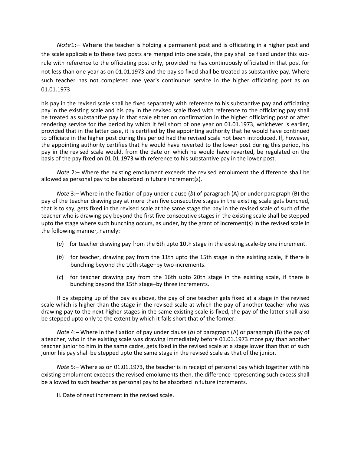*Note*1:– Where the teacher is holding a permanent post and is officiating in a higher post and the scale applicable to these two posts are merged into one scale, the pay shall be fixed under this subrule with reference to the officiating post only, provided he has continuously officiated in that post for not less than one year as on 01.01.1973 and the pay so fixed shall be treated as substantive pay. Where such teacher has not completed one year's continuous service in the higher officiating post as on 01.01.1973

his pay in the revised scale shall be fixed separately with reference to his substantive pay and officiating pay in the existing scale and his pay in the revised scale fixed with reference to the officiating pay shall be treated as substantive pay in that scale either on confirmation in the higher officiating post or after rendering service for the period by which it fell short of one year on 01.01.1973, whichever is earlier, provided that in the latter case, it is certified by the appointing authority that he would have continued to officiate in the higher post during this period had the revised scale not been introduced. If, however, the appointing authority certifies that he would have reverted to the lower post during this period, his pay in the revised scale would, from the date on which he would have reverted, be regulated on the basis of the pay fixed on 01.01.1973 with reference to his substantive pay in the lower post.

*Note* 2:– Where the existing emolument exceeds the revised emolument the difference shall be allowed as personal pay to be absorbed in future increment(s).

*Note* 3:– Where in the fixation of pay under clause (*b*) of paragraph (A) or under paragraph (B) the pay of the teacher drawing pay at more than five consecutive stages in the existing scale gets bunched, that is to say, gets fixed in the revised scale at the same stage the pay in the revised scale of such of the teacher who is drawing pay beyond the first five consecutive stages in the existing scale shall be stepped upto the stage where such bunching occurs, as under, by the grant of increment(s) in the revised scale in the following manner, namely:

- (*a*) for teacher drawing pay from the 6th upto 10th stage in the existing scale-by one increment.
- (*b*) for teacher, drawing pay from the 11th upto the 15th stage in the existing scale, if there is bunching beyond the 10th stage–by two increments.
- (*c*) for teacher drawing pay from the 16th upto 20th stage in the existing scale, if there is bunching beyond the 15th stage–by three increments.

If by stepping up of the pay as above, the pay of one teacher gets fixed at a stage in the revised scale which is higher than the stage in the revised scale at which the pay of another teacher who was drawing pay to the next higher stages in the same existing scale is fixed, the pay of the latter shall also be stepped upto only to the extent by which it falls short that of the former.

*Note* 4:– Where in the fixation of pay under clause (*b*) of paragraph (A) or paragraph (B) the pay of a teacher, who in the existing scale was drawing immediately before 01.01.1973 more pay than another teacher junior to him in the same cadre, gets fixed in the revised scale at a stage lower than that of such junior his pay shall be stepped upto the same stage in the revised scale as that of the junior.

*Note* 5:– Where as on 01.01.1973, the teacher is in receipt of personal pay which together with his existing emolument exceeds the revised emoluments then, the difference representing such excess shall be allowed to such teacher as personal pay to be absorbed in future increments.

II. Date of next increment in the revised scale.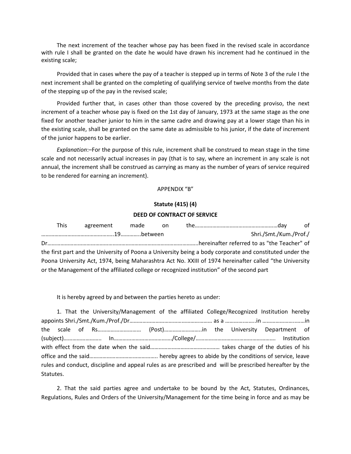The next increment of the teacher whose pay has been fixed in the revised scale in accordance with rule I shall be granted on the date he would have drawn his increment had he continued in the existing scale;

Provided that in cases where the pay of a teacher is stepped up in terms of Note 3 of the rule I the next increment shall be granted on the completing of qualifying service of twelve months from the date of the stepping up of the pay in the revised scale;

Provided further that, in cases other than those covered by the preceding proviso, the next increment of a teacher whose pay is fixed on the 1st day of January, 1973 at the same stage as the one fixed for another teacher junior to him in the same cadre and drawing pay at a lower stage than his in the existing scale, shall be granted on the same date as admissible to his junior, if the date of increment of the junior happens to be earlier.

*Explanation*:–For the purpose of this rule, increment shall be construed to mean stage in the time scale and not necessarily actual increases in pay (that is to say, where an increment in any scale is not annual, the increment shall be construed as carrying as many as the number of years of service required to be rendered for earning an increment).

## APPENDIX "B"

# **Statute (415) (4)**

#### **DEED OF CONTRACT OF SERVICE**

| <b>This</b> | agreement made | on on |                                                                                                          | of |
|-------------|----------------|-------|----------------------------------------------------------------------------------------------------------|----|
|             |                |       | Shri./Smt./Kum./Prof./                                                                                   |    |
|             |                |       |                                                                                                          |    |
|             |                |       | the first part and the University of Poona a University being a body corporate and constituted under the |    |
|             |                |       | Poona University Act, 1974, being Maharashtra Act No. XXIII of 1974 hereinafter called "the University   |    |
|             |                |       | or the Management of the affiliated college or recognized institution" of the second part                |    |

It is hereby agreed by and between the parties hereto as under:

|           |  |  |  |  |  | 1. That the University/Management of the affiliated College/Recognized Institution hereby                |  |
|-----------|--|--|--|--|--|----------------------------------------------------------------------------------------------------------|--|
|           |  |  |  |  |  |                                                                                                          |  |
|           |  |  |  |  |  |                                                                                                          |  |
|           |  |  |  |  |  |                                                                                                          |  |
|           |  |  |  |  |  |                                                                                                          |  |
|           |  |  |  |  |  |                                                                                                          |  |
|           |  |  |  |  |  | rules and conduct, discipline and appeal rules as are prescribed and will be prescribed hereafter by the |  |
| Statutes. |  |  |  |  |  |                                                                                                          |  |

2. That the said parties agree and undertake to be bound by the Act, Statutes, Ordinances, Regulations, Rules and Orders of the University/Management for the time being in force and as may be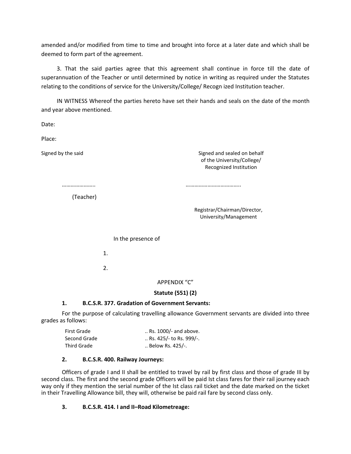amended and/or modified from time to time and brought into force at a later date and which shall be deemed to form part of the agreement.

3. That the said parties agree that this agreement shall continue in force till the date of superannuation of the Teacher or until determined by notice in writing as required under the Statutes relating to the conditions of service for the University/College/ Recogn ized Institution teacher.

IN WITNESS Whereof the parties hereto have set their hands and seals on the date of the month and year above mentioned.

Date:

Place:

Signed by the said Signed and sealed on behalf of the University/College/ Recognized Institution

………………….. ………………………………..

(Teacher)

Registrar/Chairman/Director, University/Management

In the presence of

1.

2.

APPENDIX "C"

# **Statute (551) (2)**

# **1. B.C.S.R. 377. Gradation of Government Servants:**

For the purpose of calculating travelling allowance Government servants are divided into three grades as follows:

| First Grade  | Rs. 1000/- and above.            |
|--------------|----------------------------------|
| Second Grade | $\ldots$ Rs. 425/- to Rs. 999/-. |
| Third Grade  | $\ldots$ Below Rs. 425/-.        |

# **2. B.C.S.R. 400. Railway Journeys:**

Officers of grade I and II shall be entitled to travel by rail by first class and those of grade III by second class. The first and the second grade Officers will be paid Ist class fares for their rail journey each way only if they mention the serial number of the Ist class rail ticket and the date marked on the ticket in their Travelling Allowance bill, they will, otherwise be paid rail fare by second class only.

# **3. B.C.S.R. 414. I and II–Road Kilometreage:**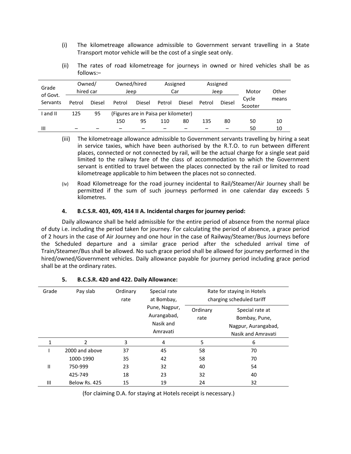- (i) The kilometreage allowance admissible to Government servant travelling in a State Transport motor vehicle will be the cost of a single seat only.
- (ii) The rates of road kilometreage for journeys in owned or hired vehicles shall be as follows:–

| Grade<br>of Govt. |        | Owned/<br>hired car | Owned/hired<br>Jeep |                                      | Assigned<br>Car |        |        | Assigned<br>Jeep | Motor            | Other |
|-------------------|--------|---------------------|---------------------|--------------------------------------|-----------------|--------|--------|------------------|------------------|-------|
| Servants          | Petrol | Diesel              | Petrol              | <b>Diesel</b>                        | Petrol          | Diesel | Petrol | Diesel           | Cycle<br>Scooter | means |
| and II            | 125    | 95                  |                     | (Figures are in Paisa per kilometer) |                 |        |        |                  |                  |       |
|                   |        |                     | 150                 | 95                                   | 110             | 80     | 135    | 80               | 50               | 10    |
| н                 |        |                     |                     |                                      |                 |        |        |                  | 50               | 10    |

- (iii) The kilometreage allowance admissible to Government servants travelling by hiring a seat in service taxies, which have been authorised by the R.T.O. to run between different places, connected or not connected by rail, will be the actual charge for a single seat paid limited to the railway fare of the class of accommodation to which the Government servant is entitled to travel between the places connected by the rail or limited to road kilometreage applicable to him between the places not so connected.
- (iv) Road Kilometreage for the road journey incidental to Rail/Steamer/Air Journey shall be permitted if the sum of such journeys performed in one calendar day exceeds 5 kilometres.

## **4. B.C.S.R. 403, 409, 414 II A. Incidental charges for journey period:**

Daily allowance shall be held admissible for the entire period of absence from the normal place of duty i.e. including the period taken for journey. For calculating the period of absence, a grace period of 2 hours in the case of Air Journey and one hour in the case of Railway/Steamer/Bus Journeys before the Scheduled departure and a similar grace period after the scheduled arrival time of Train/Steamer/Bus shall be allowed. No such grace period shall be allowed for journey performed in the hired/owned/Government vehicles. Daily allowance payable for journey period including grace period shall be at the ordinary rates.

| Grade | Pay slab       | Ordinary<br>rate | Special rate<br>at Bombay,                            | Rate for staying in Hotels<br>charging scheduled tariff |                                                                               |  |
|-------|----------------|------------------|-------------------------------------------------------|---------------------------------------------------------|-------------------------------------------------------------------------------|--|
|       |                |                  | Pune, Nagpur,<br>Aurangabad,<br>Nasik and<br>Amravati | Ordinary<br>rate                                        | Special rate at<br>Bombay, Pune,<br>Nagpur, Aurangabad,<br>Nasik and Amravati |  |
| 1     | $\overline{2}$ | 3                | 4                                                     | 5                                                       | 6                                                                             |  |
|       | 2000 and above | 37               | 45                                                    | 58                                                      | 70                                                                            |  |
|       | 1000-1990      | 35               | 42                                                    | 58                                                      | 70                                                                            |  |
| Ш     | 750-999        | 23               | 32                                                    | 40                                                      | 54                                                                            |  |
|       | 425-749        | 18               | 23                                                    | 32                                                      | 40                                                                            |  |
| Ш     | Below Rs. 425  | 15               | 19                                                    | 24                                                      | 32                                                                            |  |

## **5. B.C.S.R. 420 and 422. Daily Allowance:**

(for claiming D.A. for staying at Hotels receipt is necessary.)